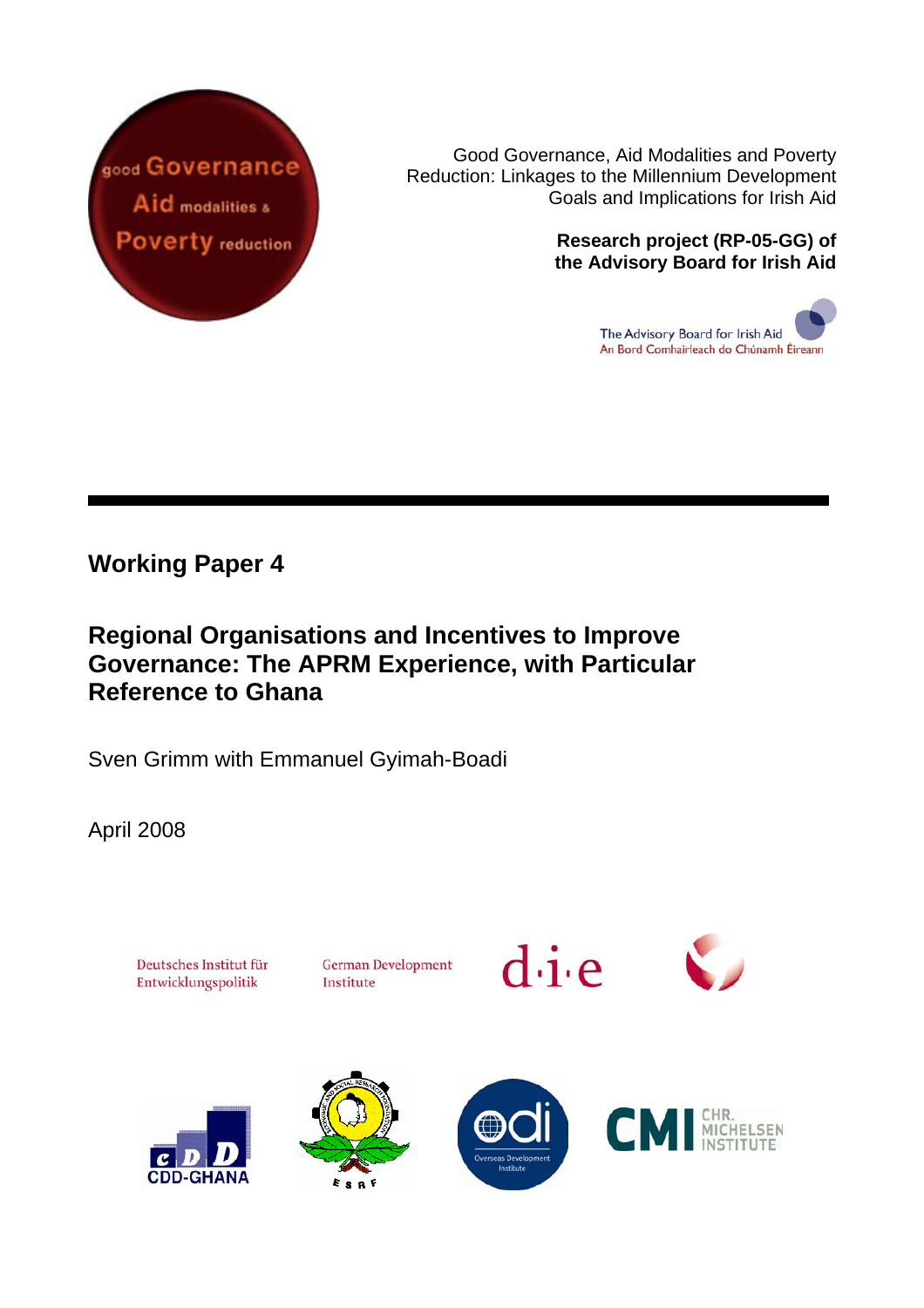

Good Governance, Aid Modalities and Poverty Reduction: Linkages to the Millennium Development Goals and Implications for Irish Aid

#### **Research project (RP-05-GG) of the Advisory Board for Irish Aid**

The Advisory Board for Irish Aid An Bord Comhairleach do Chúnamh Éireann

## **Working Paper 4**

## **Regional Organisations and Incentives to Improve Governance: The APRM Experience, with Particular Reference to Ghana**

Sven Grimm with Emmanuel Gyimah-Boadi

April 2008

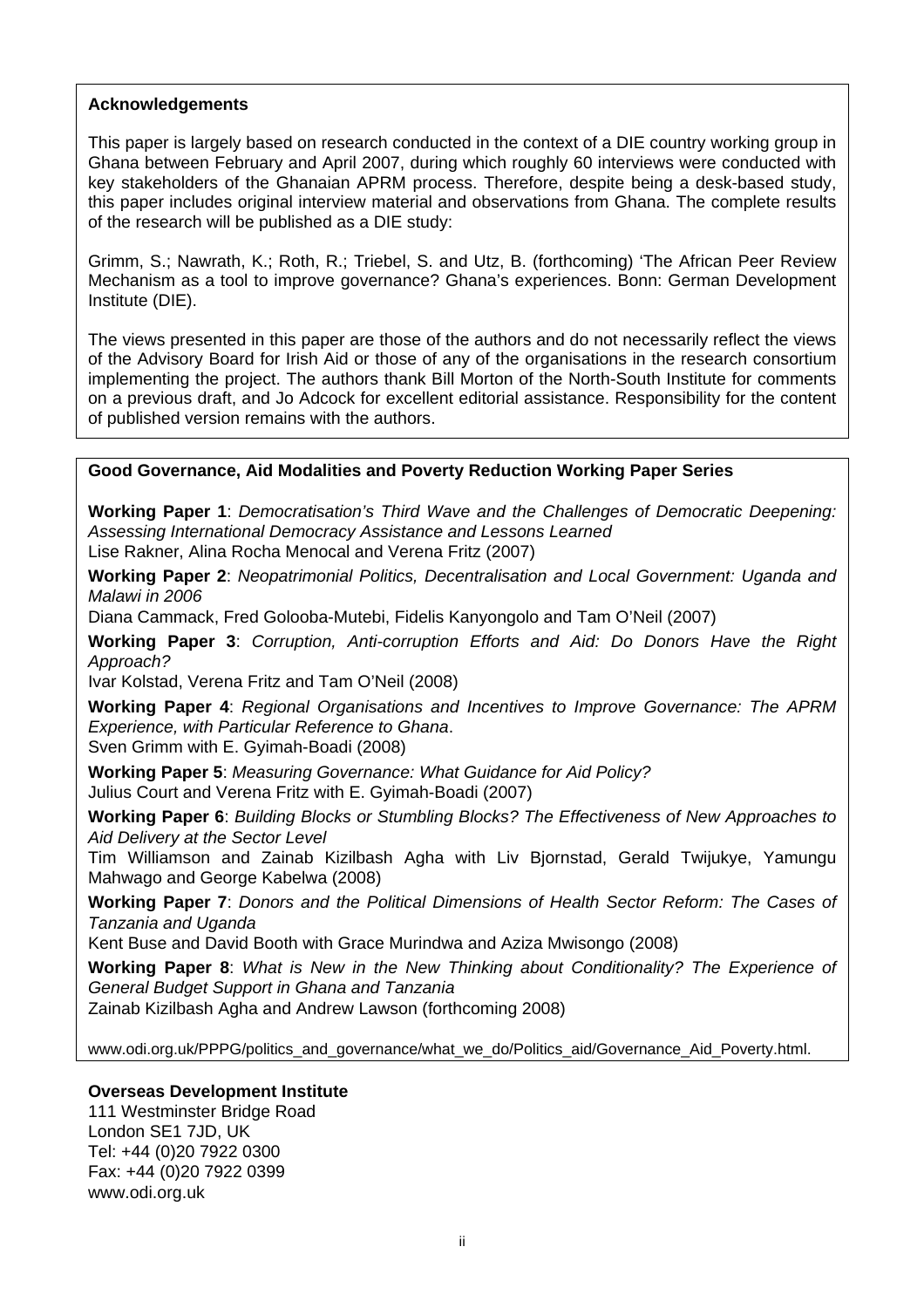#### **Acknowledgements**

This paper is largely based on research conducted in the context of a DIE country working group in Ghana between February and April 2007, during which roughly 60 interviews were conducted with key stakeholders of the Ghanaian APRM process. Therefore, despite being a desk-based study, this paper includes original interview material and observations from Ghana. The complete results of the research will be published as a DIE study:

Grimm, S.; Nawrath, K.; Roth, R.; Triebel, S. and Utz, B. (forthcoming) 'The African Peer Review Mechanism as a tool to improve governance? Ghana's experiences. Bonn: German Development Institute (DIE).

The views presented in this paper are those of the authors and do not necessarily reflect the views of the Advisory Board for Irish Aid or those of any of the organisations in the research consortium implementing the project. The authors thank Bill Morton of the North-South Institute for comments on a previous draft, and Jo Adcock for excellent editorial assistance. Responsibility for the content of published version remains with the authors.

#### **Good Governance, Aid Modalities and Poverty Reduction Working Paper Series**

**Working Paper 1**: *Democratisation's Third Wave and the Challenges of Democratic Deepening: Assessing International Democracy Assistance and Lessons Learned* 

Lise Rakner, Alina Rocha Menocal and Verena Fritz (2007)

**Working Paper 2**: *Neopatrimonial Politics, Decentralisation and Local Government: Uganda and Malawi in 2006*

Diana Cammack, Fred Golooba-Mutebi, Fidelis Kanyongolo and Tam O'Neil (2007)

**Working Paper 3**: *Corruption, Anti-corruption Efforts and Aid: Do Donors Have the Right Approach?*

Ivar Kolstad, Verena Fritz and Tam O'Neil (2008)

**Working Paper 4**: *Regional Organisations and Incentives to Improve Governance: The APRM Experience, with Particular Reference to Ghana*.

Sven Grimm with E. Gyimah-Boadi (2008)

**Working Paper 5**: *Measuring Governance: What Guidance for Aid Policy?*  Julius Court and Verena Fritz with E. Gyimah-Boadi (2007)

**Working Paper 6**: *Building Blocks or Stumbling Blocks? The Effectiveness of New Approaches to Aid Delivery at the Sector Level* 

Tim Williamson and Zainab Kizilbash Agha with Liv Bjornstad, Gerald Twijukye, Yamungu Mahwago and George Kabelwa (2008)

**Working Paper 7**: *Donors and the Political Dimensions of Health Sector Reform: The Cases of Tanzania and Uganda*

Kent Buse and David Booth with Grace Murindwa and Aziza Mwisongo (2008)

**Working Paper 8**: *What is New in the New Thinking about Conditionality? The Experience of General Budget Support in Ghana and Tanzania*

Zainab Kizilbash Agha and Andrew Lawson (forthcoming 2008)

[www.odi.org.uk/PPPG/politics\\_and\\_governance/what\\_we\\_do/Politics\\_aid/Governance\\_Aid\\_Poverty.html.](http://www.odi.org.uk/PPPG/politics_and_governance/what_we_do/Politics_aid/Governance_Aid_Poverty.html)

#### **Overseas Development Institute**

111 Westminster Bridge Road London SE1 7JD, UK Tel: +44 (0)20 7922 0300 Fax: +44 (0)20 7922 0399 [www.odi.org.uk](http://www.odi.org.uk/)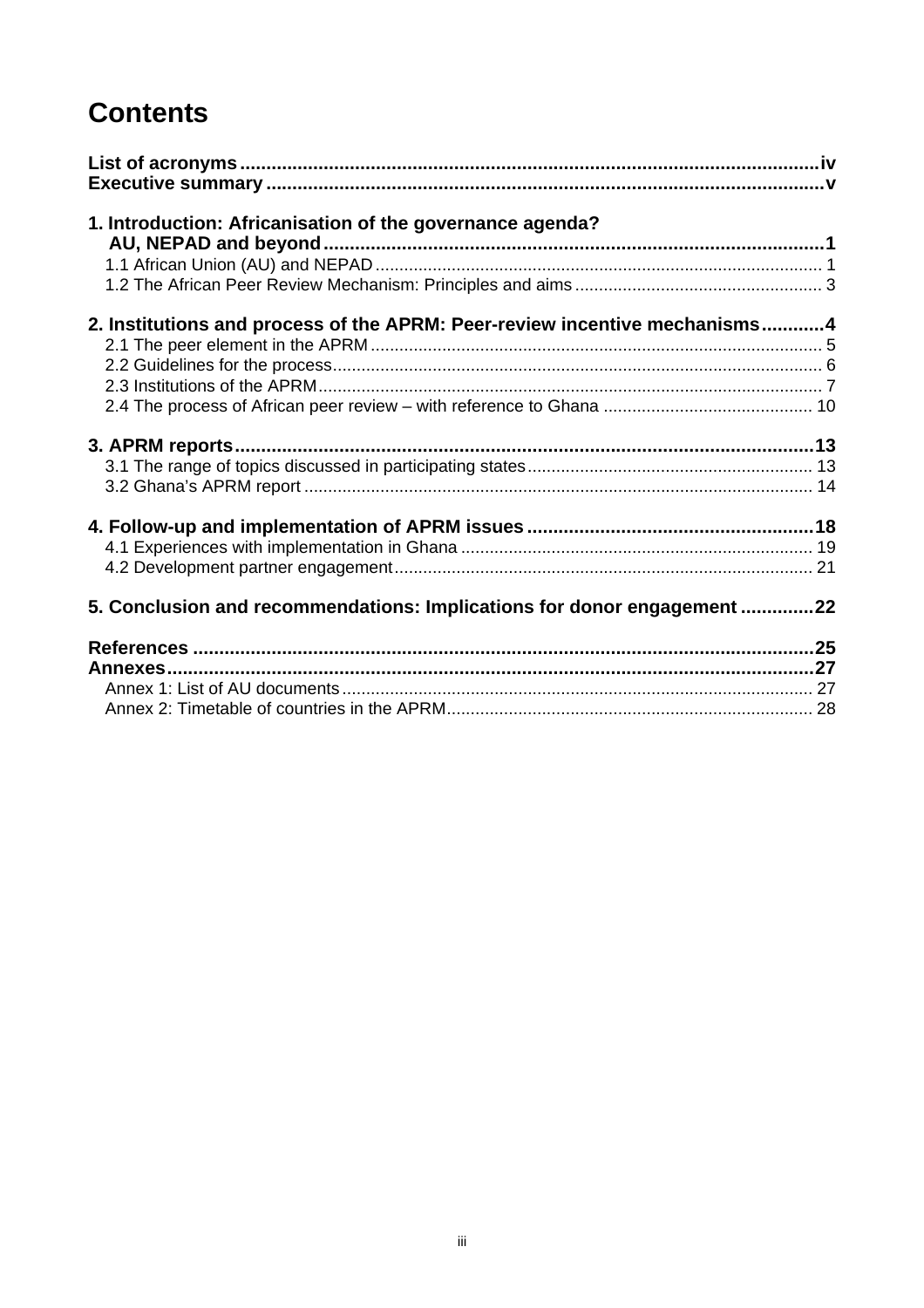# **Contents**

| 1. Introduction: Africanisation of the governance agenda?                  |  |
|----------------------------------------------------------------------------|--|
|                                                                            |  |
|                                                                            |  |
|                                                                            |  |
| 2. Institutions and process of the APRM: Peer-review incentive mechanisms4 |  |
|                                                                            |  |
|                                                                            |  |
|                                                                            |  |
|                                                                            |  |
|                                                                            |  |
|                                                                            |  |
|                                                                            |  |
|                                                                            |  |
|                                                                            |  |
|                                                                            |  |
| 5. Conclusion and recommendations: Implications for donor engagement 22    |  |
|                                                                            |  |
|                                                                            |  |
|                                                                            |  |
|                                                                            |  |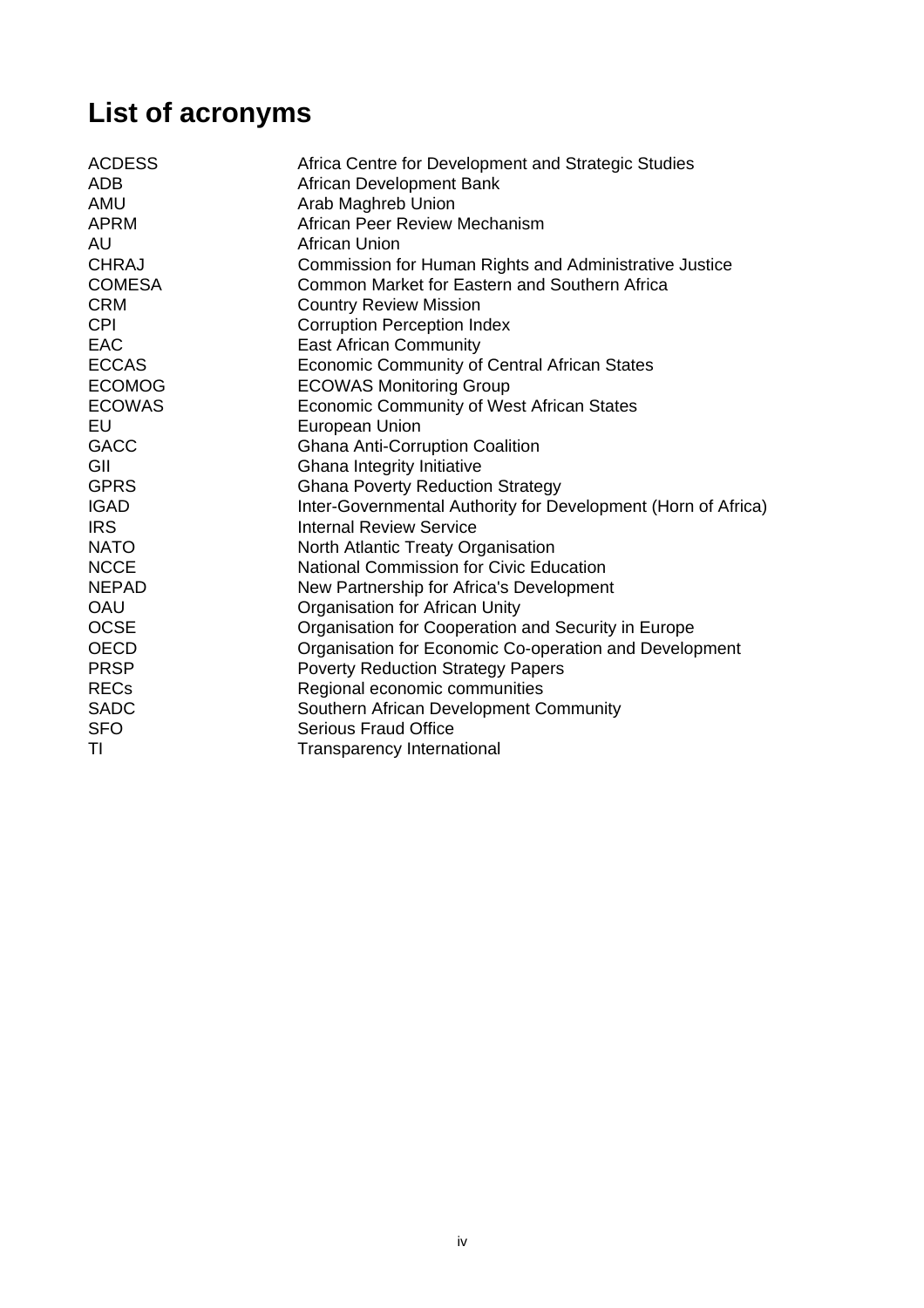# <span id="page-3-0"></span>**List of acronyms**

| Africa Centre for Development and Strategic Studies<br>African Development Bank |
|---------------------------------------------------------------------------------|
| Arab Maghreb Union                                                              |
| African Peer Review Mechanism                                                   |
| <b>African Union</b>                                                            |
| Commission for Human Rights and Administrative Justice                          |
| Common Market for Eastern and Southern Africa                                   |
| <b>Country Review Mission</b>                                                   |
| <b>Corruption Perception Index</b>                                              |
| <b>East African Community</b>                                                   |
| <b>Economic Community of Central African States</b>                             |
| <b>ECOWAS Monitoring Group</b>                                                  |
| <b>Economic Community of West African States</b>                                |
| European Union                                                                  |
| <b>Ghana Anti-Corruption Coalition</b>                                          |
| Ghana Integrity Initiative                                                      |
| <b>Ghana Poverty Reduction Strategy</b>                                         |
| Inter-Governmental Authority for Development (Horn of Africa)                   |
| <b>Internal Review Service</b>                                                  |
| North Atlantic Treaty Organisation                                              |
| <b>National Commission for Civic Education</b>                                  |
| New Partnership for Africa's Development                                        |
| Organisation for African Unity                                                  |
| Organisation for Cooperation and Security in Europe                             |
| Organisation for Economic Co-operation and Development                          |
| <b>Poverty Reduction Strategy Papers</b>                                        |
| Regional economic communities                                                   |
| Southern African Development Community                                          |
| <b>Serious Fraud Office</b>                                                     |
| <b>Transparency International</b>                                               |
|                                                                                 |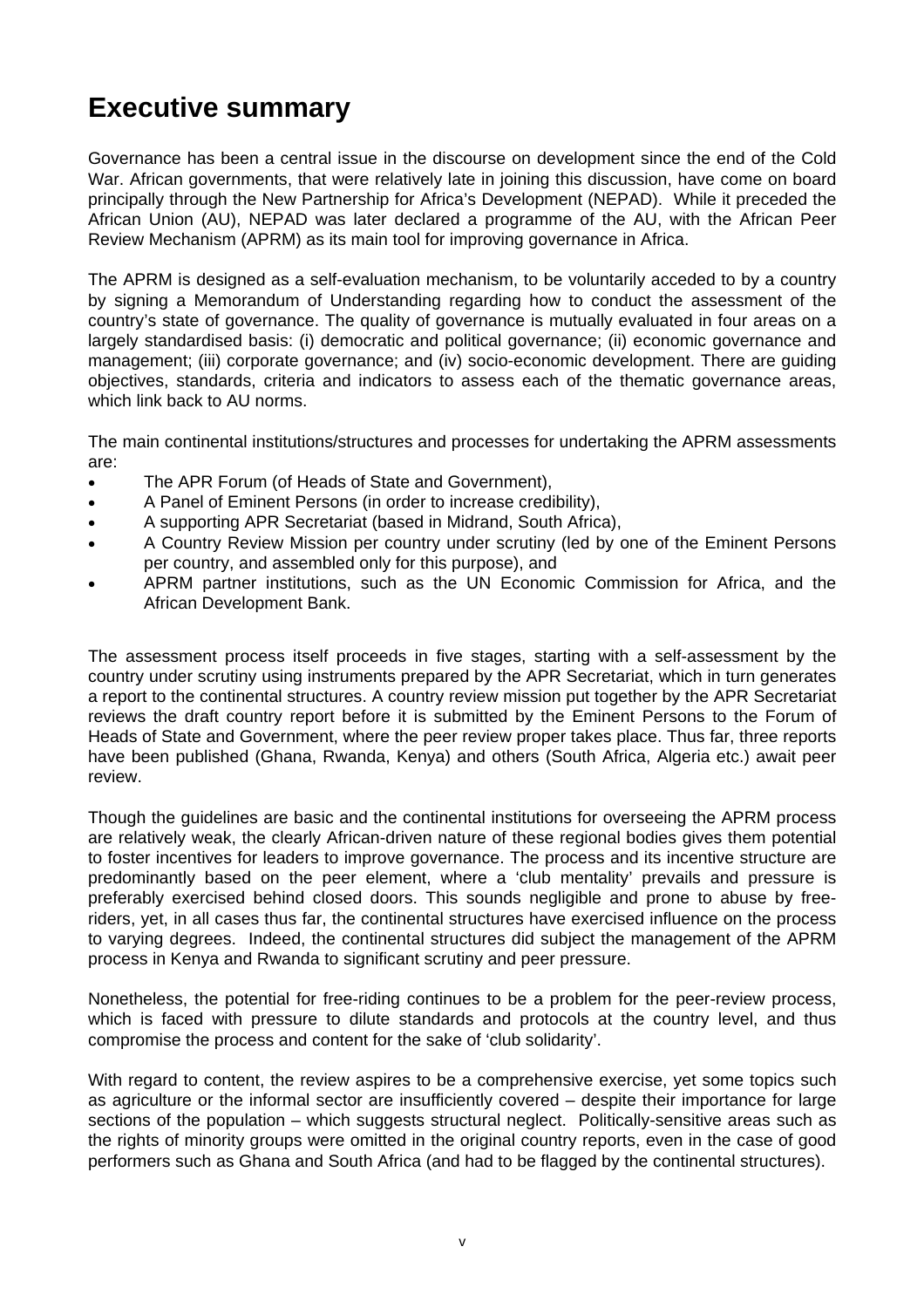## <span id="page-4-0"></span>**Executive summary**

Governance has been a central issue in the discourse on development since the end of the Cold War. African governments, that were relatively late in joining this discussion, have come on board principally through the New Partnership for Africa's Development (NEPAD). While it preceded the African Union (AU), NEPAD was later declared a programme of the AU, with the African Peer Review Mechanism (APRM) as its main tool for improving governance in Africa.

The APRM is designed as a self-evaluation mechanism, to be voluntarily acceded to by a country by signing a Memorandum of Understanding regarding how to conduct the assessment of the country's state of governance. The quality of governance is mutually evaluated in four areas on a largely standardised basis: (i) democratic and political governance; (ii) economic governance and management; (iii) corporate governance; and (iv) socio-economic development. There are guiding objectives, standards, criteria and indicators to assess each of the thematic governance areas, which link back to AU norms.

The main continental institutions/structures and processes for undertaking the APRM assessments are:

- The APR Forum (of Heads of State and Government),
- A Panel of Eminent Persons (in order to increase credibility),
- A supporting APR Secretariat (based in Midrand, South Africa),
- A Country Review Mission per country under scrutiny (led by one of the Eminent Persons per country, and assembled only for this purpose), and
- APRM partner institutions, such as the UN Economic Commission for Africa, and the African Development Bank.

The assessment process itself proceeds in five stages, starting with a self-assessment by the country under scrutiny using instruments prepared by the APR Secretariat, which in turn generates a report to the continental structures. A country review mission put together by the APR Secretariat reviews the draft country report before it is submitted by the Eminent Persons to the Forum of Heads of State and Government, where the peer review proper takes place. Thus far, three reports have been published (Ghana, Rwanda, Kenya) and others (South Africa, Algeria etc.) await peer review.

Though the guidelines are basic and the continental institutions for overseeing the APRM process are relatively weak, the clearly African-driven nature of these regional bodies gives them potential to foster incentives for leaders to improve governance. The process and its incentive structure are predominantly based on the peer element, where a 'club mentality' prevails and pressure is preferably exercised behind closed doors. This sounds negligible and prone to abuse by freeriders, yet, in all cases thus far, the continental structures have exercised influence on the process to varying degrees. Indeed, the continental structures did subject the management of the APRM process in Kenya and Rwanda to significant scrutiny and peer pressure.

Nonetheless, the potential for free-riding continues to be a problem for the peer-review process, which is faced with pressure to dilute standards and protocols at the country level, and thus compromise the process and content for the sake of 'club solidarity'.

With regard to content, the review aspires to be a comprehensive exercise, yet some topics such as agriculture or the informal sector are insufficiently covered – despite their importance for large sections of the population – which suggests structural neglect. Politically-sensitive areas such as the rights of minority groups were omitted in the original country reports, even in the case of good performers such as Ghana and South Africa (and had to be flagged by the continental structures).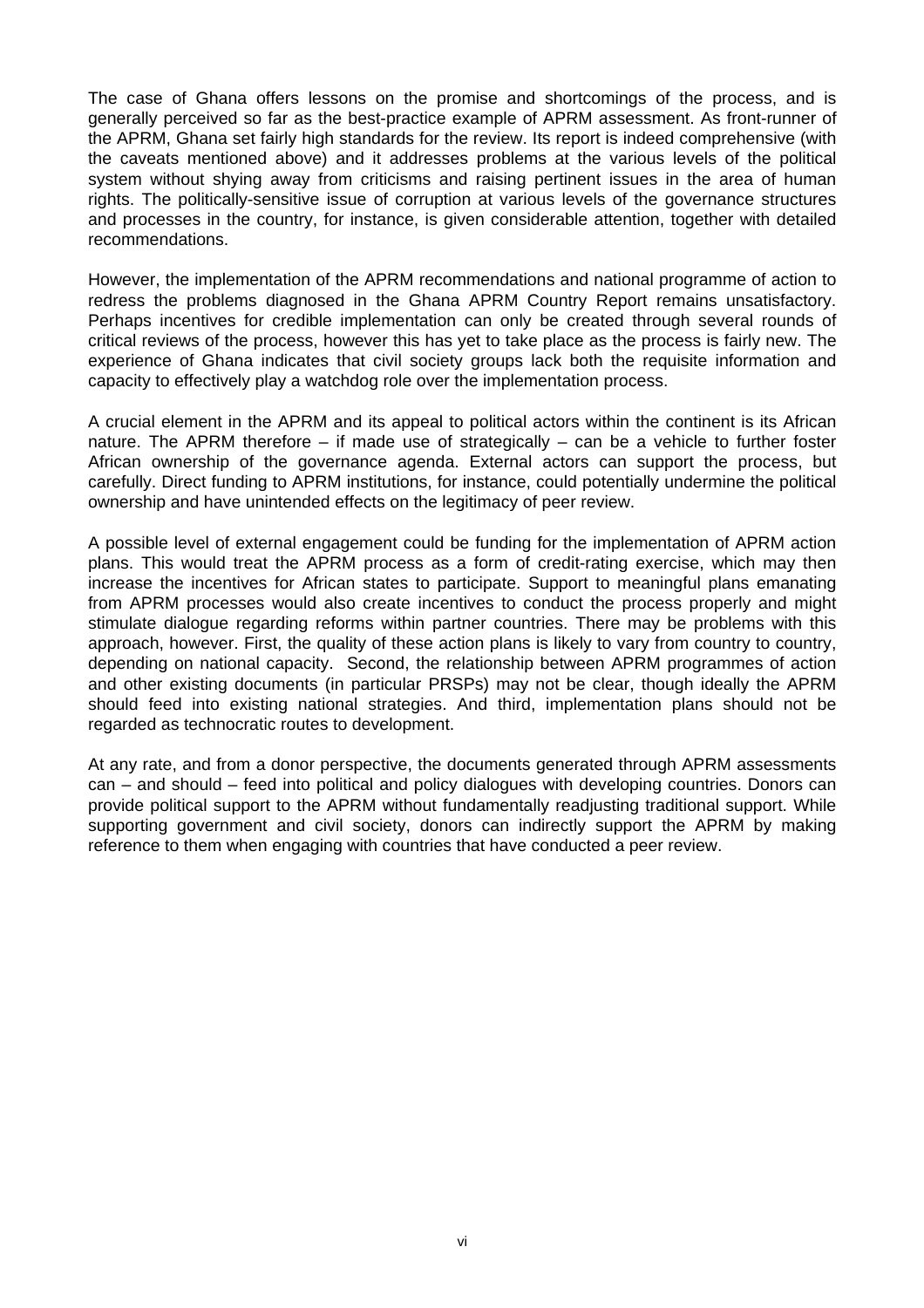The case of Ghana offers lessons on the promise and shortcomings of the process, and is generally perceived so far as the best-practice example of APRM assessment. As front-runner of the APRM, Ghana set fairly high standards for the review. Its report is indeed comprehensive (with the caveats mentioned above) and it addresses problems at the various levels of the political system without shying away from criticisms and raising pertinent issues in the area of human rights. The politically-sensitive issue of corruption at various levels of the governance structures and processes in the country, for instance, is given considerable attention, together with detailed recommendations.

However, the implementation of the APRM recommendations and national programme of action to redress the problems diagnosed in the Ghana APRM Country Report remains unsatisfactory. Perhaps incentives for credible implementation can only be created through several rounds of critical reviews of the process, however this has yet to take place as the process is fairly new. The experience of Ghana indicates that civil society groups lack both the requisite information and capacity to effectively play a watchdog role over the implementation process.

A crucial element in the APRM and its appeal to political actors within the continent is its African nature. The APRM therefore – if made use of strategically – can be a vehicle to further foster African ownership of the governance agenda. External actors can support the process, but carefully. Direct funding to APRM institutions, for instance, could potentially undermine the political ownership and have unintended effects on the legitimacy of peer review.

A possible level of external engagement could be funding for the implementation of APRM action plans. This would treat the APRM process as a form of credit-rating exercise, which may then increase the incentives for African states to participate. Support to meaningful plans emanating from APRM processes would also create incentives to conduct the process properly and might stimulate dialogue regarding reforms within partner countries. There may be problems with this approach, however. First, the quality of these action plans is likely to vary from country to country, depending on national capacity. Second, the relationship between APRM programmes of action and other existing documents (in particular PRSPs) may not be clear, though ideally the APRM should feed into existing national strategies. And third, implementation plans should not be regarded as technocratic routes to development.

At any rate, and from a donor perspective, the documents generated through APRM assessments can – and should – feed into political and policy dialogues with developing countries. Donors can provide political support to the APRM without fundamentally readjusting traditional support. While supporting government and civil society, donors can indirectly support the APRM by making reference to them when engaging with countries that have conducted a peer review.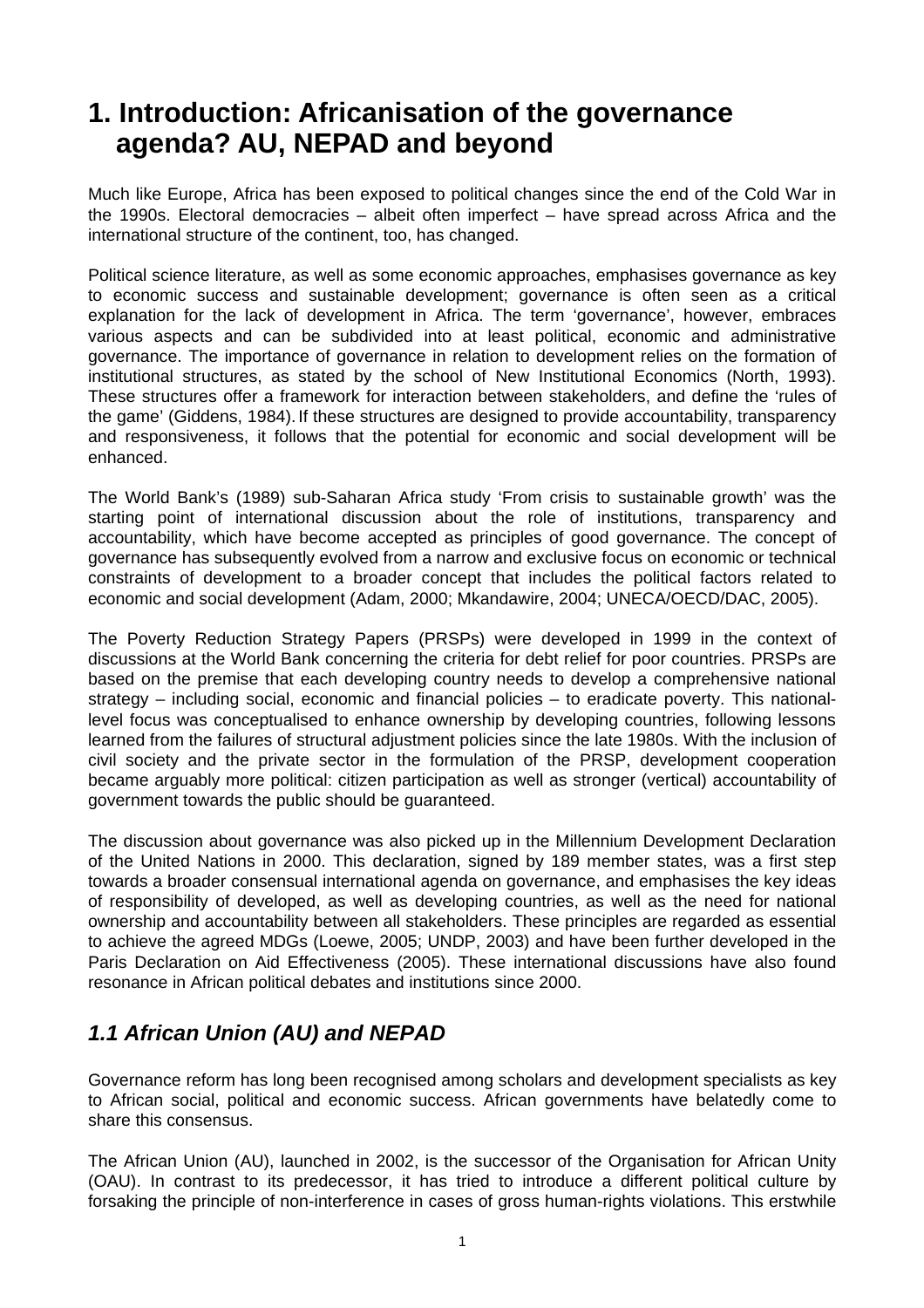## <span id="page-6-0"></span>**1. Introduction: Africanisation of the governance agenda? AU, NEPAD and beyond**

Much like Europe, Africa has been exposed to political changes since the end of the Cold War in the 1990s. Electoral democracies – albeit often imperfect – have spread across Africa and the international structure of the continent, too, has changed.

Political science literature, as well as some economic approaches, emphasises governance as key to economic success and sustainable development; governance is often seen as a critical explanation for the lack of development in Africa. The term 'governance', however, embraces various aspects and can be subdivided into at least political, economic and administrative governance. The importance of governance in relation to development relies on the formation of institutional structures, as stated by the school of New Institutional Economics (North, 1993). These structures offer a framework for interaction between stakeholders, and define the 'rules of the game' (Giddens, 1984). If these structures are designed to provide accountability, transparency and responsiveness, it follows that the potential for economic and social development will be enhanced.

The World Bank's (1989) sub-Saharan Africa study 'From crisis to sustainable growth' was the starting point of international discussion about the role of institutions, transparency and accountability, which have become accepted as principles of good governance. The concept of governance has subsequently evolved from a narrow and exclusive focus on economic or technical constraints of development to a broader concept that includes the political factors related to economic and social development (Adam, 2000; Mkandawire, 2004; UNECA/OECD/DAC, 2005).

The Poverty Reduction Strategy Papers (PRSPs) were developed in 1999 in the context of discussions at the World Bank concerning the criteria for debt relief for poor countries. PRSPs are based on the premise that each developing country needs to develop a comprehensive national strategy – including social, economic and financial policies – to eradicate poverty. This nationallevel focus was conceptualised to enhance ownership by developing countries, following lessons learned from the failures of structural adjustment policies since the late 1980s. With the inclusion of civil society and the private sector in the formulation of the PRSP, development cooperation became arguably more political: citizen participation as well as stronger (vertical) accountability of government towards the public should be guaranteed.

The discussion about governance was also picked up in the Millennium Development Declaration of the United Nations in 2000. This declaration, signed by 189 member states, was a first step towards a broader consensual international agenda on governance, and emphasises the key ideas of responsibility of developed, as well as developing countries, as well as the need for national ownership and accountability between all stakeholders. These principles are regarded as essential to achieve the agreed MDGs (Loewe, 2005; UNDP, 2003) and have been further developed in the Paris Declaration on Aid Effectiveness (2005). These international discussions have also found resonance in African political debates and institutions since 2000.

## *1.1 African Union (AU) and NEPAD*

Governance reform has long been recognised among scholars and development specialists as key to African social, political and economic success. African governments have belatedly come to share this consensus.

The African Union (AU), launched in 2002, is the successor of the Organisation for African Unity (OAU). In contrast to its predecessor, it has tried to introduce a different political culture by forsaking the principle of non-interference in cases of gross human-rights violations. This erstwhile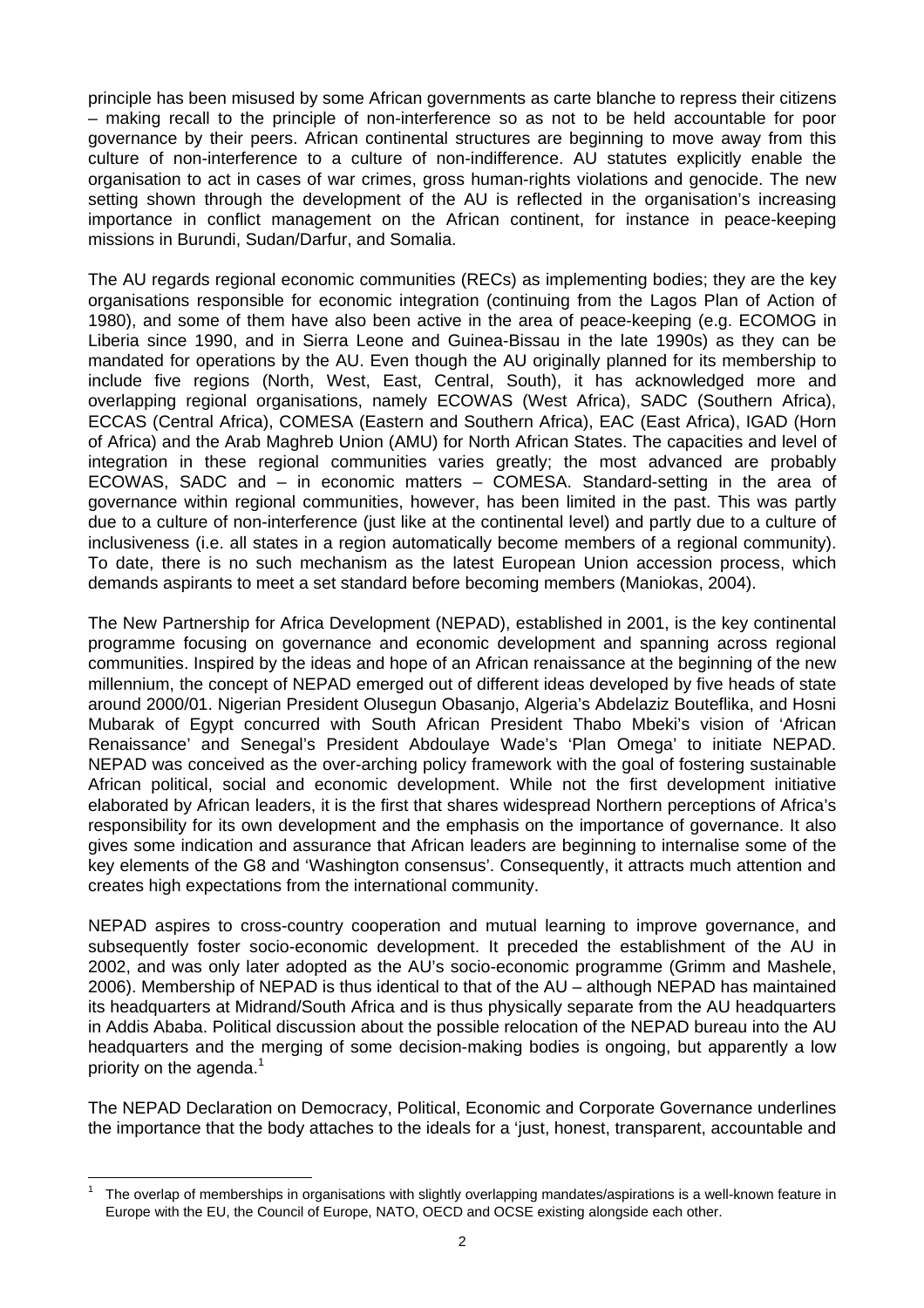principle has been misused by some African governments as carte blanche to repress their citizens – making recall to the principle of non-interference so as not to be held accountable for poor governance by their peers. African continental structures are beginning to move away from this culture of non-interference to a culture of non-indifference. AU statutes explicitly enable the organisation to act in cases of war crimes, gross human-rights violations and genocide. The new setting shown through the development of the AU is reflected in the organisation's increasing importance in conflict management on the African continent, for instance in peace-keeping missions in Burundi, Sudan/Darfur, and Somalia.

The AU regards regional economic communities (RECs) as implementing bodies; they are the key organisations responsible for economic integration (continuing from the Lagos Plan of Action of 1980), and some of them have also been active in the area of peace-keeping (e.g. ECOMOG in Liberia since 1990, and in Sierra Leone and Guinea-Bissau in the late 1990s) as they can be mandated for operations by the AU. Even though the AU originally planned for its membership to include five regions (North, West, East, Central, South), it has acknowledged more and overlapping regional organisations, namely ECOWAS (West Africa), SADC (Southern Africa), ECCAS (Central Africa), COMESA (Eastern and Southern Africa), EAC (East Africa), IGAD (Horn of Africa) and the Arab Maghreb Union (AMU) for North African States. The capacities and level of integration in these regional communities varies greatly; the most advanced are probably ECOWAS, SADC and – in economic matters – COMESA. Standard-setting in the area of governance within regional communities, however, has been limited in the past. This was partly due to a culture of non-interference (just like at the continental level) and partly due to a culture of inclusiveness (i.e. all states in a region automatically become members of a regional community). To date, there is no such mechanism as the latest European Union accession process, which demands aspirants to meet a set standard before becoming members (Maniokas, 2004).

The New Partnership for Africa Development (NEPAD), established in 2001, is the key continental programme focusing on governance and economic development and spanning across regional communities. Inspired by the ideas and hope of an African renaissance at the beginning of the new millennium, the concept of NEPAD emerged out of different ideas developed by five heads of state around 2000/01. Nigerian President Olusegun Obasanjo, Algeria's Abdelaziz Bouteflika, and Hosni Mubarak of Egypt concurred with South African President Thabo Mbeki's vision of 'African Renaissance' and Senegal's President Abdoulaye Wade's 'Plan Omega' to initiate NEPAD. NEPAD was conceived as the over-arching policy framework with the goal of fostering sustainable African political, social and economic development. While not the first development initiative elaborated by African leaders, it is the first that shares widespread Northern perceptions of Africa's responsibility for its own development and the emphasis on the importance of governance. It also gives some indication and assurance that African leaders are beginning to internalise some of the key elements of the G8 and 'Washington consensus'. Consequently, it attracts much attention and creates high expectations from the international community.

NEPAD aspires to cross-country cooperation and mutual learning to improve governance, and subsequently foster socio-economic development. It preceded the establishment of the AU in 2002, and was only later adopted as the AU's socio-economic programme (Grimm and Mashele, 2006). Membership of NEPAD is thus identical to that of the AU – although NEPAD has maintained its headquarters at Midrand/South Africa and is thus physically separate from the AU headquarters in Addis Ababa. Political discussion about the possible relocation of the NEPAD bureau into the AU headquarters and the merging of some decision-making bodies is ongoing, but apparently a low priority on the agenda.<sup>[1](#page-7-0)</sup>

The NEPAD Declaration on Democracy, Political, Economic and Corporate Governance underlines the importance that the body attaches to the ideals for a 'just, honest, transparent, accountable and

<span id="page-7-0"></span>The overlap of memberships in organisations with slightly overlapping mandates/aspirations is a well-known feature in Europe with the EU, the Council of Europe, NATO, OECD and OCSE existing alongside each other.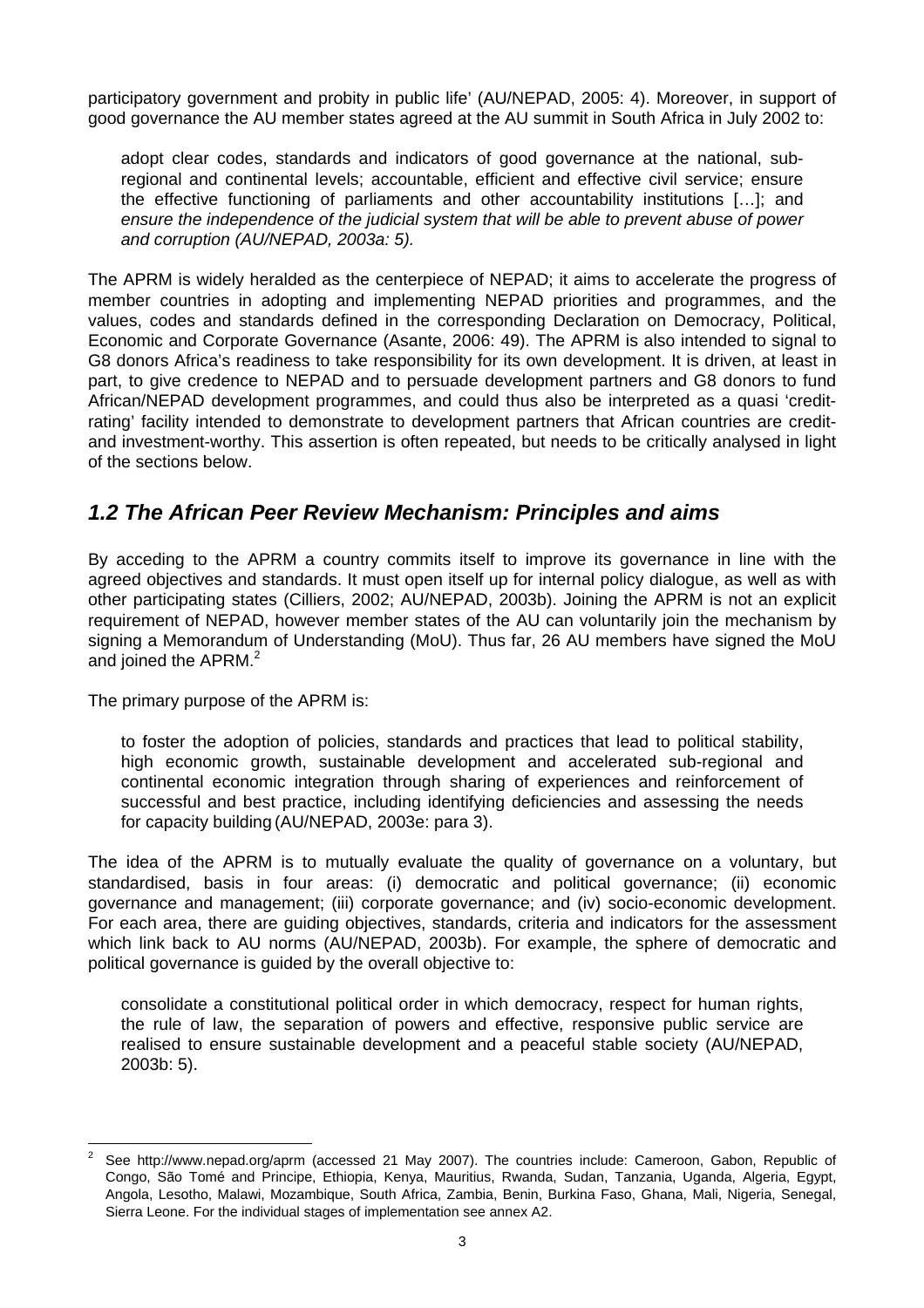<span id="page-8-0"></span>participatory government and probity in public life' (AU/NEPAD, 2005: 4). Moreover, in support of good governance the AU member states agreed at the AU summit in South Africa in July 2002 to:

adopt clear codes, standards and indicators of good governance at the national, subregional and continental levels; accountable, efficient and effective civil service; ensure the effective functioning of parliaments and other accountability institutions […]; and *ensure the independence of the judicial system that will be able to prevent abuse of power and corruption (AU/NEPAD, 2003a: 5).* 

The APRM is widely heralded as the centerpiece of NEPAD; it aims to accelerate the progress of member countries in adopting and implementing NEPAD priorities and programmes, and the values, codes and standards defined in the corresponding Declaration on Democracy, Political, Economic and Corporate Governance (Asante, 2006: 49). The APRM is also intended to signal to G8 donors Africa's readiness to take responsibility for its own development. It is driven, at least in part, to give credence to NEPAD and to persuade development partners and G8 donors to fund African/NEPAD development programmes, and could thus also be interpreted as a quasi 'creditrating' facility intended to demonstrate to development partners that African countries are creditand investment-worthy. This assertion is often repeated, but needs to be critically analysed in light of the sections below.

### *1.2 The African Peer Review Mechanism: Principles and aims*

By acceding to the APRM a country commits itself to improve its governance in line with the agreed objectives and standards. It must open itself up for internal policy dialogue, as well as with other participating states (Cilliers, 2002; AU/NEPAD, 2003b). Joining the APRM is not an explicit requirement of NEPAD, however member states of the AU can voluntarily join the mechanism by signing a Memorandum of Understanding (MoU). Thus far, 26 AU members have signed the MoU and joined the APRM.<sup>[2](#page-8-1)</sup>

The primary purpose of the APRM is:

to foster the adoption of policies, standards and practices that lead to political stability, high economic growth, sustainable development and accelerated sub-regional and continental economic integration through sharing of experiences and reinforcement of successful and best practice, including identifying deficiencies and assessing the needs for capacity building (AU/NEPAD, 2003e: para 3).

The idea of the APRM is to mutually evaluate the quality of governance on a voluntary, but standardised, basis in four areas: (i) democratic and political governance; (ii) economic governance and management; (iii) corporate governance; and (iv) socio-economic development. For each area, there are guiding objectives, standards, criteria and indicators for the assessment which link back to AU norms (AU/NEPAD, 2003b). For example, the sphere of democratic and political governance is guided by the overall objective to:

consolidate a constitutional political order in which democracy, respect for human rights, the rule of law, the separation of powers and effective, responsive public service are realised to ensure sustainable development and a peaceful stable society (AU/NEPAD, 2003b: 5).

<span id="page-8-1"></span> $\frac{1}{2}$  See <http://www.nepad.org/aprm>(accessed 21 May 2007). The countries include: Cameroon, [Gabon,](http://sites.dbsa.org/aprm/index.php?option=com_aprm_countries&Itemid=31&page=participating-countries-detail&cid=7&id=7) [Republic of](http://sites.dbsa.org/aprm/index.php?option=com_aprm_countries&Itemid=31&page=participating-countries-detail&cid=7&id=8) [Congo,](http://sites.dbsa.org/aprm/index.php?option=com_aprm_countries&Itemid=31&page=participating-countries-detail&cid=7&id=8) [São Tomé and Principe,](http://sites.dbsa.org/aprm/index.php?option=com_aprm_countries&Itemid=31&page=participating-countries-detail&cid=7&id=9) [Ethiopia](http://sites.dbsa.org/aprm/index.php?option=com_aprm_countries&Itemid=31&page=participating-countries-detail&cid=7&id=53), [Kenya,](http://sites.dbsa.org/aprm/index.php?option=com_aprm_countries&Itemid=31&page=participating-countries-detail&cid=7&id=14) [Mauritius,](http://sites.dbsa.org/aprm/index.php?option=com_aprm_countries&Itemid=31&page=participating-countries-detail&cid=7&id=16) [Rwanda,](http://sites.dbsa.org/aprm/index.php?option=com_aprm_countries&Itemid=31&page=participating-countries-detail&cid=7&id=22) [Sudan,](http://sites.dbsa.org/aprm/index.php?option=com_aprm_countries&Itemid=31&page=participating-countries-detail&cid=7&id=19) [Tanzania,](http://sites.dbsa.org/aprm/index.php?option=com_aprm_countries&Itemid=31&page=participating-countries-detail&cid=7&id=20) [Uganda,](http://sites.dbsa.org/aprm/index.php?option=com_aprm_countries&Itemid=31&page=participating-countries-detail&cid=7&id=21) [Algeria,](http://sites.dbsa.org/aprm/index.php?option=com_aprm_countries&Itemid=31&page=participating-countries-detail&cid=7&id=23) [Egypt,](http://sites.dbsa.org/aprm/index.php?option=com_aprm_countries&Itemid=31&page=participating-countries-detail&cid=7&id=24)  [Angola,](http://sites.dbsa.org/aprm/index.php?option=com_aprm_countries&Itemid=31&page=participating-countries-detail&cid=7&id=28) [Lesotho,](http://sites.dbsa.org/aprm/index.php?option=com_aprm_countries&Itemid=31&page=participating-countries-detail&cid=7&id=30) [Malawi,](http://sites.dbsa.org/aprm/index.php?option=com_aprm_countries&Itemid=31&page=participating-countries-detail&cid=7&id=31) [Mozambique,](http://sites.dbsa.org/aprm/index.php?option=com_aprm_countries&Itemid=31&page=participating-countries-detail&cid=7&id=32) [South Africa,](http://sites.dbsa.org/aprm/index.php?option=com_aprm_countries&Itemid=31&page=participating-countries-detail&cid=7&id=34) [Zambia,](http://sites.dbsa.org/aprm/index.php?option=com_aprm_countries&Itemid=31&page=participating-countries-detail&cid=7&id=36) [Benin,](http://sites.dbsa.org/aprm/index.php?option=com_aprm_countries&Itemid=31&page=participating-countries-detail&cid=7&id=37) [Burkina Faso,](http://sites.dbsa.org/aprm/index.php?option=com_aprm_countries&Itemid=31&page=participating-countries-detail&cid=7&id=38) [Ghana,](http://sites.dbsa.org/aprm/index.php?option=com_aprm_countries&Itemid=31&page=participating-countries-detail&cid=7&id=42) [Mali,](http://sites.dbsa.org/aprm/index.php?option=com_aprm_countries&Itemid=31&page=participating-countries-detail&cid=7&id=46) [Nigeria,](http://sites.dbsa.org/aprm/index.php?option=com_aprm_countries&Itemid=31&page=participating-countries-detail&cid=7&id=49) [Senegal,](http://sites.dbsa.org/aprm/index.php?option=com_aprm_countries&Itemid=31&page=participating-countries-detail&cid=7&id=50) Sierra Leone. For the individual stages of implementation see annex A2.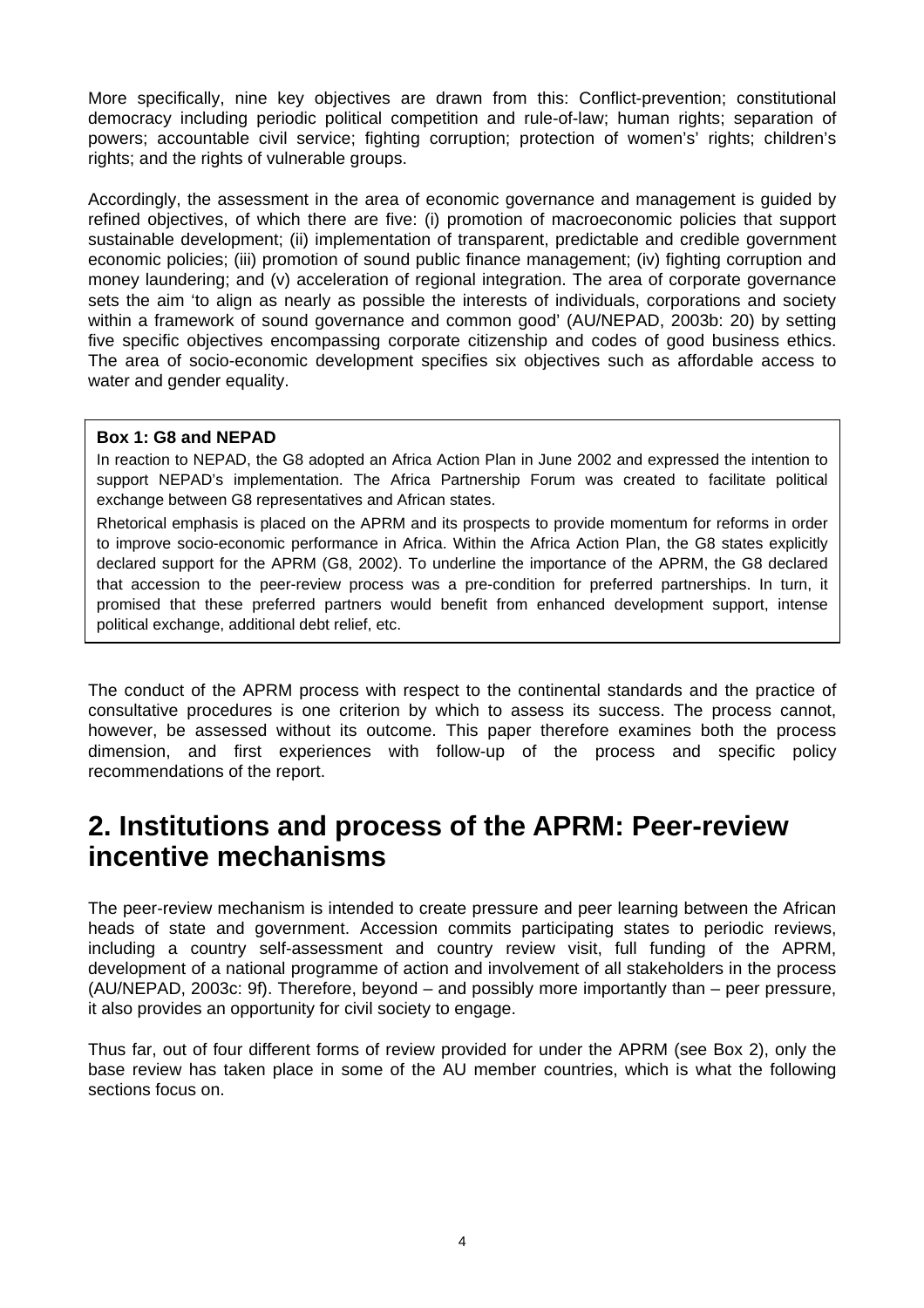<span id="page-9-0"></span>More specifically, nine key objectives are drawn from this: Conflict-prevention; constitutional democracy including periodic political competition and rule-of-law; human rights; separation of powers; accountable civil service; fighting corruption; protection of women's' rights; children's rights; and the rights of vulnerable groups.

Accordingly, the assessment in the area of economic governance and management is guided by refined objectives, of which there are five: (i) promotion of macroeconomic policies that support sustainable development; (ii) implementation of transparent, predictable and credible government economic policies; (iii) promotion of sound public finance management; (iv) fighting corruption and money laundering; and (v) acceleration of regional integration. The area of corporate governance sets the aim 'to align as nearly as possible the interests of individuals, corporations and society within a framework of sound governance and common good' (AU/NEPAD, 2003b: 20) by setting five specific objectives encompassing corporate citizenship and codes of good business ethics. The area of socio-economic development specifies six objectives such as affordable access to water and gender equality.

#### **Box 1: G8 and NEPAD**

In reaction to NEPAD, the G8 adopted an Africa Action Plan in June 2002 and expressed the intention to support NEPAD's implementation. The Africa Partnership Forum was created to facilitate political exchange between G8 representatives and African states.

Rhetorical emphasis is placed on the APRM and its prospects to provide momentum for reforms in order to improve socio-economic performance in Africa. Within the Africa Action Plan, the G8 states explicitly declared support for the APRM (G8, 2002). To underline the importance of the APRM, the G8 declared that accession to the peer-review process was a pre-condition for preferred partnerships. In turn, it promised that these preferred partners would benefit from enhanced development support, intense political exchange, additional debt relief, etc.

The conduct of the APRM process with respect to the continental standards and the practice of consultative procedures is one criterion by which to assess its success. The process cannot, however, be assessed without its outcome. This paper therefore examines both the process dimension, and first experiences with follow-up of the process and specific policy recommendations of the report.

## **2. Institutions and process of the APRM: Peer-review incentive mechanisms**

The peer-review mechanism is intended to create pressure and peer learning between the African heads of state and government. Accession commits participating states to periodic reviews, including a country self-assessment and country review visit, full funding of the APRM, development of a national programme of action and involvement of all stakeholders in the process (AU/NEPAD, 2003c: 9f). Therefore, beyond – and possibly more importantly than – peer pressure, it also provides an opportunity for civil society to engage.

Thus far, out of four different forms of review provided for under the APRM (see Box 2), only the base review has taken place in some of the AU member countries, which is what the following sections focus on.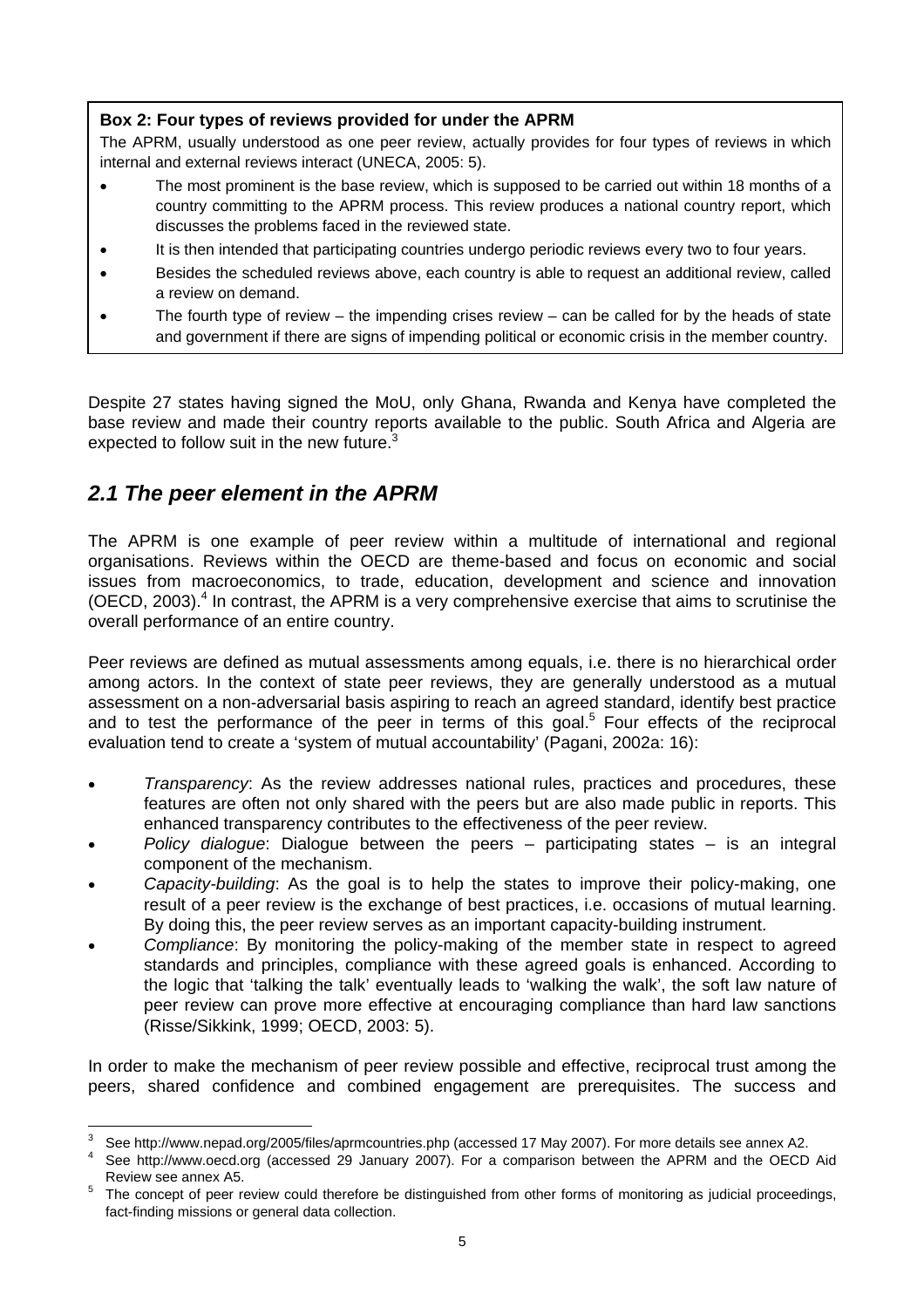#### <span id="page-10-0"></span>**Box 2: Four types of reviews provided for under the APRM**

The APRM, usually understood as one peer review, actually provides for four types of reviews in which internal and external reviews interact (UNECA, 2005: 5).

- The most prominent is the base review, which is supposed to be carried out within 18 months of a country committing to the APRM process. This review produces a national country report, which discusses the problems faced in the reviewed state.
- It is then intended that participating countries undergo periodic reviews every two to four years.
- Besides the scheduled reviews above, each country is able to request an additional review, called a review on demand.
- The fourth type of review the impending crises review can be called for by the heads of state and government if there are signs of impending political or economic crisis in the member country.

Despite 27 states having signed the MoU, only Ghana, Rwanda and Kenya have completed the base review and made their country reports available to the public. South Africa and Algeria are expected to follow suit in the new future.<sup>[3](#page-10-1)</sup>

### *2.1 The peer element in the APRM*

The APRM is one example of peer review within a multitude of international and regional organisations. Reviews within the OECD are theme-based and focus on economic and social issues from macroeconomics, to trade, education, development and science and innovation (OECD, 2003). $<sup>4</sup>$  $<sup>4</sup>$  $<sup>4</sup>$  In contrast, the APRM is a very comprehensive exercise that aims to scrutinise the</sup> overall performance of an entire country.

Peer reviews are defined as mutual assessments among equals, i.e. there is no hierarchical order among actors. In the context of state peer reviews, they are generally understood as a mutual assessment on a non-adversarial basis aspiring to reach an agreed standard, identify best practice and to test the performance of the peer in terms of this goal.<sup>[5](#page-10-3)</sup> Four effects of the reciprocal evaluation tend to create a 'system of mutual accountability' (Pagani, 2002a: 16):

- *Transparency*: As the review addresses national rules, practices and procedures, these features are often not only shared with the peers but are also made public in reports. This enhanced transparency contributes to the effectiveness of the peer review.
- *Policy dialogue*: Dialogue between the peers participating states is an integral component of the mechanism.
- *Capacity-building*: As the goal is to help the states to improve their policy-making, one result of a peer review is the exchange of best practices, i.e. occasions of mutual learning. By doing this, the peer review serves as an important capacity-building instrument.
- *Compliance*: By monitoring the policy-making of the member state in respect to agreed standards and principles, compliance with these agreed goals is enhanced. According to the logic that 'talking the talk' eventually leads to 'walking the walk', the soft law nature of peer review can prove more effective at encouraging compliance than hard law sanctions (Risse/Sikkink, 1999; OECD, 2003: 5).

In order to make the mechanism of peer review possible and effective, reciprocal trust among the peers, shared confidence and combined engagement are prerequisites. The success and

<sup>-&</sup>lt;br>3 See http://www.nepad.org/2005/files/aprmcountries.php (accessed 17 May 2007). For more details see annex A2. 4

<span id="page-10-2"></span><span id="page-10-1"></span>See [http://www.oecd.org](http://www.oecd.org/) (accessed 29 January 2007). For a comparison between the APRM and the OECD Aid

<span id="page-10-3"></span>Review see annex A5.<br>The concept of peer review could therefore be distinguished from other forms of monitoring as judicial proceedings, fact-finding missions or general data collection.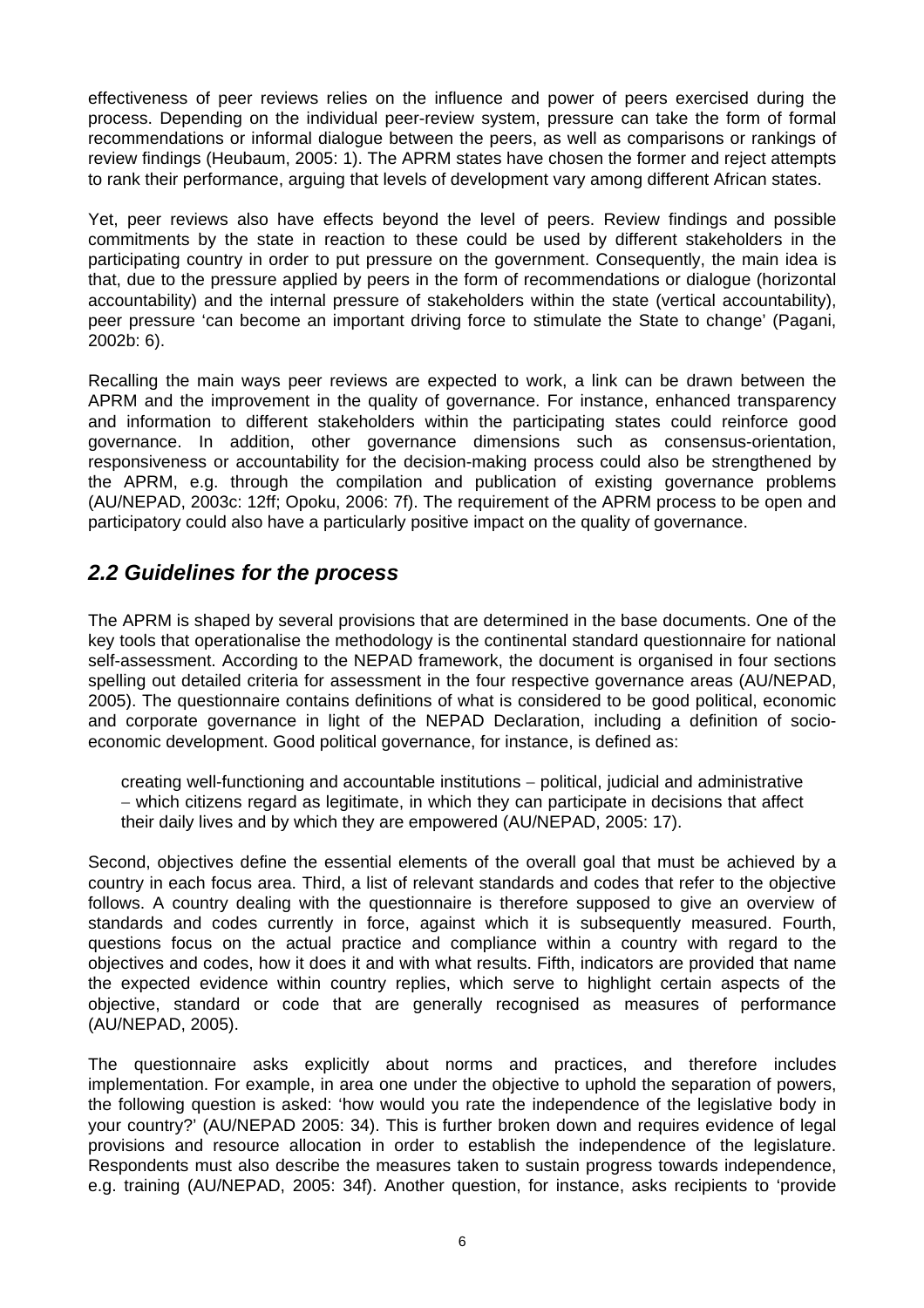<span id="page-11-0"></span>effectiveness of peer reviews relies on the influence and power of peers exercised during the process. Depending on the individual peer-review system, pressure can take the form of formal recommendations or informal dialogue between the peers, as well as comparisons or rankings of review findings (Heubaum, 2005: 1). The APRM states have chosen the former and reject attempts to rank their performance, arguing that levels of development vary among different African states.

Yet, peer reviews also have effects beyond the level of peers. Review findings and possible commitments by the state in reaction to these could be used by different stakeholders in the participating country in order to put pressure on the government. Consequently, the main idea is that, due to the pressure applied by peers in the form of recommendations or dialogue (horizontal accountability) and the internal pressure of stakeholders within the state (vertical accountability), peer pressure 'can become an important driving force to stimulate the State to change' (Pagani, 2002b: 6).

Recalling the main ways peer reviews are expected to work, a link can be drawn between the APRM and the improvement in the quality of governance. For instance, enhanced transparency and information to different stakeholders within the participating states could reinforce good governance. In addition, other governance dimensions such as consensus-orientation, responsiveness or accountability for the decision-making process could also be strengthened by the APRM, e.g. through the compilation and publication of existing governance problems (AU/NEPAD, 2003c: 12ff; Opoku, 2006: 7f). The requirement of the APRM process to be open and participatory could also have a particularly positive impact on the quality of governance.

### *2.2 Guidelines for the process*

The APRM is shaped by several provisions that are determined in the base documents. One of the key tools that operationalise the methodology is the continental standard questionnaire for national self-assessment. According to the NEPAD framework, the document is organised in four sections spelling out detailed criteria for assessment in the four respective governance areas (AU/NEPAD, 2005). The questionnaire contains definitions of what is considered to be good political, economic and corporate governance in light of the NEPAD Declaration, including a definition of socioeconomic development. Good political governance, for instance, is defined as:

creating well-functioning and accountable institutions − political, judicial and administrative − which citizens regard as legitimate, in which they can participate in decisions that affect their daily lives and by which they are empowered (AU/NEPAD, 2005: 17).

Second, objectives define the essential elements of the overall goal that must be achieved by a country in each focus area. Third, a list of relevant standards and codes that refer to the objective follows. A country dealing with the questionnaire is therefore supposed to give an overview of standards and codes currently in force, against which it is subsequently measured. Fourth, questions focus on the actual practice and compliance within a country with regard to the objectives and codes, how it does it and with what results. Fifth, indicators are provided that name the expected evidence within country replies, which serve to highlight certain aspects of the objective, standard or code that are generally recognised as measures of performance (AU/NEPAD, 2005).

The questionnaire asks explicitly about norms and practices, and therefore includes implementation. For example, in area one under the objective to uphold the separation of powers, the following question is asked: 'how would you rate the independence of the legislative body in your country?' (AU/NEPAD 2005: 34). This is further broken down and requires evidence of legal provisions and resource allocation in order to establish the independence of the legislature. Respondents must also describe the measures taken to sustain progress towards independence, e.g. training (AU/NEPAD, 2005: 34f). Another question, for instance, asks recipients to 'provide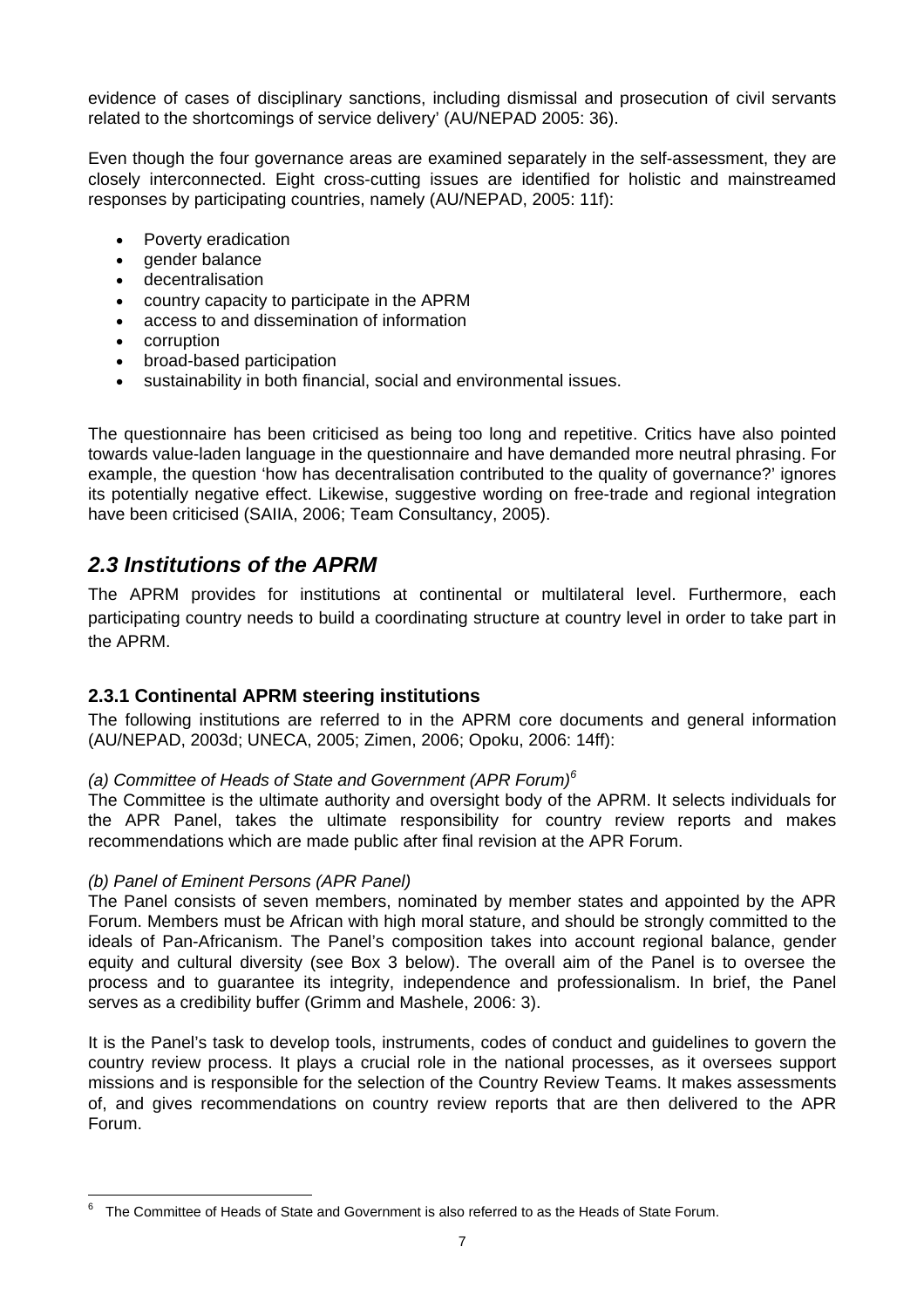<span id="page-12-0"></span>evidence of cases of disciplinary sanctions, including dismissal and prosecution of civil servants related to the shortcomings of service delivery' (AU/NEPAD 2005: 36).

Even though the four governance areas are examined separately in the self-assessment, they are closely interconnected. Eight cross-cutting issues are identified for holistic and mainstreamed responses by participating countries, namely (AU/NEPAD, 2005: 11f):

- Poverty eradication
- gender balance
- decentralisation
- country capacity to participate in the APRM
- access to and dissemination of information
- corruption
- broad-based participation
- sustainability in both financial, social and environmental issues.

The questionnaire has been criticised as being too long and repetitive. Critics have also pointed towards value-laden language in the questionnaire and have demanded more neutral phrasing. For example, the question 'how has decentralisation contributed to the quality of governance?' ignores its potentially negative effect. Likewise, suggestive wording on free-trade and regional integration have been criticised (SAIIA, 2006; Team Consultancy, 2005).

### *2.3 Institutions of the APRM*

The APRM provides for institutions at continental or multilateral level. Furthermore, each participating country needs to build a coordinating structure at country level in order to take part in the APRM.

#### **2.3.1 Continental APRM steering institutions**

The following institutions are referred to in the APRM core documents and general information (AU/NEPAD, 2003d; UNECA, 2005; Zimen, 2006; Opoku, 2006: 14ff):

#### (a) Committee of Heads of State and Government (APR Forum)<sup>[6](#page-12-1)</sup>

The Committee is the ultimate authority and oversight body of the APRM. It selects individuals for the APR Panel, takes the ultimate responsibility for country review reports and makes recommendations which are made public after final revision at the APR Forum.

#### *(b) Panel of Eminent Persons (APR Panel)*

The Panel consists of seven members, nominated by member states and appointed by the APR Forum. Members must be African with high moral stature, and should be strongly committed to the ideals of Pan-Africanism. The Panel's composition takes into account regional balance, gender equity and cultural diversity (see Box 3 below). The overall aim of the Panel is to oversee the process and to guarantee its integrity, independence and professionalism. In brief, the Panel serves as a credibility buffer (Grimm and Mashele, 2006: 3).

It is the Panel's task to develop tools, instruments, codes of conduct and guidelines to govern the country review process. It plays a crucial role in the national processes, as it oversees support missions and is responsible for the selection of the Country Review Teams. It makes assessments of, and gives recommendations on country review reports that are then delivered to the APR Forum.

<span id="page-12-1"></span><sup>—&</sup>lt;br>6  $6$  The Committee of Heads of State and Government is also referred to as the Heads of State Forum.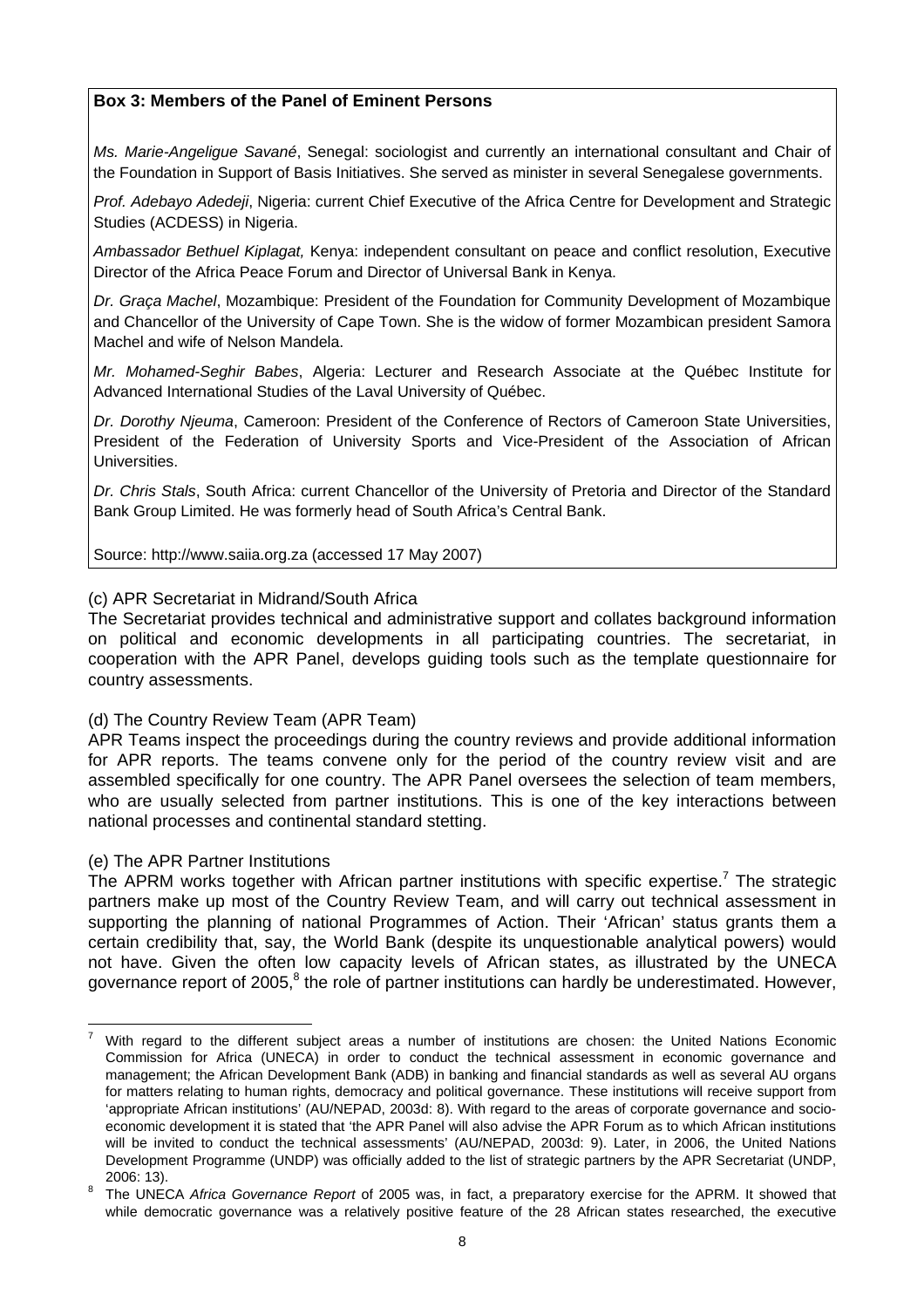#### **Box 3: Members of the Panel of Eminent Persons**

*Ms. Marie-Angeligue Savané*, Senegal: sociologist and currently an international consultant and Chair of the Foundation in Support of Basis Initiatives. She served as minister in several Senegalese governments.

*Prof. Adebayo Adedeji*, Nigeria: current Chief Executive of the Africa Centre for Development and Strategic Studies (ACDESS) in Nigeria.

*Ambassador Bethuel Kiplagat,* Kenya: independent consultant on peace and conflict resolution, Executive Director of the Africa Peace Forum and Director of Universal Bank in Kenya.

*Dr. Graça Machel*, Mozambique: President of the Foundation for Community Development of Mozambique and Chancellor of the University of Cape Town. She is the widow of former Mozambican president Samora Machel and wife of Nelson Mandela.

*Mr. Mohamed-Seghir Babes*, Algeria: Lecturer and Research Associate at the Québec Institute for Advanced International Studies of the Laval University of Québec.

*Dr. Dorothy Njeuma*, Cameroon: President of the Conference of Rectors of Cameroon State Universities, President of the Federation of University Sports and Vice-President of the Association of African Universities.

*Dr. Chris Stals*, South Africa: current Chancellor of the University of Pretoria and Director of the Standard Bank Group Limited. He was formerly head of South Africa's Central Bank.

Source: [http://www.saiia.org.za](http://www.saiia.org.za/) (accessed 17 May 2007)

#### (c) APR Secretariat in Midrand/South Africa

The Secretariat provides technical and administrative support and collates background information on political and economic developments in all participating countries. The secretariat, in cooperation with the APR Panel, develops guiding tools such as the template questionnaire for country assessments.

#### (d) The Country Review Team (APR Team)

APR Teams inspect the proceedings during the country reviews and provide additional information for APR reports. The teams convene only for the period of the country review visit and are assembled specifically for one country. The APR Panel oversees the selection of team members, who are usually selected from partner institutions. This is one of the key interactions between national processes and continental standard stetting.

#### (e) The APR Partner Institutions

The APRM works together with African partner institutions with specific expertise.<sup>[7](#page-13-0)</sup> The strategic partners make up most of the Country Review Team, and will carry out technical assessment in supporting the planning of national Programmes of Action. Their 'African' status grants them a certain credibility that, say, the World Bank (despite its unquestionable analytical powers) would not have. Given the often low capacity levels of African states, as illustrated by the UNECA governance report of 2005, $8$  the role of partner institutions can hardly be underestimated. However,

<span id="page-13-0"></span>With regard to the different subject areas a number of institutions are chosen: the United Nations Economic Commission for Africa (UNECA) in order to conduct the technical assessment in economic governance and management; the African Development Bank (ADB) in banking and financial standards as well as several AU organs for matters relating to human rights, democracy and political governance. These institutions will receive support from 'appropriate African institutions' (AU/NEPAD, 2003d: 8). With regard to the areas of corporate governance and socioeconomic development it is stated that 'the APR Panel will also advise the APR Forum as to which African institutions will be invited to conduct the technical assessments' (AU/NEPAD, 2003d: 9). Later, in 2006, the United Nations Development Programme (UNDP) was officially added to the list of strategic partners by the APR Secretariat (UNDP, 2006: 13). 8 The UNECA *Africa Governance Report* of 2005 was, in fact, a preparatory exercise for the APRM. It showed that

<span id="page-13-1"></span>while democratic governance was a relatively positive feature of the 28 African states researched, the executive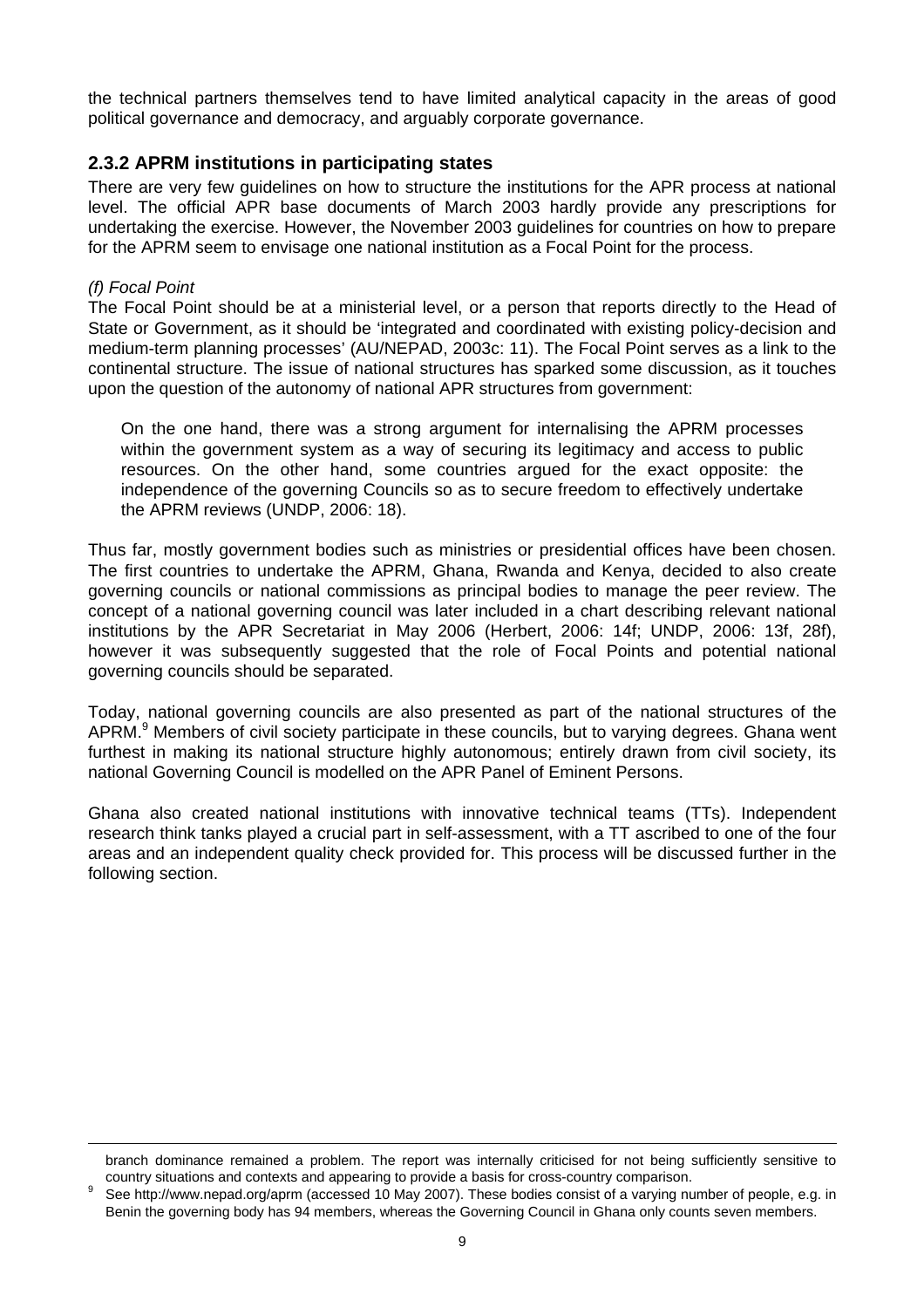the technical partners themselves tend to have limited analytical capacity in the areas of good political governance and democracy, and arguably corporate governance.

#### **2.3.2 APRM institutions in participating states**

There are very few guidelines on how to structure the institutions for the APR process at national level. The official APR base documents of March 2003 hardly provide any prescriptions for undertaking the exercise. However, the November 2003 guidelines for countries on how to prepare for the APRM seem to envisage one national institution as a Focal Point for the process.

#### *(f) Focal Point*

The Focal Point should be at a ministerial level, or a person that reports directly to the Head of State or Government, as it should be 'integrated and coordinated with existing policy-decision and medium-term planning processes' (AU/NEPAD, 2003c: 11). The Focal Point serves as a link to the continental structure. The issue of national structures has sparked some discussion, as it touches upon the question of the autonomy of national APR structures from government:

On the one hand, there was a strong argument for internalising the APRM processes within the government system as a way of securing its legitimacy and access to public resources. On the other hand, some countries argued for the exact opposite: the independence of the governing Councils so as to secure freedom to effectively undertake the APRM reviews (UNDP, 2006: 18).

Thus far, mostly government bodies such as ministries or presidential offices have been chosen. The first countries to undertake the APRM, Ghana, Rwanda and Kenya, decided to also create governing councils or national commissions as principal bodies to manage the peer review. The concept of a national governing council was later included in a chart describing relevant national institutions by the APR Secretariat in May 2006 (Herbert, 2006: 14f; UNDP, 2006: 13f, 28f), however it was subsequently suggested that the role of Focal Points and potential national governing councils should be separated.

Today, national governing councils are also presented as part of the national structures of the APRM.<sup>[9](#page-14-0)</sup> Members of civil society participate in these councils, but to varying degrees. Ghana went furthest in making its national structure highly autonomous; entirely drawn from civil society, its national Governing Council is modelled on the APR Panel of Eminent Persons.

Ghana also created national institutions with innovative technical teams (TTs). Independent research think tanks played a crucial part in self-assessment, with a TT ascribed to one of the four areas and an independent quality check provided for. This process will be discussed further in the following section.

branch dominance remained a problem. The report was internally criticised for not being sufficiently sensitive to country situations and contexts and appearing to provide a basis for cross-country comparison. 9

<span id="page-14-0"></span>See <http://www.nepad.org/aprm>(accessed 10 May 2007). These bodies consist of a varying number of people, e.g. in Benin the governing body has 94 members, whereas the Governing Council in Ghana only counts seven members.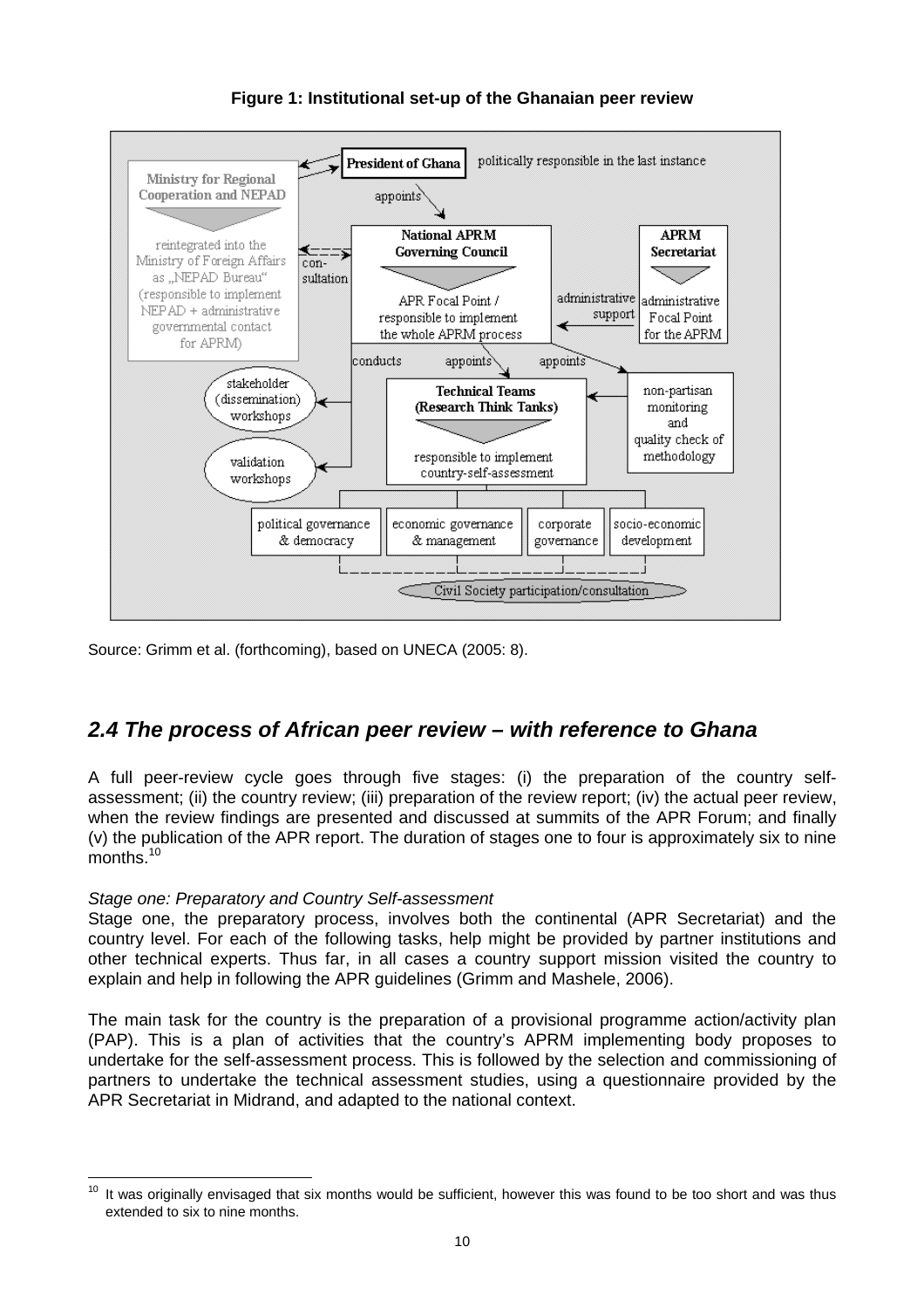<span id="page-15-0"></span>

**Figure 1: Institutional set-up of the Ghanaian peer review**

Source: Grimm et al. (forthcoming), based on UNECA (2005: 8).

### *2.4 The process of African peer review – with reference to Ghana*

A full peer-review cycle goes through five stages: (i) the preparation of the country selfassessment; (ii) the country review; (iii) preparation of the review report; (iv) the actual peer review, when the review findings are presented and discussed at summits of the APR Forum; and finally (v) the publication of the APR report. The duration of stages one to four is approximately six to nine months.<sup>[10](#page-15-1)</sup>

#### *Stage one: Preparatory and Country Self-assessment*

Stage one, the preparatory process, involves both the continental (APR Secretariat) and the country level. For each of the following tasks, help might be provided by partner institutions and other technical experts. Thus far, in all cases a country support mission visited the country to explain and help in following the APR guidelines (Grimm and Mashele, 2006).

The main task for the country is the preparation of a provisional programme action/activity plan (PAP). This is a plan of activities that the country's APRM implementing body proposes to undertake for the self-assessment process. This is followed by the selection and commissioning of partners to undertake the technical assessment studies, using a questionnaire provided by the APR Secretariat in Midrand, and adapted to the national context.

<span id="page-15-1"></span> $10$  It was originally envisaged that six months would be sufficient, however this was found to be too short and was thus extended to six to nine months.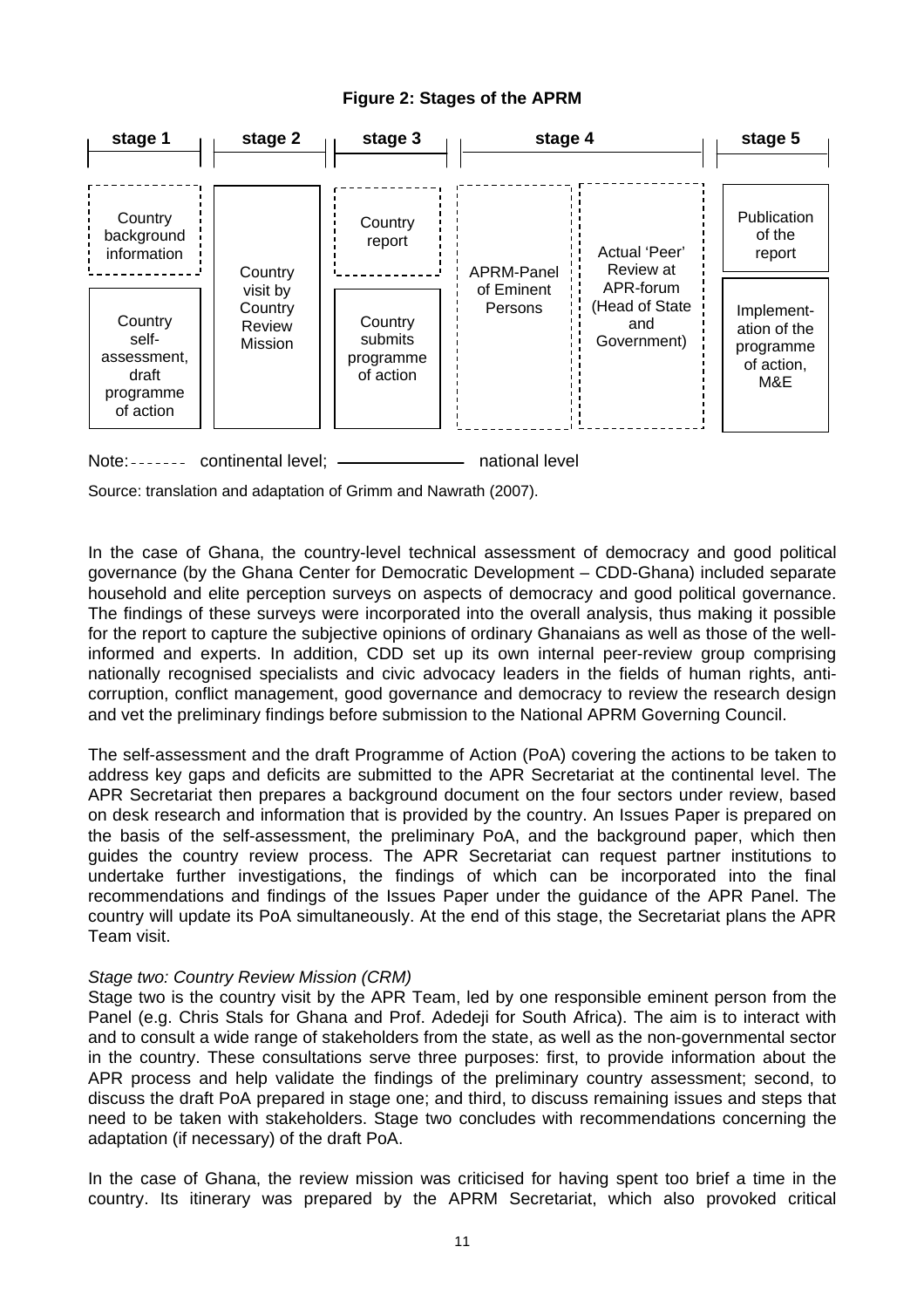#### **Figure 2: Stages of the APRM**





Source: translation and adaptation of Grimm and Nawrath (2007).

In the case of Ghana, the country-level technical assessment of democracy and good political governance (by the Ghana Center for Democratic Development – CDD-Ghana) included separate household and elite perception surveys on aspects of democracy and good political governance. The findings of these surveys were incorporated into the overall analysis, thus making it possible for the report to capture the subjective opinions of ordinary Ghanaians as well as those of the wellinformed and experts. In addition, CDD set up its own internal peer-review group comprising nationally recognised specialists and civic advocacy leaders in the fields of human rights, anticorruption, conflict management, good governance and democracy to review the research design and vet the preliminary findings before submission to the National APRM Governing Council.

The self-assessment and the draft Programme of Action (PoA) covering the actions to be taken to address key gaps and deficits are submitted to the APR Secretariat at the continental level. The APR Secretariat then prepares a background document on the four sectors under review, based on desk research and information that is provided by the country. An Issues Paper is prepared on the basis of the self-assessment, the preliminary PoA, and the background paper, which then guides the country review process. The APR Secretariat can request partner institutions to undertake further investigations, the findings of which can be incorporated into the final recommendations and findings of the Issues Paper under the guidance of the APR Panel. The country will update its PoA simultaneously. At the end of this stage, the Secretariat plans the APR Team visit.

#### *Stage two: Country Review Mission (CRM)*

Stage two is the country visit by the APR Team, led by one responsible eminent person from the Panel (e.g. Chris Stals for Ghana and Prof. Adedeji for South Africa). The aim is to interact with and to consult a wide range of stakeholders from the state, as well as the non-governmental sector in the country. These consultations serve three purposes: first, to provide information about the APR process and help validate the findings of the preliminary country assessment; second, to discuss the draft PoA prepared in stage one; and third, to discuss remaining issues and steps that need to be taken with stakeholders. Stage two concludes with recommendations concerning the adaptation (if necessary) of the draft PoA.

In the case of Ghana, the review mission was criticised for having spent too brief a time in the country. Its itinerary was prepared by the APRM Secretariat, which also provoked critical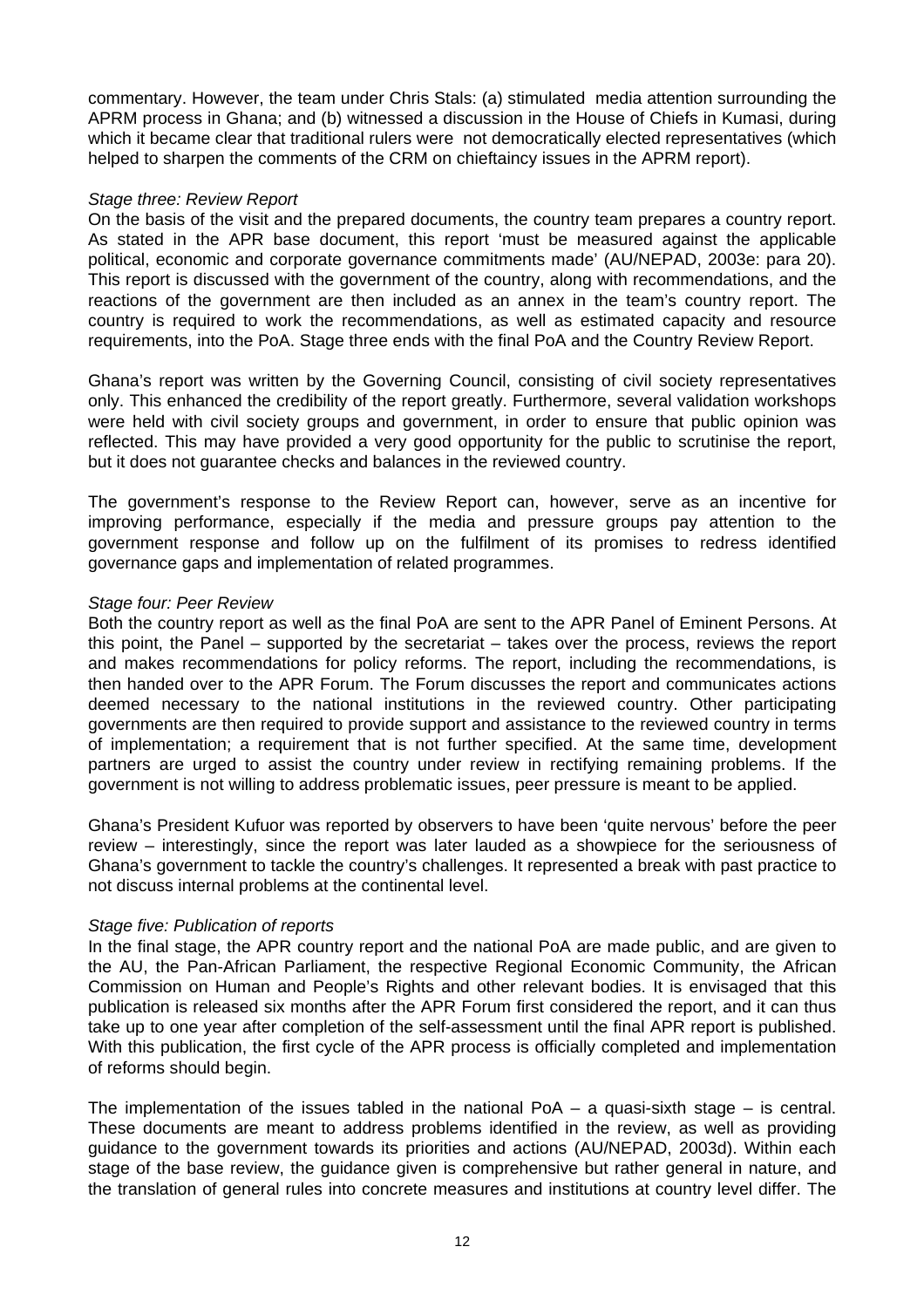commentary. However, the team under Chris Stals: (a) stimulated media attention surrounding the APRM process in Ghana; and (b) witnessed a discussion in the House of Chiefs in Kumasi, during which it became clear that traditional rulers were not democratically elected representatives (which helped to sharpen the comments of the CRM on chieftaincy issues in the APRM report).

#### *Stage three: Review Report*

On the basis of the visit and the prepared documents, the country team prepares a country report. As stated in the APR base document, this report 'must be measured against the applicable political, economic and corporate governance commitments made' (AU/NEPAD, 2003e: para 20). This report is discussed with the government of the country, along with recommendations, and the reactions of the government are then included as an annex in the team's country report. The country is required to work the recommendations, as well as estimated capacity and resource requirements, into the PoA. Stage three ends with the final PoA and the Country Review Report.

Ghana's report was written by the Governing Council, consisting of civil society representatives only. This enhanced the credibility of the report greatly. Furthermore, several validation workshops were held with civil society groups and government, in order to ensure that public opinion was reflected. This may have provided a very good opportunity for the public to scrutinise the report, but it does not guarantee checks and balances in the reviewed country.

The government's response to the Review Report can, however, serve as an incentive for improving performance, especially if the media and pressure groups pay attention to the government response and follow up on the fulfilment of its promises to redress identified governance gaps and implementation of related programmes.

#### *Stage four: Peer Review*

Both the country report as well as the final PoA are sent to the APR Panel of Eminent Persons. At this point, the Panel – supported by the secretariat – takes over the process, reviews the report and makes recommendations for policy reforms. The report, including the recommendations, is then handed over to the APR Forum. The Forum discusses the report and communicates actions deemed necessary to the national institutions in the reviewed country. Other participating governments are then required to provide support and assistance to the reviewed country in terms of implementation; a requirement that is not further specified. At the same time, development partners are urged to assist the country under review in rectifying remaining problems. If the government is not willing to address problematic issues, peer pressure is meant to be applied.

Ghana's President Kufuor was reported by observers to have been 'quite nervous' before the peer review – interestingly, since the report was later lauded as a showpiece for the seriousness of Ghana's government to tackle the country's challenges. It represented a break with past practice to not discuss internal problems at the continental level.

#### *Stage five: Publication of reports*

In the final stage, the APR country report and the national PoA are made public, and are given to the AU, the Pan-African Parliament, the respective Regional Economic Community, the African Commission on Human and People's Rights and other relevant bodies. It is envisaged that this publication is released six months after the APR Forum first considered the report, and it can thus take up to one year after completion of the self-assessment until the final APR report is published. With this publication, the first cycle of the APR process is officially completed and implementation of reforms should begin.

The implementation of the issues tabled in the national  $PoA - a$  quasi-sixth stage – is central. These documents are meant to address problems identified in the review, as well as providing guidance to the government towards its priorities and actions (AU/NEPAD, 2003d). Within each stage of the base review, the guidance given is comprehensive but rather general in nature, and the translation of general rules into concrete measures and institutions at country level differ. The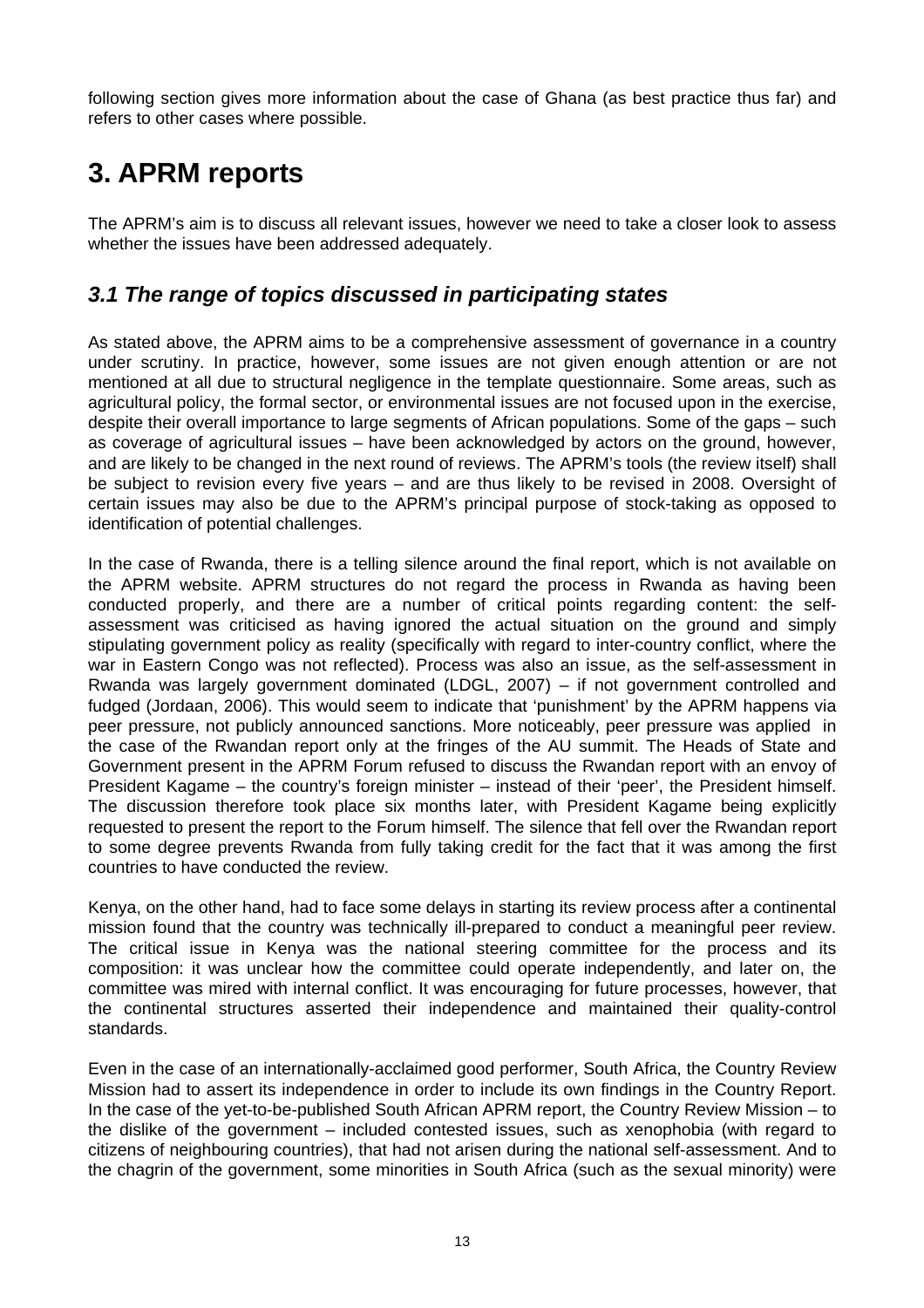<span id="page-18-0"></span>following section gives more information about the case of Ghana (as best practice thus far) and refers to other cases where possible.

## **3. APRM reports**

The APRM's aim is to discuss all relevant issues, however we need to take a closer look to assess whether the issues have been addressed adequately.

### *3.1 The range of topics discussed in participating states*

As stated above, the APRM aims to be a comprehensive assessment of governance in a country under scrutiny. In practice, however, some issues are not given enough attention or are not mentioned at all due to structural negligence in the template questionnaire. Some areas, such as agricultural policy, the formal sector, or environmental issues are not focused upon in the exercise, despite their overall importance to large segments of African populations. Some of the gaps – such as coverage of agricultural issues – have been acknowledged by actors on the ground, however, and are likely to be changed in the next round of reviews. The APRM's tools (the review itself) shall be subject to revision every five years – and are thus likely to be revised in 2008. Oversight of certain issues may also be due to the APRM's principal purpose of stock-taking as opposed to identification of potential challenges.

In the case of Rwanda, there is a telling silence around the final report, which is not available on the APRM website. APRM structures do not regard the process in Rwanda as having been conducted properly, and there are a number of critical points regarding content: the selfassessment was criticised as having ignored the actual situation on the ground and simply stipulating government policy as reality (specifically with regard to inter-country conflict, where the war in Eastern Congo was not reflected). Process was also an issue, as the self-assessment in Rwanda was largely government dominated (LDGL, 2007) – if not government controlled and fudged (Jordaan, 2006). This would seem to indicate that 'punishment' by the APRM happens via peer pressure, not publicly announced sanctions. More noticeably, peer pressure was applied in the case of the Rwandan report only at the fringes of the AU summit. The Heads of State and Government present in the APRM Forum refused to discuss the Rwandan report with an envoy of President Kagame – the country's foreign minister – instead of their 'peer', the President himself. The discussion therefore took place six months later, with President Kagame being explicitly requested to present the report to the Forum himself. The silence that fell over the Rwandan report to some degree prevents Rwanda from fully taking credit for the fact that it was among the first countries to have conducted the review.

Kenya, on the other hand, had to face some delays in starting its review process after a continental mission found that the country was technically ill-prepared to conduct a meaningful peer review. The critical issue in Kenya was the national steering committee for the process and its composition: it was unclear how the committee could operate independently, and later on, the committee was mired with internal conflict. It was encouraging for future processes, however, that the continental structures asserted their independence and maintained their quality-control standards.

Even in the case of an internationally-acclaimed good performer, South Africa, the Country Review Mission had to assert its independence in order to include its own findings in the Country Report. In the case of the yet-to-be-published South African APRM report, the Country Review Mission – to the dislike of the government – included contested issues, such as xenophobia (with regard to citizens of neighbouring countries), that had not arisen during the national self-assessment. And to the chagrin of the government, some minorities in South Africa (such as the sexual minority) were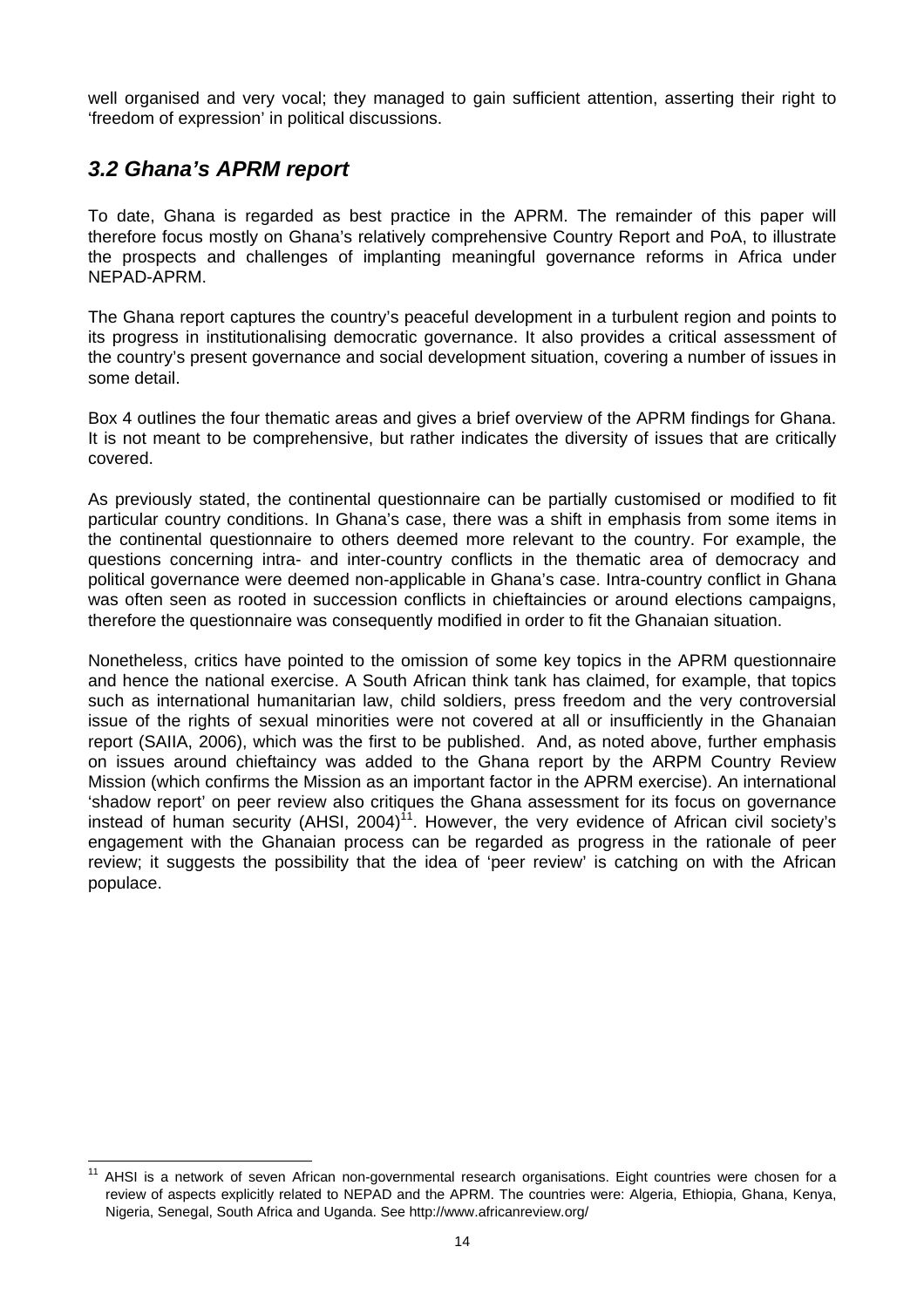<span id="page-19-0"></span>well organised and very vocal; they managed to gain sufficient attention, asserting their right to 'freedom of expression' in political discussions.

## *3.2 Ghana's APRM report*

To date, Ghana is regarded as best practice in the APRM. The remainder of this paper will therefore focus mostly on Ghana's relatively comprehensive Country Report and PoA, to illustrate the prospects and challenges of implanting meaningful governance reforms in Africa under NEPAD-APRM.

The Ghana report captures the country's peaceful development in a turbulent region and points to its progress in institutionalising democratic governance. It also provides a critical assessment of the country's present governance and social development situation, covering a number of issues in some detail.

Box 4 outlines the four thematic areas and gives a brief overview of the APRM findings for Ghana. It is not meant to be comprehensive, but rather indicates the diversity of issues that are critically covered.

As previously stated, the continental questionnaire can be partially customised or modified to fit particular country conditions. In Ghana's case, there was a shift in emphasis from some items in the continental questionnaire to others deemed more relevant to the country. For example, the questions concerning intra- and inter-country conflicts in the thematic area of democracy and political governance were deemed non-applicable in Ghana's case. Intra-country conflict in Ghana was often seen as rooted in succession conflicts in chieftaincies or around elections campaigns, therefore the questionnaire was consequently modified in order to fit the Ghanaian situation.

Nonetheless, critics have pointed to the omission of some key topics in the APRM questionnaire and hence the national exercise. A South African think tank has claimed, for example, that topics such as international humanitarian law, child soldiers, press freedom and the very controversial issue of the rights of sexual minorities were not covered at all or insufficiently in the Ghanaian report (SAIIA, 2006), which was the first to be published. And, as noted above, further emphasis on issues around chieftaincy was added to the Ghana report by the ARPM Country Review Mission (which confirms the Mission as an important factor in the APRM exercise). An international 'shadow report' on peer review also critiques the Ghana assessment for its focus on governance instead of human security (AHSI,  $2004$ )<sup>11</sup>. However, the very evidence of African civil society's engagement with the Ghanaian process can be regarded as progress in the rationale of peer review; it suggests the possibility that the idea of 'peer review' is catching on with the African populace.

<span id="page-19-1"></span><sup>&</sup>lt;sup>11</sup> AHSI is a network of seven African non-governmental research organisations. Eight countries were chosen for a review of aspects explicitly related to NEPAD and the APRM. The countries were: Algeria, Ethiopia, Ghana, Kenya, Nigeria, Senegal, South Africa and Uganda. See <http://www.africanreview.org/>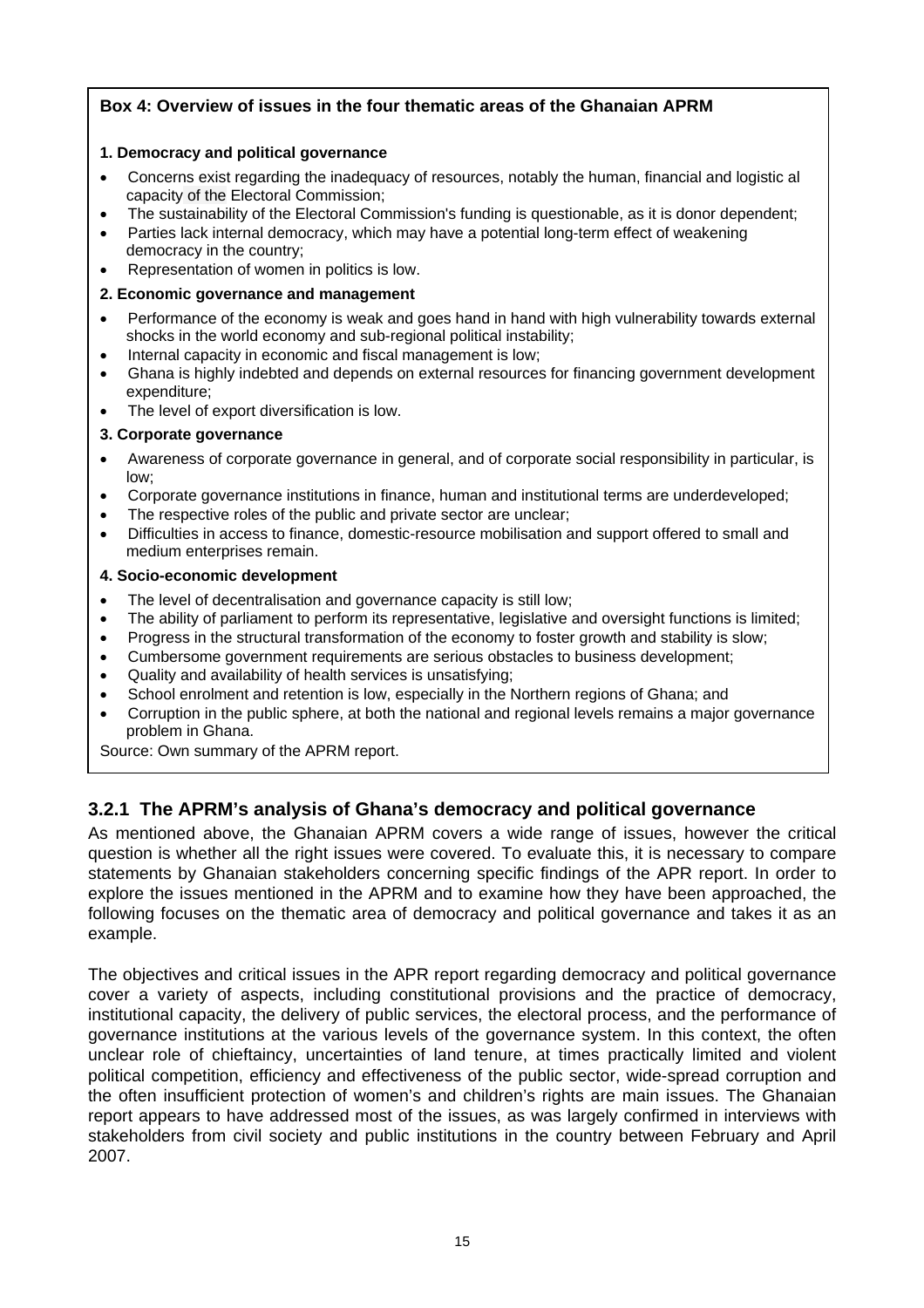#### **Box 4: Overview of issues in the four thematic areas of the Ghanaian APRM**

#### **1. Democracy and political governance**

- Concerns exist regarding the inadequacy of resources, notably the human, financial and logistic al capacity of the Electoral Commission;
- The sustainability of the Electoral Commission's funding is questionable, as it is donor dependent;
- Parties lack internal democracy, which may have a potential long-term effect of weakening democracy in the country;
- Representation of women in politics is low.
- **2. Economic governance and management**
- Performance of the economy is weak and goes hand in hand with high vulnerability towards external shocks in the world economy and sub-regional political instability;
- Internal capacity in economic and fiscal management is low;
- Ghana is highly indebted and depends on external resources for financing government development expenditure;
- The level of export diversification is low.

#### **3. Corporate governance**

- Awareness of corporate governance in general, and of corporate social responsibility in particular, is low;
- Corporate governance institutions in finance, human and institutional terms are underdeveloped;
- The respective roles of the public and private sector are unclear;
- Difficulties in access to finance, domestic-resource mobilisation and support offered to small and medium enterprises remain.

#### **4. Socio-economic development**

- The level of decentralisation and governance capacity is still low;
- The ability of parliament to perform its representative, legislative and oversight functions is limited;
- Progress in the structural transformation of the economy to foster growth and stability is slow;
- Cumbersome government requirements are serious obstacles to business development;
- Quality and availability of health services is unsatisfying;
- School enrolment and retention is low, especially in the Northern regions of Ghana; and
- Corruption in the public sphere, at both the national and regional levels remains a major governance problem in Ghana.

Source: Own summary of the APRM report.

#### **3.2.1 The APRM's analysis of Ghana's democracy and political governance**

As mentioned above, the Ghanaian APRM covers a wide range of issues, however the critical question is whether all the right issues were covered. To evaluate this, it is necessary to compare statements by Ghanaian stakeholders concerning specific findings of the APR report. In order to explore the issues mentioned in the APRM and to examine how they have been approached, the following focuses on the thematic area of democracy and political governance and takes it as an example.

The objectives and critical issues in the APR report regarding democracy and political governance cover a variety of aspects, including constitutional provisions and the practice of democracy, institutional capacity, the delivery of public services, the electoral process, and the performance of governance institutions at the various levels of the governance system. In this context, the often unclear role of chieftaincy, uncertainties of land tenure, at times practically limited and violent political competition, efficiency and effectiveness of the public sector, wide-spread corruption and the often insufficient protection of women's and children's rights are main issues. The Ghanaian report appears to have addressed most of the issues, as was largely confirmed in interviews with stakeholders from civil society and public institutions in the country between February and April 2007.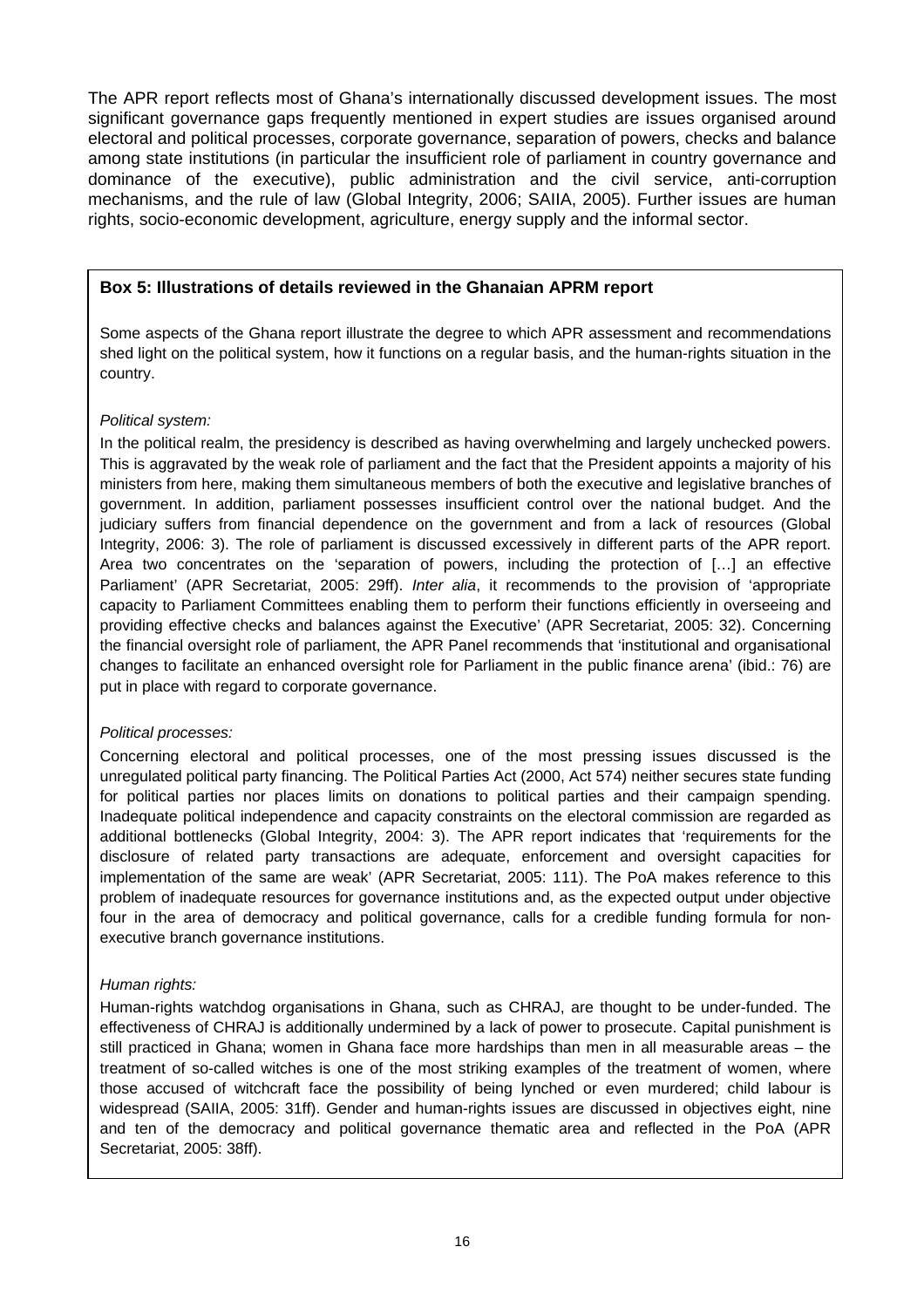The APR report reflects most of Ghana's internationally discussed development issues. The most significant governance gaps frequently mentioned in expert studies are issues organised around electoral and political processes, corporate governance, separation of powers, checks and balance among state institutions (in particular the insufficient role of parliament in country governance and dominance of the executive), public administration and the civil service, anti-corruption mechanisms, and the rule of law (Global Integrity, 2006; SAIIA, 2005). Further issues are human rights, socio-economic development, agriculture, energy supply and the informal sector.

#### **Box 5: Illustrations of details reviewed in the Ghanaian APRM report**

Some aspects of the Ghana report illustrate the degree to which APR assessment and recommendations shed light on the political system, how it functions on a regular basis, and the human-rights situation in the country.

#### *Political system:*

In the political realm, the presidency is described as having overwhelming and largely unchecked powers. This is aggravated by the weak role of parliament and the fact that the President appoints a majority of his ministers from here, making them simultaneous members of both the executive and legislative branches of government. In addition, parliament possesses insufficient control over the national budget. And the judiciary suffers from financial dependence on the government and from a lack of resources (Global Integrity, 2006: 3). The role of parliament is discussed excessively in different parts of the APR report. Area two concentrates on the 'separation of powers, including the protection of […] an effective Parliament' (APR Secretariat, 2005: 29ff). *Inter alia*, it recommends to the provision of 'appropriate capacity to Parliament Committees enabling them to perform their functions efficiently in overseeing and providing effective checks and balances against the Executive' (APR Secretariat, 2005: 32). Concerning the financial oversight role of parliament, the APR Panel recommends that 'institutional and organisational changes to facilitate an enhanced oversight role for Parliament in the public finance arena' (ibid.: 76) are put in place with regard to corporate governance.

#### *Political processes:*

Concerning electoral and political processes, one of the most pressing issues discussed is the unregulated political party financing. The Political Parties Act (2000, Act 574) neither secures state funding for political parties nor places limits on donations to political parties and their campaign spending. Inadequate political independence and capacity constraints on the electoral commission are regarded as additional bottlenecks (Global Integrity, 2004: 3). The APR report indicates that 'requirements for the disclosure of related party transactions are adequate, enforcement and oversight capacities for implementation of the same are weak' (APR Secretariat, 2005: 111). The PoA makes reference to this problem of inadequate resources for governance institutions and, as the expected output under objective four in the area of democracy and political governance, calls for a credible funding formula for nonexecutive branch governance institutions.

#### *Human rights:*

Human-rights watchdog organisations in Ghana, such as CHRAJ, are thought to be under-funded. The effectiveness of CHRAJ is additionally undermined by a lack of power to prosecute. Capital punishment is still practiced in Ghana; women in Ghana face more hardships than men in all measurable areas – the treatment of so-called witches is one of the most striking examples of the treatment of women, where those accused of witchcraft face the possibility of being lynched or even murdered; child labour is widespread (SAIIA, 2005: 31ff). Gender and human-rights issues are discussed in objectives eight, nine and ten of the democracy and political governance thematic area and reflected in the PoA (APR Secretariat, 2005: 38ff).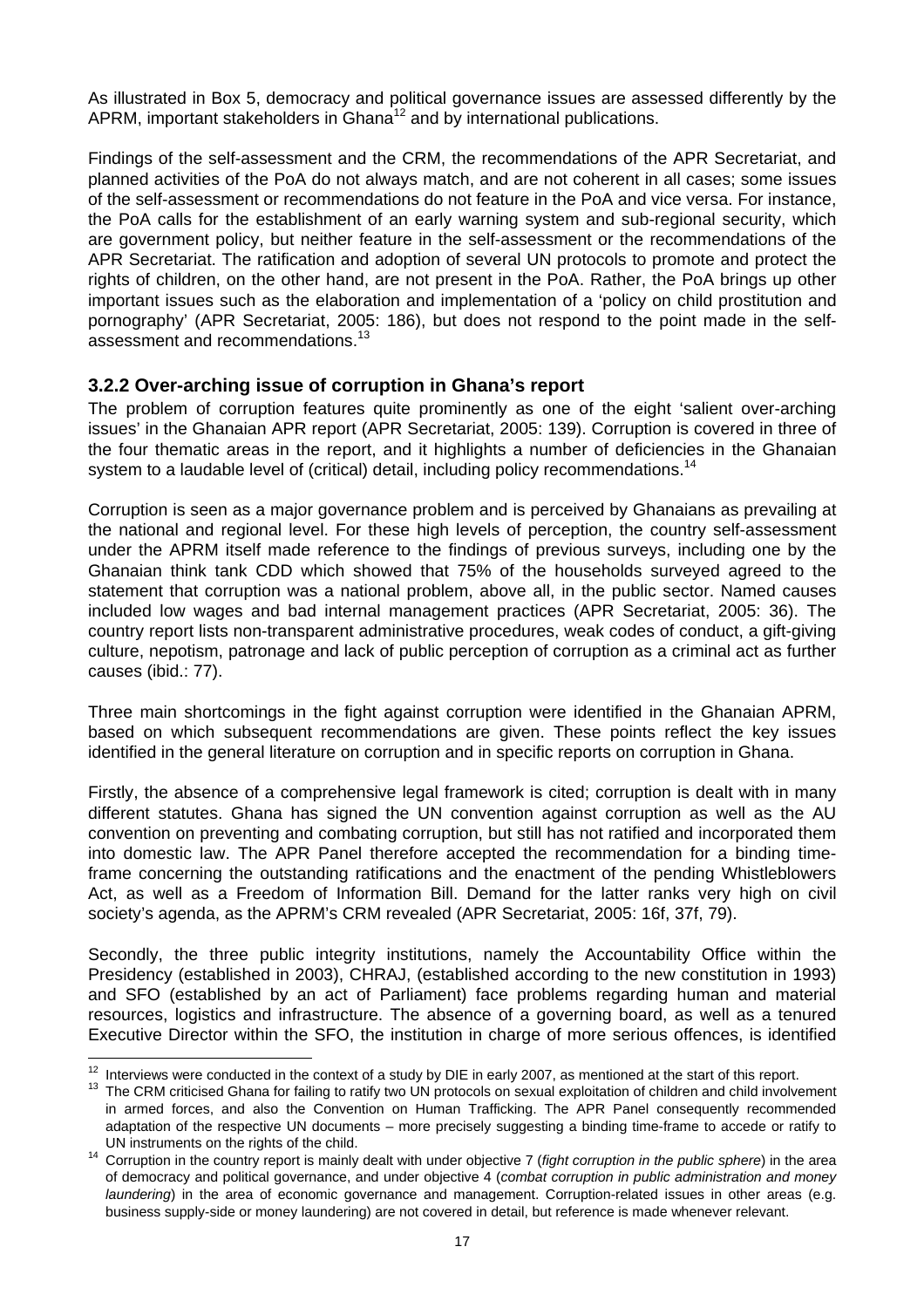As illustrated in Box 5, democracy and political governance issues are assessed differently by the APRM, important stakeholders in Ghana<sup>12</sup> and by international publications.

Findings of the self-assessment and the CRM, the recommendations of the APR Secretariat, and planned activities of the PoA do not always match, and are not coherent in all cases; some issues of the self-assessment or recommendations do not feature in the PoA and vice versa. For instance, the PoA calls for the establishment of an early warning system and sub-regional security, which are government policy, but neither feature in the self-assessment or the recommendations of the APR Secretariat. The ratification and adoption of several UN protocols to promote and protect the rights of children, on the other hand, are not present in the PoA. Rather, the PoA brings up other important issues such as the elaboration and implementation of a 'policy on child prostitution and pornography' (APR Secretariat, 2005: 186), but does not respond to the point made in the self-assessment and recommendations.<sup>[13](#page-22-1)</sup>

#### **3.2.2 Over-arching issue of corruption in Ghana's report**

The problem of corruption features quite prominently as one of the eight 'salient over-arching issues' in the Ghanaian APR report (APR Secretariat, 2005: 139). Corruption is covered in three of the four thematic areas in the report, and it highlights a number of deficiencies in the Ghanaian system to a laudable level of (critical) detail, including policy recommendations.<sup>14</sup>

Corruption is seen as a major governance problem and is perceived by Ghanaians as prevailing at the national and regional level. For these high levels of perception, the country self-assessment under the APRM itself made reference to the findings of previous surveys, including one by the Ghanaian think tank CDD which showed that 75% of the households surveyed agreed to the statement that corruption was a national problem, above all, in the public sector. Named causes included low wages and bad internal management practices (APR Secretariat, 2005: 36). The country report lists non-transparent administrative procedures, weak codes of conduct, a gift-giving culture, nepotism, patronage and lack of public perception of corruption as a criminal act as further causes (ibid.: 77).

Three main shortcomings in the fight against corruption were identified in the Ghanaian APRM, based on which subsequent recommendations are given. These points reflect the key issues identified in the general literature on corruption and in specific reports on corruption in Ghana.

Firstly, the absence of a comprehensive legal framework is cited; corruption is dealt with in many different statutes. Ghana has signed the UN convention against corruption as well as the AU convention on preventing and combating corruption, but still has not ratified and incorporated them into domestic law. The APR Panel therefore accepted the recommendation for a binding timeframe concerning the outstanding ratifications and the enactment of the pending Whistleblowers Act, as well as a Freedom of Information Bill. Demand for the latter ranks very high on civil society's agenda, as the APRM's CRM revealed (APR Secretariat, 2005: 16f, 37f, 79).

Secondly, the three public integrity institutions, namely the Accountability Office within the Presidency (established in 2003), CHRAJ, (established according to the new constitution in 1993) and SFO (established by an act of Parliament) face problems regarding human and material resources, logistics and infrastructure. The absence of a governing board, as well as a tenured Executive Director within the SFO, the institution in charge of more serious offences, is identified

<span id="page-22-1"></span><span id="page-22-0"></span>

 $12$  Interviews were conducted in the context of a study by DIE in early 2007, as mentioned at the start of this report.<br>
13 The CRM criticised Ghana for failing to ratify two UN protocols on sexual exploitation of childr in armed forces, and also the Convention on Human Trafficking. The APR Panel consequently recommended adaptation of the respective UN documents – more precisely suggesting a binding time-frame to accede or ratify to

<span id="page-22-2"></span>UN instruments on the rights of the child. 14 Corruption in the country report is mainly dealt with under objective 7 (*fight corruption in the public sphere*) in the area of democracy and political governance, and under objective 4 (*combat corruption in public administration and money laundering*) in the area of economic governance and management. Corruption-related issues in other areas (e.g. business supply-side or money laundering) are not covered in detail, but reference is made whenever relevant.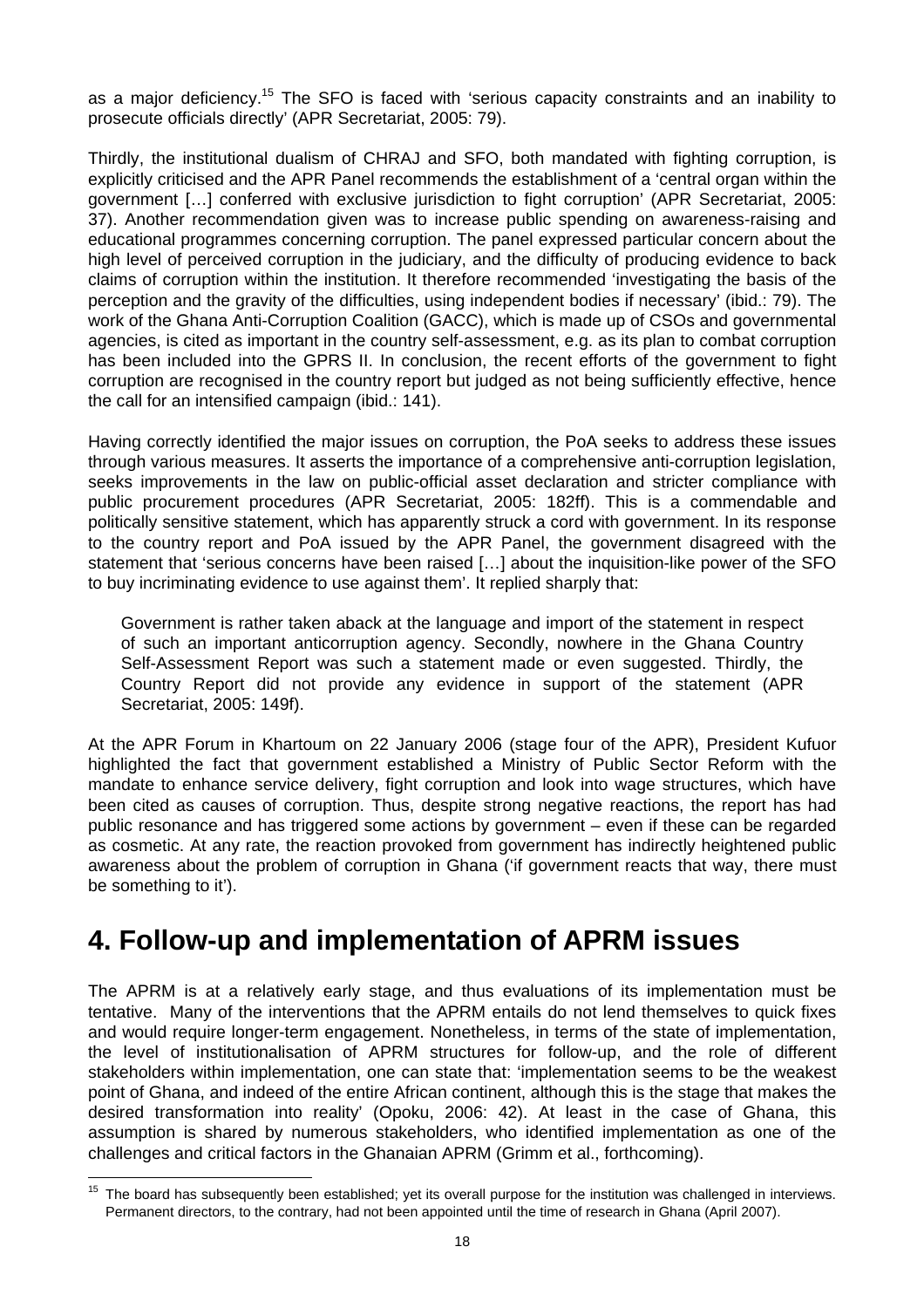<span id="page-23-0"></span>as a major deficiency.<sup>15</sup> The SFO is faced with 'serious capacity constraints and an inability to prosecute officials directly' (APR Secretariat, 2005: 79).

Thirdly, the institutional dualism of CHRAJ and SFO, both mandated with fighting corruption, is explicitly criticised and the APR Panel recommends the establishment of a 'central organ within the government […] conferred with exclusive jurisdiction to fight corruption' (APR Secretariat, 2005: 37). Another recommendation given was to increase public spending on awareness-raising and educational programmes concerning corruption. The panel expressed particular concern about the high level of perceived corruption in the judiciary, and the difficulty of producing evidence to back claims of corruption within the institution. It therefore recommended 'investigating the basis of the perception and the gravity of the difficulties, using independent bodies if necessary' (ibid.: 79). The work of the Ghana Anti-Corruption Coalition (GACC), which is made up of CSOs and governmental agencies, is cited as important in the country self-assessment, e.g. as its plan to combat corruption has been included into the GPRS II. In conclusion, the recent efforts of the government to fight corruption are recognised in the country report but judged as not being sufficiently effective, hence the call for an intensified campaign (ibid.: 141).

Having correctly identified the major issues on corruption, the PoA seeks to address these issues through various measures. It asserts the importance of a comprehensive anti-corruption legislation, seeks improvements in the law on public-official asset declaration and stricter compliance with public procurement procedures (APR Secretariat, 2005: 182ff). This is a commendable and politically sensitive statement, which has apparently struck a cord with government. In its response to the country report and PoA issued by the APR Panel, the government disagreed with the statement that 'serious concerns have been raised […] about the inquisition-like power of the SFO to buy incriminating evidence to use against them'. It replied sharply that:

Government is rather taken aback at the language and import of the statement in respect of such an important anticorruption agency. Secondly, nowhere in the Ghana Country Self-Assessment Report was such a statement made or even suggested. Thirdly, the Country Report did not provide any evidence in support of the statement (APR Secretariat, 2005: 149f).

At the APR Forum in Khartoum on 22 January 2006 (stage four of the APR), President Kufuor highlighted the fact that government established a Ministry of Public Sector Reform with the mandate to enhance service delivery, fight corruption and look into wage structures, which have been cited as causes of corruption. Thus, despite strong negative reactions, the report has had public resonance and has triggered some actions by government – even if these can be regarded as cosmetic. At any rate, the reaction provoked from government has indirectly heightened public awareness about the problem of corruption in Ghana ('if government reacts that way, there must be something to it').

## **4. Follow-up and implementation of APRM issues**

The APRM is at a relatively early stage, and thus evaluations of its implementation must be tentative. Many of the interventions that the APRM entails do not lend themselves to quick fixes and would require longer-term engagement. Nonetheless, in terms of the state of implementation, the level of institutionalisation of APRM structures for follow-up, and the role of different stakeholders within implementation, one can state that: 'implementation seems to be the weakest point of Ghana, and indeed of the entire African continent, although this is the stage that makes the desired transformation into reality' (Opoku, 2006: 42). At least in the case of Ghana, this assumption is shared by numerous stakeholders, who identified implementation as one of the challenges and critical factors in the Ghanaian APRM (Grimm et al., forthcoming).

<span id="page-23-1"></span><sup>&</sup>lt;sup>15</sup> The board has subsequently been established; yet its overall purpose for the institution was challenged in interviews. Permanent directors, to the contrary, had not been appointed until the time of research in Ghana (April 2007).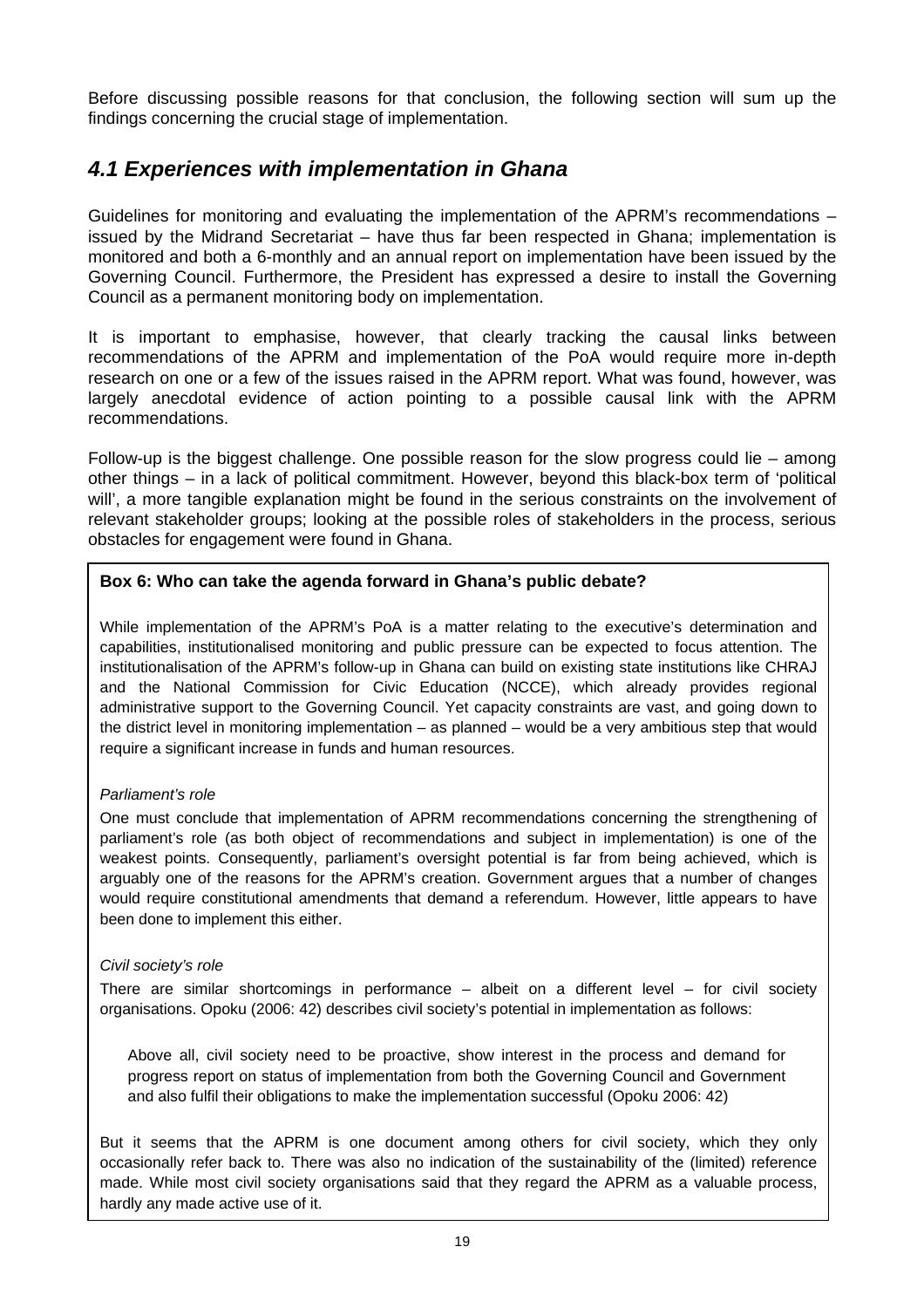<span id="page-24-0"></span>Before discussing possible reasons for that conclusion, the following section will sum up the findings concerning the crucial stage of implementation.

## *4.1 Experiences with implementation in Ghana*

Guidelines for monitoring and evaluating the implementation of the APRM's recommendations – issued by the Midrand Secretariat – have thus far been respected in Ghana; implementation is monitored and both a 6-monthly and an annual report on implementation have been issued by the Governing Council. Furthermore, the President has expressed a desire to install the Governing Council as a permanent monitoring body on implementation.

It is important to emphasise, however, that clearly tracking the causal links between recommendations of the APRM and implementation of the PoA would require more in-depth research on one or a few of the issues raised in the APRM report. What was found, however, was largely anecdotal evidence of action pointing to a possible causal link with the APRM recommendations.

Follow-up is the biggest challenge. One possible reason for the slow progress could lie – among other things – in a lack of political commitment. However, beyond this black-box term of 'political will', a more tangible explanation might be found in the serious constraints on the involvement of relevant stakeholder groups; looking at the possible roles of stakeholders in the process, serious obstacles for engagement were found in Ghana.

#### **Box 6: Who can take the agenda forward in Ghana's public debate?**

While implementation of the APRM's PoA is a matter relating to the executive's determination and capabilities, institutionalised monitoring and public pressure can be expected to focus attention. The institutionalisation of the APRM's follow-up in Ghana can build on existing state institutions like CHRAJ and the National Commission for Civic Education (NCCE), which already provides regional administrative support to the Governing Council. Yet capacity constraints are vast, and going down to the district level in monitoring implementation – as planned – would be a very ambitious step that would require a significant increase in funds and human resources.

#### *Parliament's role*

One must conclude that implementation of APRM recommendations concerning the strengthening of parliament's role (as both object of recommendations and subject in implementation) is one of the weakest points. Consequently, parliament's oversight potential is far from being achieved, which is arguably one of the reasons for the APRM's creation. Government argues that a number of changes would require constitutional amendments that demand a referendum. However, little appears to have been done to implement this either.

#### *Civil society's role*

There are similar shortcomings in performance  $-$  albeit on a different level  $-$  for civil society organisations. Opoku (2006: 42) describes civil society's potential in implementation as follows:

Above all, civil society need to be proactive, show interest in the process and demand for progress report on status of implementation from both the Governing Council and Government and also fulfil their obligations to make the implementation successful (Opoku 2006: 42)

But it seems that the APRM is one document among others for civil society, which they only occasionally refer back to. There was also no indication of the sustainability of the (limited) reference made. While most civil society organisations said that they regard the APRM as a valuable process, hardly any made active use of it.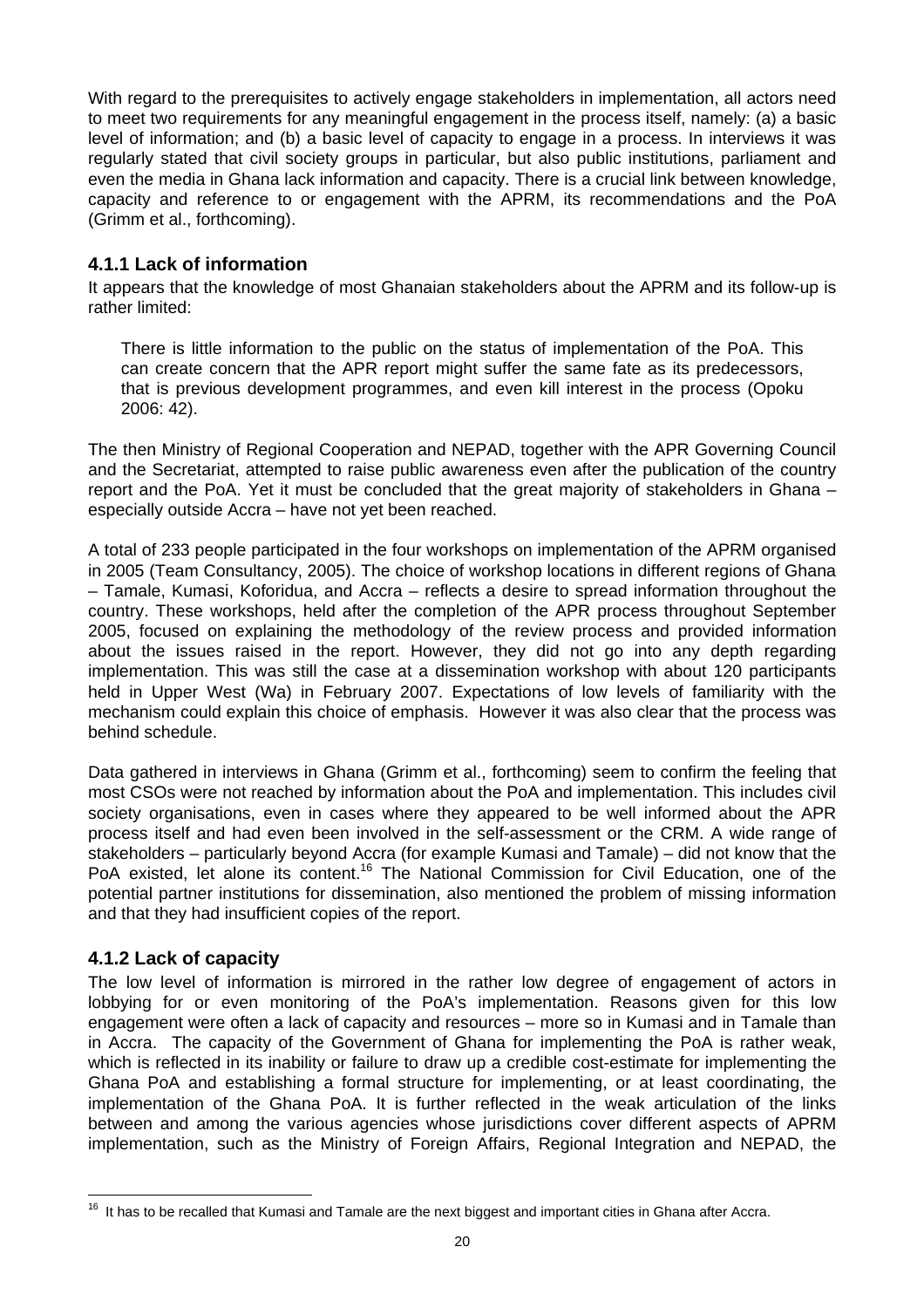With regard to the prerequisites to actively engage stakeholders in implementation, all actors need to meet two requirements for any meaningful engagement in the process itself, namely: (a) a basic level of information; and (b) a basic level of capacity to engage in a process. In interviews it was regularly stated that civil society groups in particular, but also public institutions, parliament and even the media in Ghana lack information and capacity. There is a crucial link between knowledge, capacity and reference to or engagement with the APRM, its recommendations and the PoA (Grimm et al., forthcoming).

#### **4.1.1 Lack of information**

It appears that the knowledge of most Ghanaian stakeholders about the APRM and its follow-up is rather limited:

There is little information to the public on the status of implementation of the PoA. This can create concern that the APR report might suffer the same fate as its predecessors, that is previous development programmes, and even kill interest in the process (Opoku 2006: 42).

The then Ministry of Regional Cooperation and NEPAD, together with the APR Governing Council and the Secretariat, attempted to raise public awareness even after the publication of the country report and the PoA. Yet it must be concluded that the great majority of stakeholders in Ghana – especially outside Accra – have not yet been reached.

A total of 233 people participated in the four workshops on implementation of the APRM organised in 2005 (Team Consultancy, 2005). The choice of workshop locations in different regions of Ghana – Tamale, Kumasi, Koforidua, and Accra – reflects a desire to spread information throughout the country. These workshops, held after the completion of the APR process throughout September 2005, focused on explaining the methodology of the review process and provided information about the issues raised in the report. However, they did not go into any depth regarding implementation. This was still the case at a dissemination workshop with about 120 participants held in Upper West (Wa) in February 2007. Expectations of low levels of familiarity with the mechanism could explain this choice of emphasis. However it was also clear that the process was behind schedule.

Data gathered in interviews in Ghana (Grimm et al., forthcoming) seem to confirm the feeling that most CSOs were not reached by information about the PoA and implementation. This includes civil society organisations, even in cases where they appeared to be well informed about the APR process itself and had even been involved in the self-assessment or the CRM. A wide range of stakeholders – particularly beyond Accra (for example Kumasi and Tamale) – did not know that the PoA existed, let alone its content.<sup>16</sup> The National Commission for Civil Education, one of the potential partner institutions for dissemination, also mentioned the problem of missing information and that they had insufficient copies of the report.

#### **4.1.2 Lack of capacity**

The low level of information is mirrored in the rather low degree of engagement of actors in lobbying for or even monitoring of the PoA's implementation. Reasons given for this low engagement were often a lack of capacity and resources – more so in Kumasi and in Tamale than in Accra. The capacity of the Government of Ghana for implementing the PoA is rather weak, which is reflected in its inability or failure to draw up a credible cost-estimate for implementing the Ghana PoA and establishing a formal structure for implementing, or at least coordinating, the implementation of the Ghana PoA. It is further reflected in the weak articulation of the links between and among the various agencies whose jurisdictions cover different aspects of APRM implementation, such as the Ministry of Foreign Affairs, Regional Integration and NEPAD, the

<span id="page-25-0"></span><sup>&</sup>lt;sup>16</sup> It has to be recalled that Kumasi and Tamale are the next biggest and important cities in Ghana after Accra.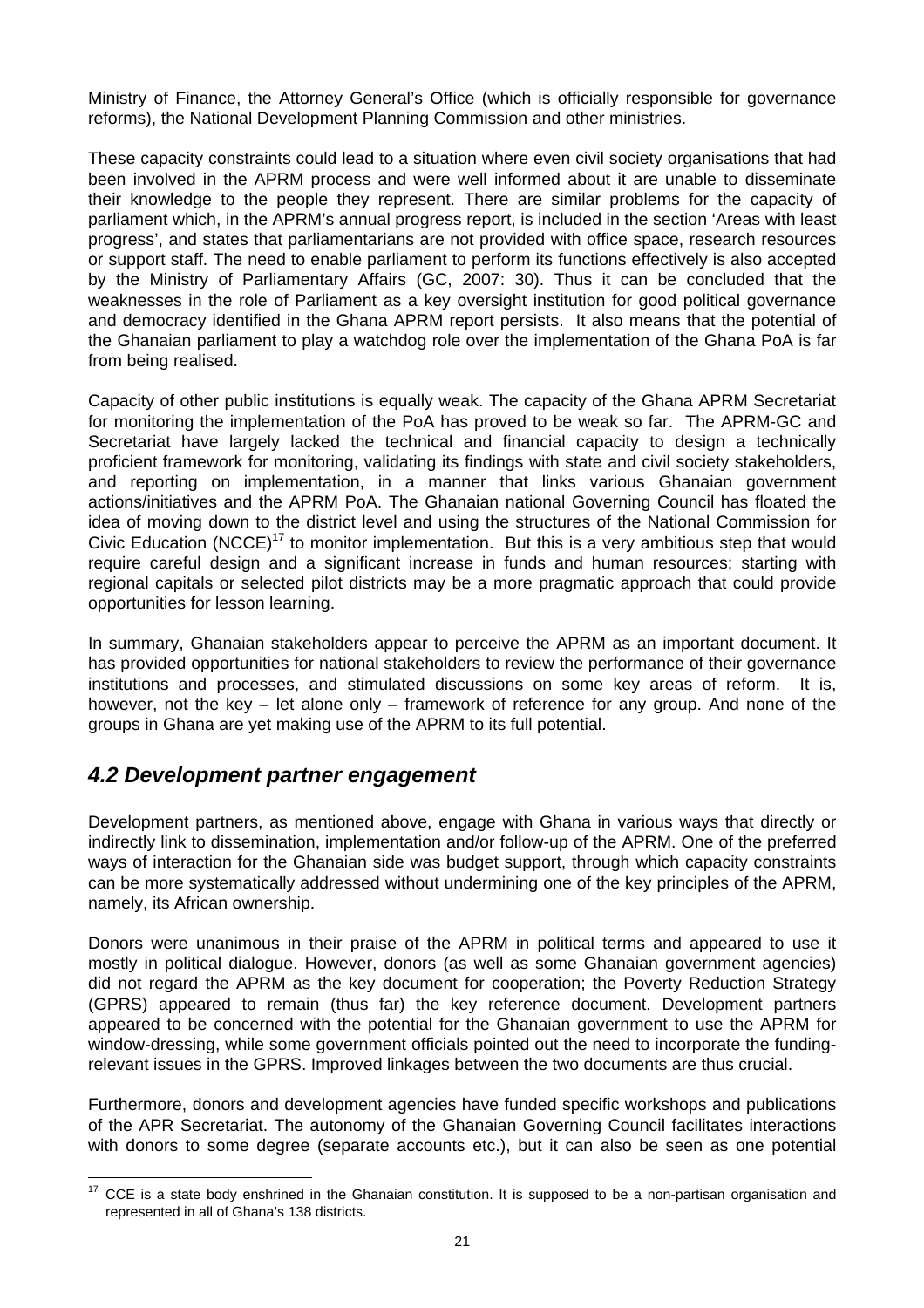<span id="page-26-0"></span>Ministry of Finance, the Attorney General's Office (which is officially responsible for governance reforms), the National Development Planning Commission and other ministries.

These capacity constraints could lead to a situation where even civil society organisations that had been involved in the APRM process and were well informed about it are unable to disseminate their knowledge to the people they represent. There are similar problems for the capacity of parliament which, in the APRM's annual progress report, is included in the section 'Areas with least progress', and states that parliamentarians are not provided with office space, research resources or support staff. The need to enable parliament to perform its functions effectively is also accepted by the Ministry of Parliamentary Affairs (GC, 2007: 30). Thus it can be concluded that the weaknesses in the role of Parliament as a key oversight institution for good political governance and democracy identified in the Ghana APRM report persists. It also means that the potential of the Ghanaian parliament to play a watchdog role over the implementation of the Ghana PoA is far from being realised.

Capacity of other public institutions is equally weak. The capacity of the Ghana APRM Secretariat for monitoring the implementation of the PoA has proved to be weak so far. The APRM-GC and Secretariat have largely lacked the technical and financial capacity to design a technically proficient framework for monitoring, validating its findings with state and civil society stakeholders, and reporting on implementation, in a manner that links various Ghanaian government actions/initiatives and the APRM PoA. The Ghanaian national Governing Council has floated the idea of moving down to the district level and using the structures of the National Commission for Civic Education (NCCE)<sup>17</sup> to monitor implementation. But this is a very ambitious step that would require careful design and a significant increase in funds and human resources; starting with regional capitals or selected pilot districts may be a more pragmatic approach that could provide opportunities for lesson learning.

In summary, Ghanaian stakeholders appear to perceive the APRM as an important document. It has provided opportunities for national stakeholders to review the performance of their governance institutions and processes, and stimulated discussions on some key areas of reform. It is, however, not the key – let alone only – framework of reference for any group. And none of the groups in Ghana are yet making use of the APRM to its full potential.

### *4.2 Development partner engagement*

Development partners, as mentioned above, engage with Ghana in various ways that directly or indirectly link to dissemination, implementation and/or follow-up of the APRM. One of the preferred ways of interaction for the Ghanaian side was budget support, through which capacity constraints can be more systematically addressed without undermining one of the key principles of the APRM, namely, its African ownership.

Donors were unanimous in their praise of the APRM in political terms and appeared to use it mostly in political dialogue. However, donors (as well as some Ghanaian government agencies) did not regard the APRM as the key document for cooperation; the Poverty Reduction Strategy (GPRS) appeared to remain (thus far) the key reference document. Development partners appeared to be concerned with the potential for the Ghanaian government to use the APRM for window-dressing, while some government officials pointed out the need to incorporate the fundingrelevant issues in the GPRS. Improved linkages between the two documents are thus crucial.

Furthermore, donors and development agencies have funded specific workshops and publications of the APR Secretariat. The autonomy of the Ghanaian Governing Council facilitates interactions with donors to some degree (separate accounts etc.), but it can also be seen as one potential

<span id="page-26-1"></span><sup>&</sup>lt;sup>17</sup> CCE is a state body enshrined in the Ghanaian constitution. It is supposed to be a non-partisan organisation and represented in all of Ghana's 138 districts.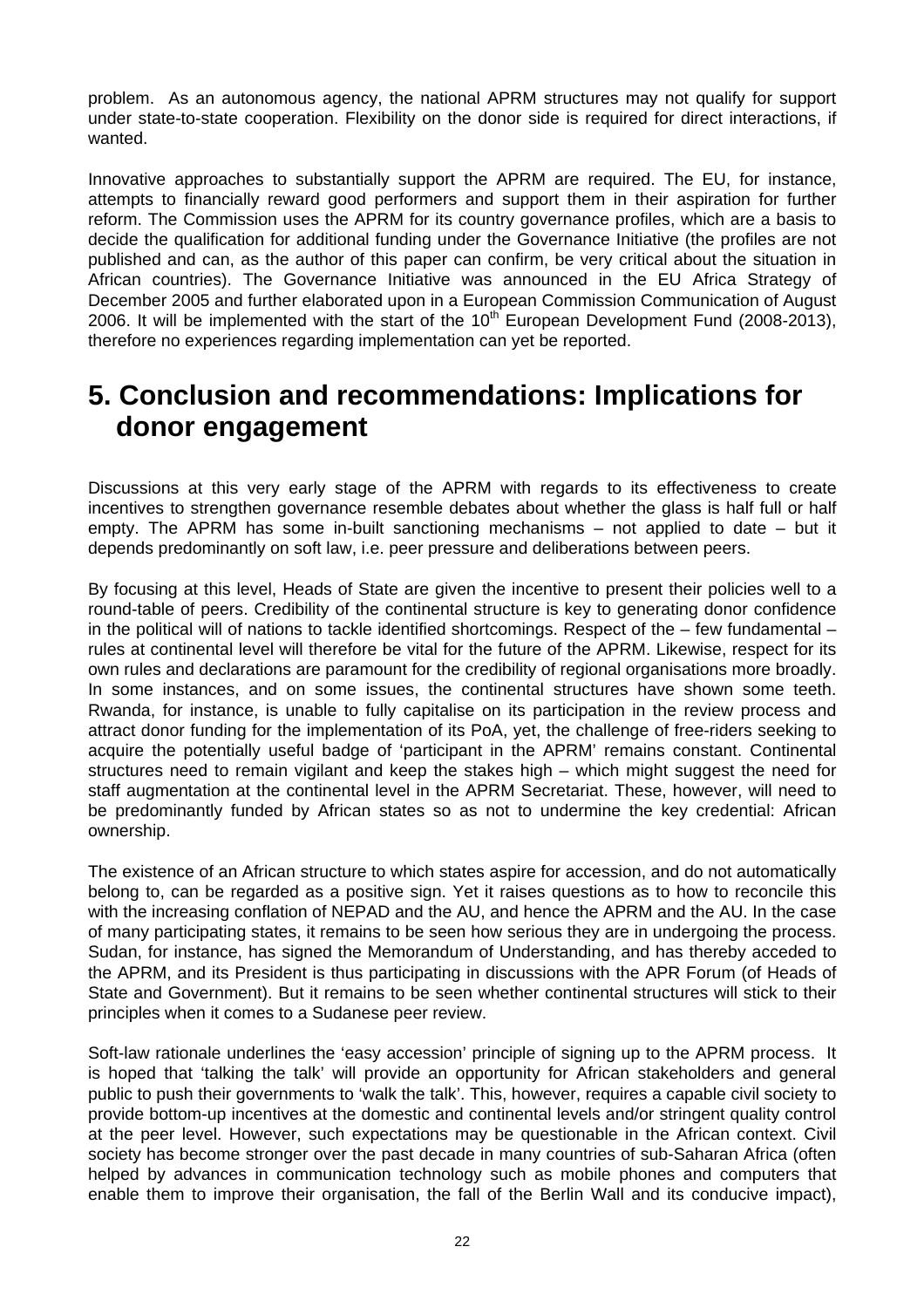<span id="page-27-0"></span>problem. As an autonomous agency, the national APRM structures may not qualify for support under state-to-state cooperation. Flexibility on the donor side is required for direct interactions, if wanted.

Innovative approaches to substantially support the APRM are required. The EU, for instance, attempts to financially reward good performers and support them in their aspiration for further reform. The Commission uses the APRM for its country governance profiles, which are a basis to decide the qualification for additional funding under the Governance Initiative (the profiles are not published and can, as the author of this paper can confirm, be very critical about the situation in African countries). The Governance Initiative was announced in the EU Africa Strategy of December 2005 and further elaborated upon in a European Commission Communication of August 2006. It will be implemented with the start of the  $10<sup>th</sup>$  European Development Fund (2008-2013), therefore no experiences regarding implementation can yet be reported.

## **5. Conclusion and recommendations: Implications for donor engagement**

Discussions at this very early stage of the APRM with regards to its effectiveness to create incentives to strengthen governance resemble debates about whether the glass is half full or half empty. The APRM has some in-built sanctioning mechanisms – not applied to date – but it depends predominantly on soft law, i.e. peer pressure and deliberations between peers.

By focusing at this level, Heads of State are given the incentive to present their policies well to a round-table of peers. Credibility of the continental structure is key to generating donor confidence in the political will of nations to tackle identified shortcomings. Respect of the – few fundamental – rules at continental level will therefore be vital for the future of the APRM. Likewise, respect for its own rules and declarations are paramount for the credibility of regional organisations more broadly. In some instances, and on some issues, the continental structures have shown some teeth. Rwanda, for instance, is unable to fully capitalise on its participation in the review process and attract donor funding for the implementation of its PoA, yet, the challenge of free-riders seeking to acquire the potentially useful badge of 'participant in the APRM' remains constant. Continental structures need to remain vigilant and keep the stakes high – which might suggest the need for staff augmentation at the continental level in the APRM Secretariat. These, however, will need to be predominantly funded by African states so as not to undermine the key credential: African ownership.

The existence of an African structure to which states aspire for accession, and do not automatically belong to, can be regarded as a positive sign. Yet it raises questions as to how to reconcile this with the increasing conflation of NEPAD and the AU, and hence the APRM and the AU. In the case of many participating states, it remains to be seen how serious they are in undergoing the process. Sudan, for instance, has signed the Memorandum of Understanding, and has thereby acceded to the APRM, and its President is thus participating in discussions with the APR Forum (of Heads of State and Government). But it remains to be seen whether continental structures will stick to their principles when it comes to a Sudanese peer review.

Soft-law rationale underlines the 'easy accession' principle of signing up to the APRM process. It is hoped that 'talking the talk' will provide an opportunity for African stakeholders and general public to push their governments to 'walk the talk'. This, however, requires a capable civil society to provide bottom-up incentives at the domestic and continental levels and/or stringent quality control at the peer level. However, such expectations may be questionable in the African context. Civil society has become stronger over the past decade in many countries of sub-Saharan Africa (often helped by advances in communication technology such as mobile phones and computers that enable them to improve their organisation, the fall of the Berlin Wall and its conducive impact),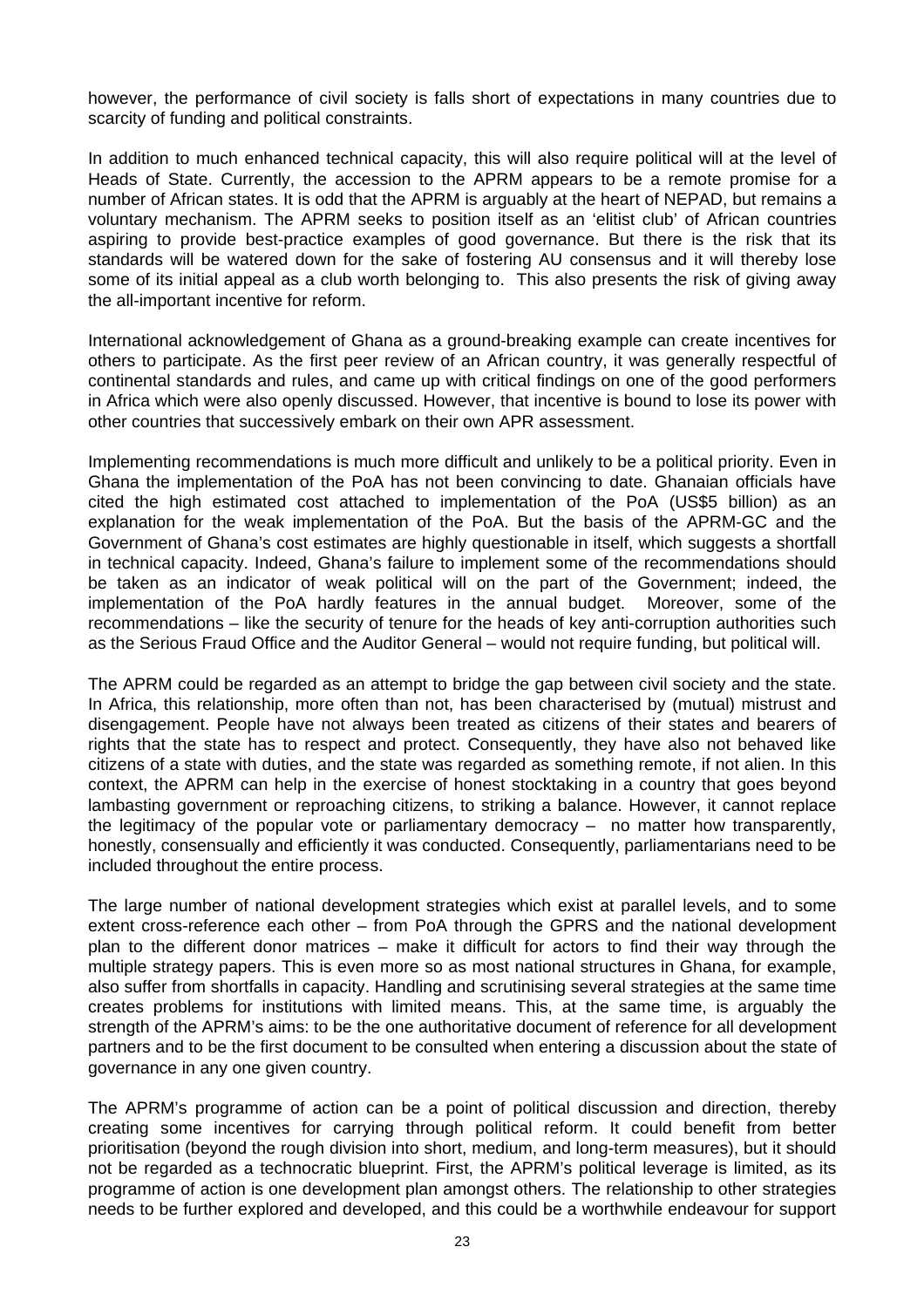however, the performance of civil society is falls short of expectations in many countries due to scarcity of funding and political constraints.

In addition to much enhanced technical capacity, this will also require political will at the level of Heads of State. Currently, the accession to the APRM appears to be a remote promise for a number of African states. It is odd that the APRM is arguably at the heart of NEPAD, but remains a voluntary mechanism. The APRM seeks to position itself as an 'elitist club' of African countries aspiring to provide best-practice examples of good governance. But there is the risk that its standards will be watered down for the sake of fostering AU consensus and it will thereby lose some of its initial appeal as a club worth belonging to. This also presents the risk of giving away the all-important incentive for reform.

International acknowledgement of Ghana as a ground-breaking example can create incentives for others to participate. As the first peer review of an African country, it was generally respectful of continental standards and rules, and came up with critical findings on one of the good performers in Africa which were also openly discussed. However, that incentive is bound to lose its power with other countries that successively embark on their own APR assessment.

Implementing recommendations is much more difficult and unlikely to be a political priority. Even in Ghana the implementation of the PoA has not been convincing to date. Ghanaian officials have cited the high estimated cost attached to implementation of the PoA (US\$5 billion) as an explanation for the weak implementation of the PoA. But the basis of the APRM-GC and the Government of Ghana's cost estimates are highly questionable in itself, which suggests a shortfall in technical capacity. Indeed, Ghana's failure to implement some of the recommendations should be taken as an indicator of weak political will on the part of the Government; indeed, the implementation of the PoA hardly features in the annual budget. Moreover, some of the recommendations – like the security of tenure for the heads of key anti-corruption authorities such as the Serious Fraud Office and the Auditor General – would not require funding, but political will.

The APRM could be regarded as an attempt to bridge the gap between civil society and the state. In Africa, this relationship, more often than not, has been characterised by (mutual) mistrust and disengagement. People have not always been treated as citizens of their states and bearers of rights that the state has to respect and protect. Consequently, they have also not behaved like citizens of a state with duties, and the state was regarded as something remote, if not alien. In this context, the APRM can help in the exercise of honest stocktaking in a country that goes beyond lambasting government or reproaching citizens, to striking a balance. However, it cannot replace the legitimacy of the popular vote or parliamentary democracy – no matter how transparently, honestly, consensually and efficiently it was conducted. Consequently, parliamentarians need to be included throughout the entire process.

The large number of national development strategies which exist at parallel levels, and to some extent cross-reference each other – from PoA through the GPRS and the national development plan to the different donor matrices – make it difficult for actors to find their way through the multiple strategy papers. This is even more so as most national structures in Ghana, for example, also suffer from shortfalls in capacity. Handling and scrutinising several strategies at the same time creates problems for institutions with limited means. This, at the same time, is arguably the strength of the APRM's aims: to be the one authoritative document of reference for all development partners and to be the first document to be consulted when entering a discussion about the state of governance in any one given country.

The APRM's programme of action can be a point of political discussion and direction, thereby creating some incentives for carrying through political reform. It could benefit from better prioritisation (beyond the rough division into short, medium, and long-term measures), but it should not be regarded as a technocratic blueprint. First, the APRM's political leverage is limited, as its programme of action is one development plan amongst others. The relationship to other strategies needs to be further explored and developed, and this could be a worthwhile endeavour for support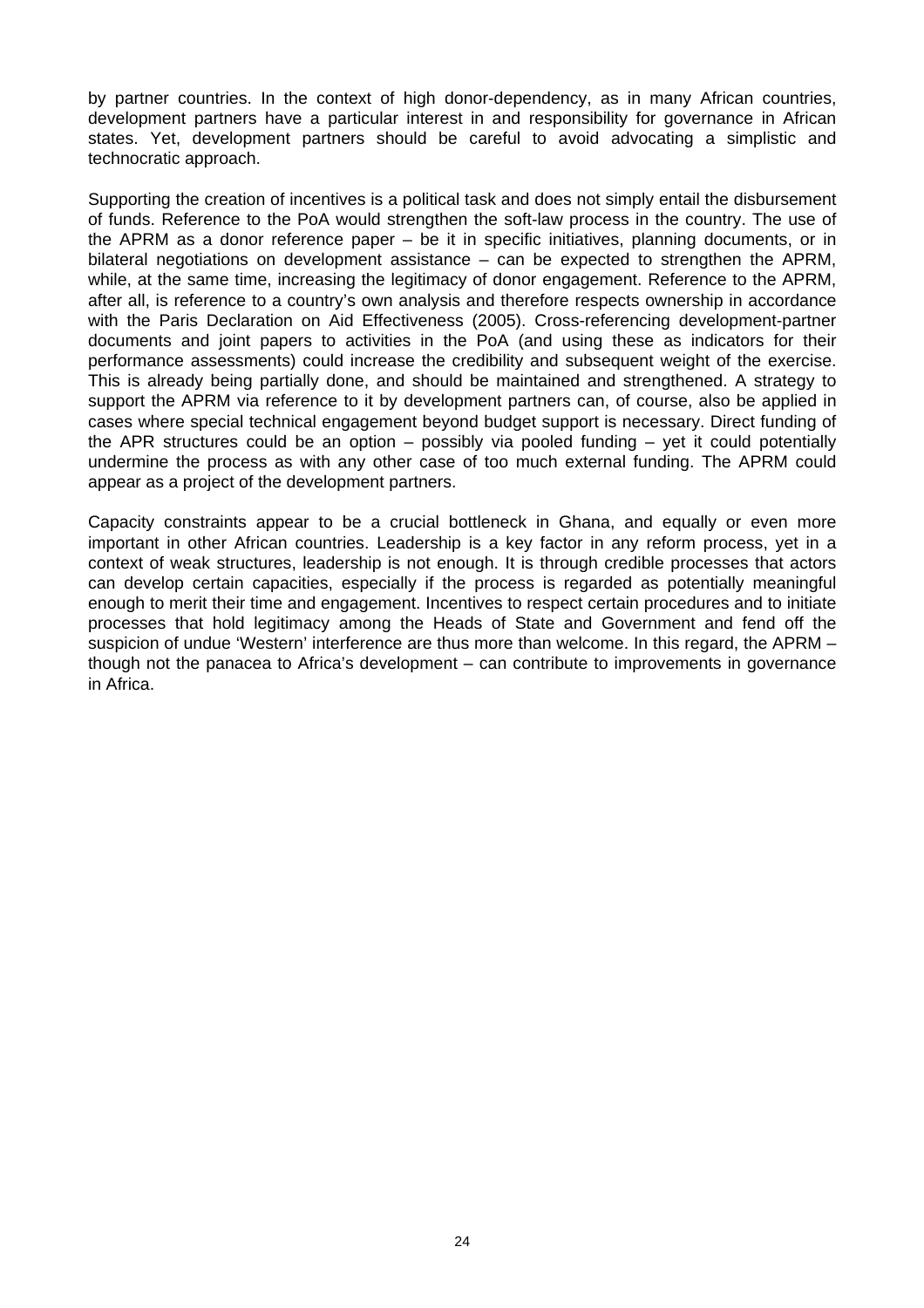by partner countries. In the context of high donor-dependency, as in many African countries, development partners have a particular interest in and responsibility for governance in African states. Yet, development partners should be careful to avoid advocating a simplistic and technocratic approach.

Supporting the creation of incentives is a political task and does not simply entail the disbursement of funds. Reference to the PoA would strengthen the soft-law process in the country. The use of the APRM as a donor reference paper – be it in specific initiatives, planning documents, or in bilateral negotiations on development assistance – can be expected to strengthen the APRM, while, at the same time, increasing the legitimacy of donor engagement. Reference to the APRM, after all, is reference to a country's own analysis and therefore respects ownership in accordance with the Paris Declaration on Aid Effectiveness (2005). Cross-referencing development-partner documents and joint papers to activities in the PoA (and using these as indicators for their performance assessments) could increase the credibility and subsequent weight of the exercise. This is already being partially done, and should be maintained and strengthened. A strategy to support the APRM via reference to it by development partners can, of course, also be applied in cases where special technical engagement beyond budget support is necessary. Direct funding of the APR structures could be an option – possibly via pooled funding – yet it could potentially undermine the process as with any other case of too much external funding. The APRM could appear as a project of the development partners.

Capacity constraints appear to be a crucial bottleneck in Ghana, and equally or even more important in other African countries. Leadership is a key factor in any reform process, yet in a context of weak structures, leadership is not enough. It is through credible processes that actors can develop certain capacities, especially if the process is regarded as potentially meaningful enough to merit their time and engagement. Incentives to respect certain procedures and to initiate processes that hold legitimacy among the Heads of State and Government and fend off the suspicion of undue 'Western' interference are thus more than welcome. In this regard, the APRM – though not the panacea to Africa's development – can contribute to improvements in governance in Africa.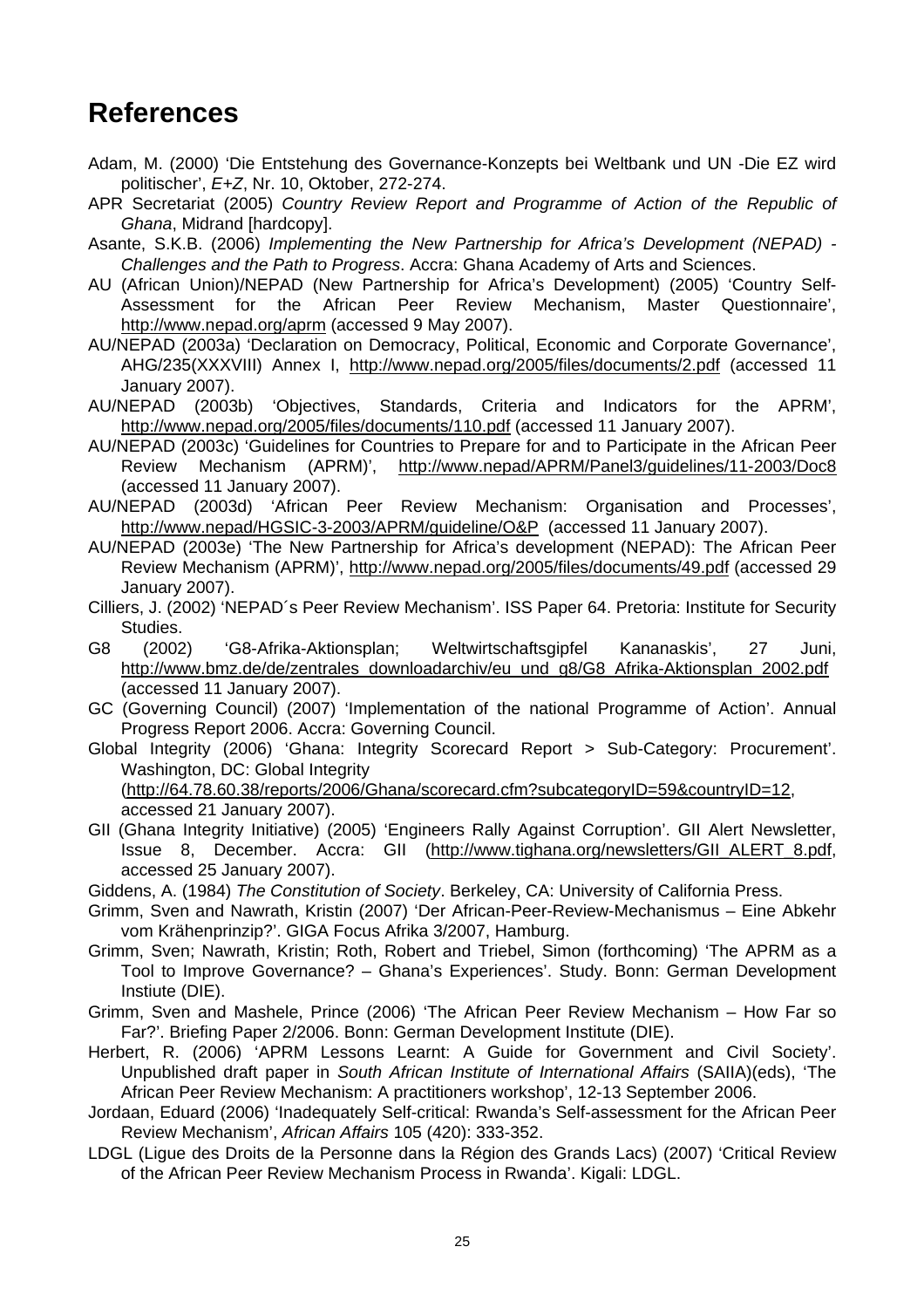## <span id="page-30-0"></span>**References**

- Adam, M. (2000) 'Die Entstehung des Governance-Konzepts bei Weltbank und UN -Die EZ wird politischer', *E+Z*, Nr. 10, Oktober, 272-274.
- APR Secretariat (2005) *Country Review Report and Programme of Action of the Republic of Ghana*, Midrand [hardcopy].
- Asante, S.K.B. (2006) *Implementing the New Partnership for Africa's Development (NEPAD) Challenges and the Path to Progress*. Accra: Ghana Academy of Arts and Sciences.
- AU (African Union)/NEPAD (New Partnership for Africa's Development) (2005) 'Country Self-Assessment for the African Peer Review Mechanism, Master Questionnaire', <http://www.nepad.org/aprm> (accessed 9 May 2007).
- AU/NEPAD (2003a) 'Declaration on Democracy, Political, Economic and Corporate Governance', AHG/235(XXXVIII) Annex I, <http://www.nepad.org/2005/files/documents/2.pdf>(accessed 11 January 2007).
- AU/NEPAD (2003b) 'Objectives, Standards, Criteria and Indicators for the APRM', <http://www.nepad.org/2005/files/documents/110.pdf>(accessed 11 January 2007).
- AU/NEPAD (2003c) 'Guidelines for Countries to Prepare for and to Participate in the African Peer Review Mechanism (APRM)', <http://www.nepad/APRM/Panel3/guidelines/11-2003/Doc8> (accessed 11 January 2007).
- AU/NEPAD (2003d) 'African Peer Review Mechanism: Organisation and Processes', <http://www.nepad/HGSIC-3-2003/APRM/guideline/O&P>(accessed 11 January 2007).
- AU/NEPAD (2003e) 'The New Partnership for Africa's development (NEPAD): The African Peer Review Mechanism (APRM)', <http://www.nepad.org/2005/files/documents/49.pdf>(accessed 29 January 2007).
- Cilliers, J. (2002) 'NEPAD´s Peer Review Mechanism'. ISS Paper 64. Pretoria: Institute for Security Studies.
- G8 (2002) 'G8-Afrika-Aktionsplan; Weltwirtschaftsgipfel Kananaskis', 27 Juni, [http://www.bmz.de/de/zentrales\\_downloadarchiv/eu\\_und\\_g8/G8\\_Afrika-Aktionsplan\\_2002.pdf](http://www.bmz.de/de/zentrales_downloadarchiv/eu_und_g8/G8_Afrika-Aktionsplan_2002.pdf) (accessed 11 January 2007).
- GC (Governing Council) (2007) 'Implementation of the national Programme of Action'. Annual Progress Report 2006. Accra: Governing Council.
- Global Integrity (2006) 'Ghana: Integrity Scorecard Report > Sub-Category: Procurement'. Washington, DC: Global Integrity (<http://64.78.60.38/reports/2006/Ghana/scorecard.cfm?subcategoryID=59&countryID=12>, accessed 21 January 2007).
- GII (Ghana Integrity Initiative) (2005) 'Engineers Rally Against Corruption'. GII Alert Newsletter, Issue 8, December. Accra: GII ([http://www.tighana.org/newsletters/GII\\_ALERT\\_8.pdf,](http://www.tighana.org/newsletters/GII_ALERT_8.pdf) accessed 25 January 2007).
- Giddens, A. (1984) *The Constitution of Society*. Berkeley, CA: University of California Press.
- Grimm, Sven and Nawrath, Kristin (2007) 'Der African-Peer-Review-Mechanismus Eine Abkehr vom Krähenprinzip?'. GIGA Focus Afrika 3/2007, Hamburg.
- Grimm, Sven; Nawrath, Kristin; Roth, Robert and Triebel, Simon (forthcoming) 'The APRM as a Tool to Improve Governance? – Ghana's Experiences'. Study. Bonn: German Development Instiute (DIE).
- Grimm, Sven and Mashele, Prince (2006) 'The African Peer Review Mechanism How Far so Far?'. Briefing Paper 2/2006. Bonn: German Development Institute (DIE).
- Herbert, R. (2006) 'APRM Lessons Learnt: A Guide for Government and Civil Society'. Unpublished draft paper in *South African Institute of International Affairs* (SAIIA)(eds), 'The African Peer Review Mechanism: A practitioners workshop', 12-13 September 2006.
- Jordaan, Eduard (2006) 'Inadequately Self-critical: Rwanda's Self-assessment for the African Peer Review Mechanism', *African Affairs* 105 (420): 333-352.
- LDGL (Ligue des Droits de la Personne dans la Région des Grands Lacs) (2007) 'Critical Review of the African Peer Review Mechanism Process in Rwanda'. Kigali: LDGL.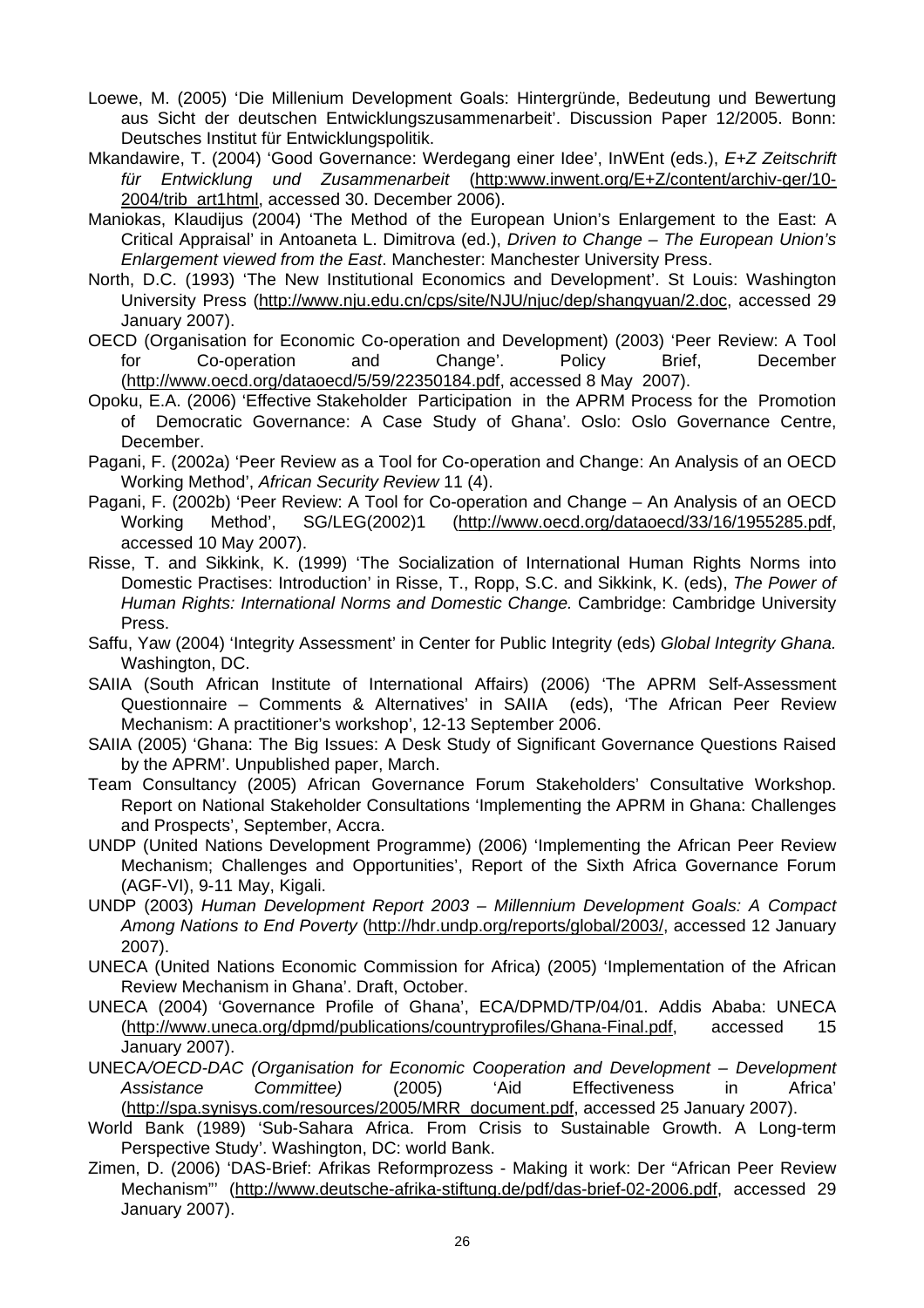- Loewe, M. (2005) 'Die Millenium Development Goals: Hintergründe, Bedeutung und Bewertung aus Sicht der deutschen Entwicklungszusammenarbeit'. Discussion Paper 12/2005. Bonn: Deutsches Institut für Entwicklungspolitik.
- Mkandawire, T. (2004) 'Good Governance: Werdegang einer Idee', InWEnt (eds.), *E+Z Zeitschrift für Entwicklung und Zusammenarbeit* [\(http:www.inwent.org/E+Z/content/archiv-ger/10-](http://www.inwent.org/E+Z/content/archiv-ger/10-2004/trib_art1html) [2004/trib\\_art1html,](http://www.inwent.org/E+Z/content/archiv-ger/10-2004/trib_art1html) accessed 30. December 2006).
- Maniokas, Klaudijus (2004) 'The Method of the European Union's Enlargement to the East: A Critical Appraisal' in Antoaneta L. Dimitrova (ed.), *Driven to Change – The European Union's Enlargement viewed from the East*. Manchester: Manchester University Press.
- North, D.C. (1993) 'The New Institutional Economics and Development'. St Louis: Washington University Press (<http://www.nju.edu.cn/cps/site/NJU/njuc/dep/shangyuan/2.doc>, accessed 29 January 2007).
- OECD (Organisation for Economic Co-operation and Development) (2003) 'Peer Review: A Tool for Co-operation and Change'. Policy Brief, December ([http://www.oecd.org/dataoecd/5/59/22350184.pdf,](http://www.oecd.org/dataoecd/5/59/22350184.pdf) accessed 8 May 2007).
- Opoku, E.A. (2006) 'Effective Stakeholder Participation in the APRM Process for the Promotion of Democratic Governance: A Case Study of Ghana'. Oslo: Oslo Governance Centre, December.
- Pagani, F. (2002a) 'Peer Review as a Tool for Co-operation and Change: An Analysis of an OECD Working Method', *African Security Review* 11 (4).
- Pagani, F. (2002b) 'Peer Review: A Tool for Co-operation and Change An Analysis of an OECD Working Method', SG/LEG(2002)1 [\(http://www.oecd.org/dataoecd/33/16/1955285.pdf,](http://www.oecd.org/dataoecd/33/16/1955285.pdf) accessed 10 May 2007).
- Risse, T. and Sikkink, K. (1999) 'The Socialization of International Human Rights Norms into Domestic Practises: Introduction' in Risse, T., Ropp, S.C. and Sikkink, K. (eds), *The Power of Human Rights: International Norms and Domestic Change.* Cambridge: Cambridge University Press.
- Saffu, Yaw (2004) 'Integrity Assessment' in Center for Public Integrity (eds) *Global Integrity Ghana.* Washington, DC.
- SAIIA (South African Institute of International Affairs) (2006) 'The APRM Self-Assessment Questionnaire – Comments & Alternatives' in SAIIA (eds), 'The African Peer Review Mechanism: A practitioner's workshop', 12-13 September 2006.
- SAIIA (2005) 'Ghana: The Big Issues: A Desk Study of Significant Governance Questions Raised by the APRM'. Unpublished paper, March.
- Team Consultancy (2005) African Governance Forum Stakeholders' Consultative Workshop. Report on National Stakeholder Consultations 'Implementing the APRM in Ghana: Challenges and Prospects', September, Accra.
- UNDP (United Nations Development Programme) (2006) 'Implementing the African Peer Review Mechanism; Challenges and Opportunities', Report of the Sixth Africa Governance Forum (AGF-VI), 9-11 May, Kigali.
- UNDP (2003) *Human Development Report 2003 Millennium Development Goals: A Compact Among Nations to End Poverty* [\(http://hdr.undp.org/reports/global/2003/](http://hdr.undp.org/reports/global/2003/), accessed 12 January 2007).
- UNECA (United Nations Economic Commission for Africa) (2005) 'Implementation of the African Review Mechanism in Ghana'. Draft, October.
- UNECA (2004) 'Governance Profile of Ghana', ECA/DPMD/TP/04/01. Addis Ababa: UNECA (<http://www.uneca.org/dpmd/publications/countryprofiles/Ghana-Final.pdf>, accessed 15 January 2007).
- UNECA*/OECD-DAC (Organisation for Economic Cooperation and Development Development Assistance Committee)* (2005) 'Aid Effectiveness in Africa' ([http://spa.synisys.com/resources/2005/MRR\\_document.pdf,](http://spa.synisys.com/resources/2005/MRR_document.pdf) accessed 25 January 2007).
- World Bank (1989) 'Sub-Sahara Africa. From Crisis to Sustainable Growth. A Long-term Perspective Study'. Washington, DC: world Bank.
- Zimen, D. (2006) 'DAS-Brief: Afrikas Reformprozess Making it work: Der "African Peer Review Mechanism"' [\(http://www.deutsche-afrika-stiftung.de/pdf/das-brief-02-2006.pdf,](http://www.deutsche-afrika-stiftung.de/pdf/das-brief-02-2006.pdf) accessed 29 January 2007).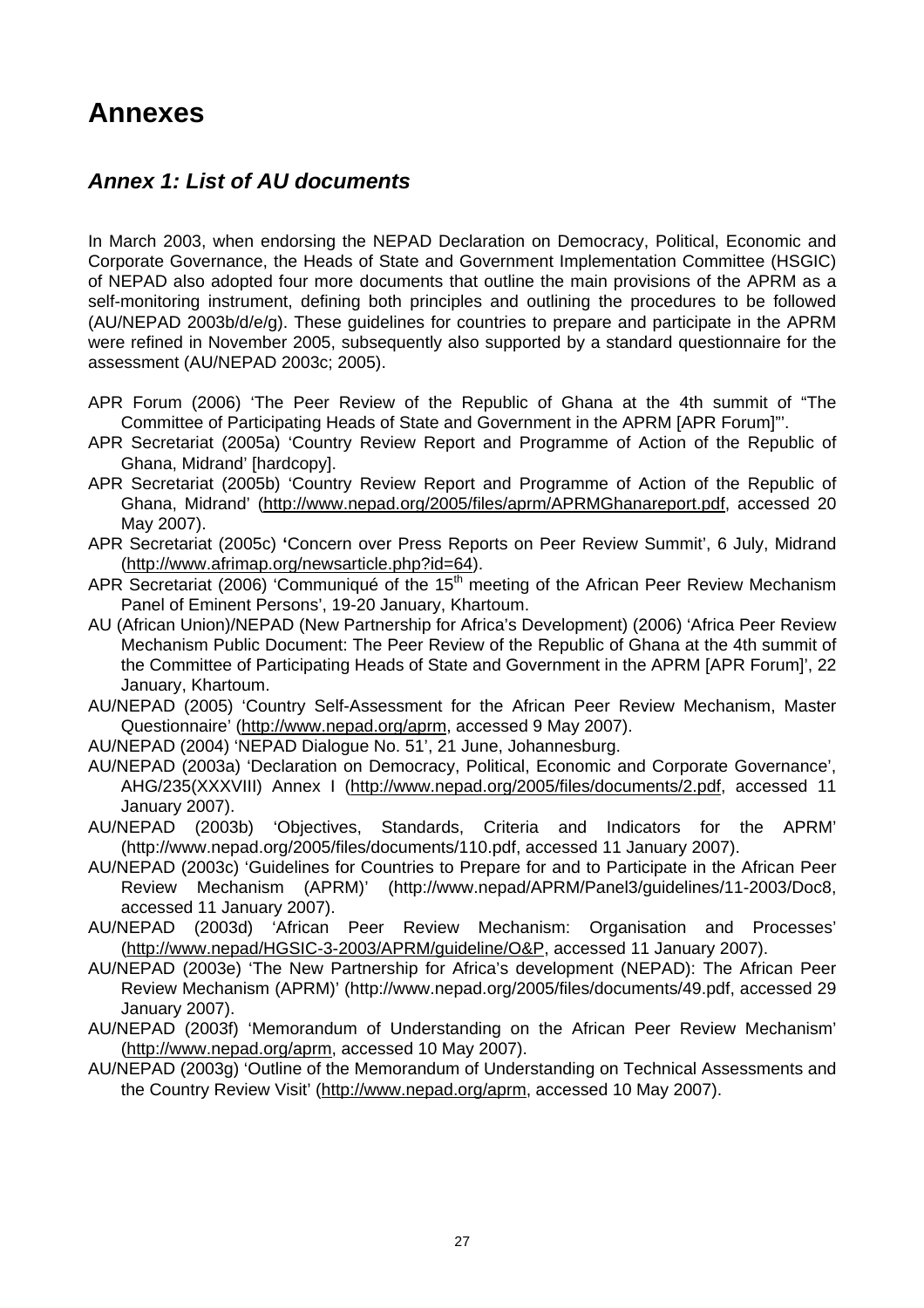## <span id="page-32-0"></span>**Annexes**

### *Annex 1: List of AU documents*

In March 2003, when endorsing the NEPAD Declaration on Democracy, Political, Economic and Corporate Governance, the Heads of State and Government Implementation Committee (HSGIC) of NEPAD also adopted four more documents that outline the main provisions of the APRM as a self-monitoring instrument, defining both principles and outlining the procedures to be followed (AU/NEPAD 2003b/d/e/g). These guidelines for countries to prepare and participate in the APRM were refined in November 2005, subsequently also supported by a standard questionnaire for the assessment (AU/NEPAD 2003c; 2005).

- APR Forum (2006) 'The Peer Review of the Republic of Ghana at the 4th summit of "The Committee of Participating Heads of State and Government in the APRM [APR Forum]"'.
- APR Secretariat (2005a) 'Country Review Report and Programme of Action of the Republic of Ghana, Midrand' [hardcopy].
- APR Secretariat (2005b) 'Country Review Report and Programme of Action of the Republic of Ghana, Midrand' ([http://www.nepad.org/2005/files/aprm/APRMGhanareport.pdf,](http://www.nepad.org/2005/files/aprm/APRMGhanareport.pdf) accessed 20 May 2007).
- APR Secretariat (2005c) **'**Concern over Press Reports on Peer Review Summit', 6 July, Midrand (<http://www.afrimap.org/newsarticle.php?id=64>).
- APR Secretariat (2006) 'Communiqué of the 15<sup>th</sup> meeting of the African Peer Review Mechanism Panel of Eminent Persons', 19-20 January, Khartoum.
- AU (African Union)/NEPAD (New Partnership for Africa's Development) (2006) 'Africa Peer Review Mechanism Public Document: The Peer Review of the Republic of Ghana at the 4th summit of the Committee of Participating Heads of State and Government in the APRM [APR Forum]', 22 January, Khartoum.
- AU/NEPAD (2005) 'Country Self-Assessment for the African Peer Review Mechanism, Master Questionnaire' ([http://www.nepad.org/aprm,](http://www.nepad.org/aprm) accessed 9 May 2007).
- AU/NEPAD (2004) 'NEPAD Dialogue No. 51', 21 June, Johannesburg.
- AU/NEPAD (2003a) 'Declaration on Democracy, Political, Economic and Corporate Governance', AHG/235(XXXVIII) Annex I (<http://www.nepad.org/2005/files/documents/2.pdf>, accessed 11 January 2007).
- AU/NEPAD (2003b) 'Objectives, Standards, Criteria and Indicators for the APRM' (http://www.nepad.org/2005/files/documents/110.pdf, accessed 11 January 2007).
- AU/NEPAD (2003c) 'Guidelines for Countries to Prepare for and to Participate in the African Peer Review Mechanism (APRM)' (http://www.nepad/APRM/Panel3/guidelines/11-2003/Doc8, accessed 11 January 2007).
- AU/NEPAD (2003d) 'African Peer Review Mechanism: Organisation and Processes' (<http://www.nepad/HGSIC-3-2003/APRM/guideline/O&P>, accessed 11 January 2007).
- AU/NEPAD (2003e) 'The New Partnership for Africa's development (NEPAD): The African Peer Review Mechanism (APRM)' (http://www.nepad.org/2005/files/documents/49.pdf, accessed 29 January 2007).
- AU/NEPAD (2003f) 'Memorandum of Understanding on the African Peer Review Mechanism' ([http://www.nepad.org/aprm,](http://www.nepad.org/aprm) accessed 10 May 2007).
- AU/NEPAD (2003g) 'Outline of the Memorandum of Understanding on Technical Assessments and the Country Review Visit' ([http://www.nepad.org/aprm,](http://www.nepad.org/aprm) accessed 10 May 2007).